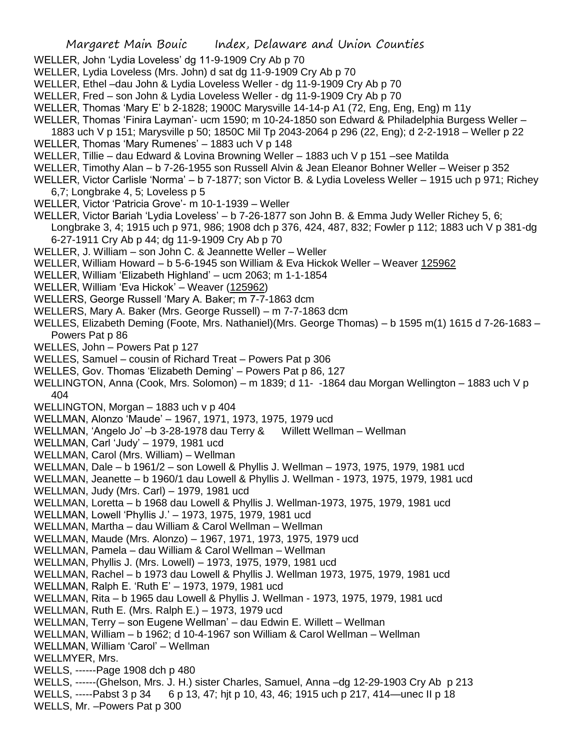- WELLER, John 'Lydia Loveless' dg 11-9-1909 Cry Ab p 70
- WELLER, Lydia Loveless (Mrs. John) d sat dg 11-9-1909 Cry Ab p 70
- WELLER, Ethel –dau John & Lydia Loveless Weller dg 11-9-1909 Cry Ab p 70
- WELLER, Fred son John & Lydia Loveless Weller dg 11-9-1909 Cry Ab p 70
- WELLER, Thomas 'Mary E' b 2-1828; 1900C Marysville 14-14-p A1 (72, Eng, Eng, Eng) m 11y
- WELLER, Thomas 'Finira Layman'- ucm 1590; m 10-24-1850 son Edward & Philadelphia Burgess Weller –
- 1883 uch V p 151; Marysville p 50; 1850C Mil Tp 2043-2064 p 296 (22, Eng); d 2-2-1918 Weller p 22
- WELLER, Thomas 'Mary Rumenes' 1883 uch V p 148
- WELLER, Tillie dau Edward & Lovina Browning Weller 1883 uch V p 151 –see Matilda
- WELLER, Timothy Alan b 7-26-1955 son Russell Alvin & Jean Eleanor Bohner Weller Weiser p 352
- WELLER, Victor Carlisle 'Norma' b 7-1877; son Victor B. & Lydia Loveless Weller 1915 uch p 971; Richey 6,7; Longbrake 4, 5; Loveless p 5
- WELLER, Victor 'Patricia Grove'- m 10-1-1939 Weller
- WELLER, Victor Bariah 'Lydia Loveless' b 7-26-1877 son John B. & Emma Judy Weller Richey 5, 6;
- Longbrake 3, 4; 1915 uch p 971, 986; 1908 dch p 376, 424, 487, 832; Fowler p 112; 1883 uch V p 381-dg 6-27-1911 Cry Ab p 44; dg 11-9-1909 Cry Ab p 70
- WELLER, J. William son John C. & Jeannette Weller Weller
- WELLER, William Howard b 5-6-1945 son William & Eva Hickok Weller Weaver 125962
- WELLER, William 'Elizabeth Highland' ucm 2063; m 1-1-1854
- WELLER, William 'Eva Hickok' Weaver (125962)
- WELLERS, George Russell 'Mary A. Baker; m 7-7-1863 dcm
- WELLERS, Mary A. Baker (Mrs. George Russell) m 7-7-1863 dcm
- WELLES, Elizabeth Deming (Foote, Mrs. Nathaniel)(Mrs. George Thomas) b 1595 m(1) 1615 d 7-26-1683 Powers Pat p 86
- WELLES, John Powers Pat p 127
- WELLES, Samuel cousin of Richard Treat Powers Pat p 306
- WELLES, Gov. Thomas 'Elizabeth Deming' Powers Pat p 86, 127
- WELLINGTON, Anna (Cook, Mrs. Solomon) m 1839; d 11- -1864 dau Morgan Wellington 1883 uch V p 404
- WELLINGTON, Morgan 1883 uch v p 404
- WELLMAN, Alonzo 'Maude' 1967, 1971, 1973, 1975, 1979 ucd
- WELLMAN, 'Angelo Jo' –b 3-28-1978 dau Terry & Willett Wellman Wellman
- WELLMAN, Carl 'Judy' 1979, 1981 ucd
- WELLMAN, Carol (Mrs. William) Wellman
- WELLMAN, Dale b 1961/2 son Lowell & Phyllis J. Wellman 1973, 1975, 1979, 1981 ucd
- WELLMAN, Jeanette b 1960/1 dau Lowell & Phyllis J. Wellman 1973, 1975, 1979, 1981 ucd
- WELLMAN, Judy (Mrs. Carl) 1979, 1981 ucd
- WELLMAN, Loretta b 1968 dau Lowell & Phyllis J. Wellman-1973, 1975, 1979, 1981 ucd
- WELLMAN, Lowell 'Phyllis J.' 1973, 1975, 1979, 1981 ucd
- WELLMAN, Martha dau William & Carol Wellman Wellman
- WELLMAN, Maude (Mrs. Alonzo) 1967, 1971, 1973, 1975, 1979 ucd
- WELLMAN, Pamela dau William & Carol Wellman Wellman
- WELLMAN, Phyllis J. (Mrs. Lowell) 1973, 1975, 1979, 1981 ucd
- WELLMAN, Rachel b 1973 dau Lowell & Phyllis J. Wellman 1973, 1975, 1979, 1981 ucd
- WELLMAN, Ralph E. 'Ruth E' 1973, 1979, 1981 ucd
- WELLMAN, Rita b 1965 dau Lowell & Phyllis J. Wellman 1973, 1975, 1979, 1981 ucd
- WELLMAN, Ruth E. (Mrs. Ralph E.) 1973, 1979 ucd
- WELLMAN, Terry son Eugene Wellman' dau Edwin E. Willett Wellman
- WELLMAN, William b 1962; d 10-4-1967 son William & Carol Wellman Wellman
- WELLMAN, William 'Carol' Wellman
- WELLMYER, Mrs.
- WELLS, ------Page 1908 dch p 480
- WELLS, ------(Ghelson, Mrs. J. H.) sister Charles, Samuel, Anna –dg 12-29-1903 Cry Ab p 213
- WELLS, -----Pabst 3 p 34 6 p 13, 47; hit p 10, 43, 46; 1915 uch p 217, 414—unec II p 18
- WELLS, Mr. –Powers Pat p 300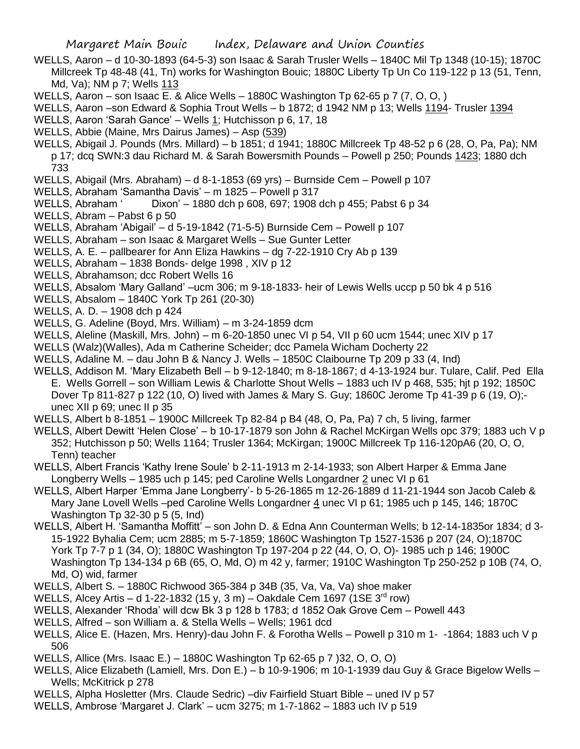- WELLS, Aaron d 10-30-1893 (64-5-3) son Isaac & Sarah Trusler Wells 1840C Mil Tp 1348 (10-15); 1870C Millcreek Tp 48-48 (41, Tn) works for Washington Bouic; 1880C Liberty Tp Un Co 119-122 p 13 (51, Tenn, Md, Va); NM p 7; Wells 113
- WELLS, Aaron son Isaac E. & Alice Wells 1880C Washington Tp 62-65 p 7 (7, O, O, )
- WELLS, Aaron –son Edward & Sophia Trout Wells b 1872; d 1942 NM p 13; Wells 1194- Trusler 1394
- WELLS, Aaron 'Sarah Gance' Wells 1; Hutchisson p 6, 17, 18
- WELLS, Abbie (Maine, Mrs Dairus James) Asp (539)
- WELLS, Abigail J. Pounds (Mrs. Millard) b 1851; d 1941; 1880C Millcreek Tp 48-52 p 6 (28, O, Pa, Pa); NM p 17; dcq SWN:3 dau Richard M. & Sarah Bowersmith Pounds – Powell p 250; Pounds 1423; 1880 dch 733
- WELLS, Abigail (Mrs. Abraham) d 8-1-1853 (69 yrs) Burnside Cem Powell p 107
- WELLS, Abraham 'Samantha Davis' m 1825 Powell p 317
- WELLS, Abraham ' Dixon' 1880 dch p 608, 697; 1908 dch p 455; Pabst 6 p 34
- WELLS, Abram Pabst 6 p 50
- WELLS, Abraham 'Abigail' d 5-19-1842 (71-5-5) Burnside Cem Powell p 107
- WELLS, Abraham son Isaac & Margaret Wells Sue Gunter Letter
- WELLS, A. E. pallbearer for Ann Eliza Hawkins dg 7-22-1910 Cry Ab p 139
- WELLS, Abraham 1838 Bonds- delge 1998 , XIV p 12
- WELLS, Abrahamson; dcc Robert Wells 16
- WELLS, Absalom 'Mary Galland' –ucm 306; m 9-18-1833- heir of Lewis Wells uccp p 50 bk 4 p 516
- WELLS, Absalom 1840C York Tp 261 (20-30)
- WELLS, A. D. 1908 dch p 424
- WELLS, G. Adeline (Boyd, Mrs. William) m 3-24-1859 dcm
- WELLS, Aleline (Maskill, Mrs. John) m 6-20-1850 unec VI p 54, VII p 60 ucm 1544; unec XIV p 17
- WELLS (Walz)(Walles), Ada m Catherine Scheider; dcc Pamela Wicham Docherty 22
- WELLS, Adaline M. dau John B & Nancy J. Wells 1850C Claibourne Tp 209 p 33 (4, Ind)
- WELLS, Addison M. 'Mary Elizabeth Bell b 9-12-1840; m 8-18-1867; d 4-13-1924 bur. Tulare, Calif. Ped Ella E. Wells Gorrell – son William Lewis & Charlotte Shout Wells – 1883 uch IV p 468, 535; hjt p 192; 1850C Dover Tp 811-827 p 122 (10, O) lived with James & Mary S. Guy; 1860C Jerome Tp 41-39 p 6 (19, O); unec XII p 69; unec II p 35
- WELLS, Albert b 8-1851 1900C Millcreek Tp 82-84 p B4 (48, O, Pa, Pa) 7 ch, 5 living, farmer
- WELLS, Albert Dewitt 'Helen Close' b 10-17-1879 son John & Rachel McKirgan Wells opc 379; 1883 uch V p 352; Hutchisson p 50; Wells 1164; Trusler 1364; McKirgan; 1900C Millcreek Tp 116-120pA6 (20, O, O, Tenn) teacher
- WELLS, Albert Francis 'Kathy Irene Soule' b 2-11-1913 m 2-14-1933; son Albert Harper & Emma Jane Longberry Wells – 1985 uch p 145; ped Caroline Wells Longardner 2 unec VI p 61
- WELLS, Albert Harper 'Emma Jane Longberry'- b 5-26-1865 m 12-26-1889 d 11-21-1944 son Jacob Caleb & Mary Jane Lovell Wells –ped Caroline Wells Longardner 4 unec VI p 61; 1985 uch p 145, 146; 1870C Washington Tp 32-30 p 5 (5, Ind)
- WELLS, Albert H. 'Samantha Moffitt' son John D. & Edna Ann Counterman Wells; b 12-14-1835or 1834; d 3- 15-1922 Byhalia Cem; ucm 2885; m 5-7-1859; 1860C Washington Tp 1527-1536 p 207 (24, O);1870C York Tp 7-7 p 1 (34, O); 1880C Washington Tp 197-204 p 22 (44, O, O, O)- 1985 uch p 146; 1900C Washington Tp 134-134 p 6B (65, O, Md, O) m 42 y, farmer; 1910C Washington Tp 250-252 p 10B (74, O, Md, O) wid, farmer
- WELLS, Albert S. 1880C Richwood 365-384 p 34B (35, Va, Va, Va) shoe maker
- WELLS, Alcey Artis d 1-22-1832 (15 y, 3 m) Oakdale Cem 1697 (1SE  $3<sup>rd</sup>$  row)
- WELLS, Alexander 'Rhoda' will dcw Bk 3 p 128 b 1783; d 1852 Oak Grove Cem Powell 443
- WELLS, Alfred son William a. & Stella Wells Wells; 1961 dcd
- WELLS, Alice E. (Hazen, Mrs. Henry)-dau John F. & Forotha Wells Powell p 310 m 1- -1864; 1883 uch V p 506
- WELLS, Allice (Mrs. Isaac E.) 1880C Washington Tp 62-65 p 7 )32, O, O, O)
- WELLS, Alice Elizabeth (Lamiell, Mrs. Don E.) b 10-9-1906; m 10-1-1939 dau Guy & Grace Bigelow Wells Wells; McKitrick p 278
- WELLS, Alpha Hosletter (Mrs. Claude Sedric) –div Fairfield Stuart Bible uned IV p 57
- WELLS, Ambrose 'Margaret J. Clark' ucm 3275; m 1-7-1862 1883 uch IV p 519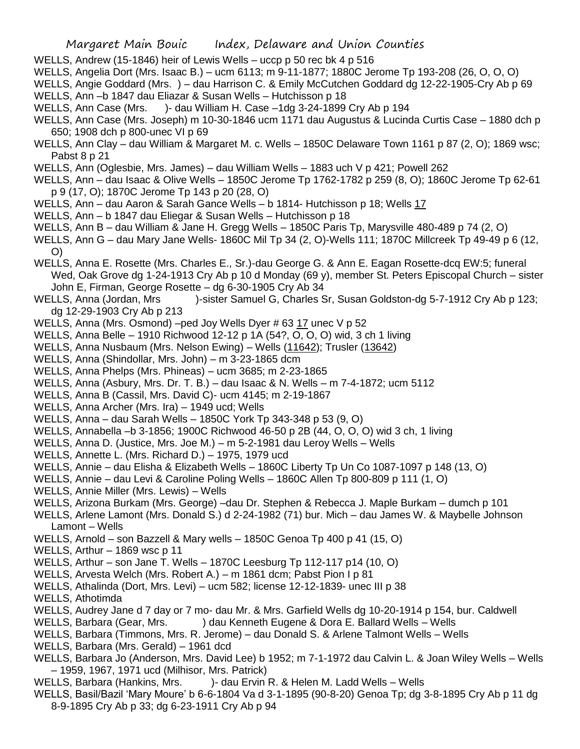- WELLS, Andrew (15-1846) heir of Lewis Wells uccp p 50 rec bk 4 p 516
- WELLS, Angelia Dort (Mrs. Isaac B.) ucm 6113; m 9-11-1877; 1880C Jerome Tp 193-208 (26, O, O, O)

WELLS, Angie Goddard (Mrs. ) – dau Harrison C. & Emily McCutchen Goddard dg 12-22-1905-Cry Ab p 69 WELLS, Ann –b 1847 dau Eliazar & Susan Wells – Hutchisson p 18

- WELLS, Ann Case (Mrs. )- dau William H. Case –1dg 3-24-1899 Cry Ab p 194
- WELLS, Ann Case (Mrs. Joseph) m 10-30-1846 ucm 1171 dau Augustus & Lucinda Curtis Case 1880 dch p 650; 1908 dch p 800-unec VI p 69
- WELLS, Ann Clay dau William & Margaret M. c. Wells 1850C Delaware Town 1161 p 87 (2, O); 1869 wsc; Pabst 8 p 21
- WELLS, Ann (Oglesbie, Mrs. James) dau William Wells 1883 uch V p 421; Powell 262
- WELLS, Ann dau Isaac & Olive Wells 1850C Jerome Tp 1762-1782 p 259 (8, O); 1860C Jerome Tp 62-61 p 9 (17, O); 1870C Jerome Tp 143 p 20 (28, O)
- WELLS, Ann dau Aaron & Sarah Gance Wells b 1814- Hutchisson p 18; Wells 17
- WELLS, Ann b 1847 dau Eliegar & Susan Wells Hutchisson p 18
- WELLS, Ann B dau William & Jane H. Gregg Wells 1850C Paris Tp, Marysville 480-489 p 74 (2, O)
- WELLS, Ann G dau Mary Jane Wells- 1860C Mil Tp 34 (2, O)-Wells 111; 1870C Millcreek Tp 49-49 p 6 (12, O)
- WELLS, Anna E. Rosette (Mrs. Charles E., Sr.)-dau George G. & Ann E. Eagan Rosette-dcq EW:5; funeral Wed, Oak Grove dg 1-24-1913 Cry Ab p 10 d Monday (69 y), member St. Peters Episcopal Church – sister John E, Firman, George Rosette – dg 6-30-1905 Cry Ab 34
- WELLS, Anna (Jordan, Mrs )-sister Samuel G, Charles Sr, Susan Goldston-dg 5-7-1912 Cry Ab p 123; dg 12-29-1903 Cry Ab p 213
- WELLS, Anna (Mrs. Osmond) –ped Joy Wells Dyer # 63 17 unec V p 52
- WELLS, Anna Belle 1910 Richwood 12-12 p 1A (54?, O, O, O) wid, 3 ch 1 living
- WELLS, Anna Nusbaum (Mrs. Nelson Ewing) Wells (11642); Trusler (13642)
- WELLS, Anna (Shindollar, Mrs. John) m 3-23-1865 dcm
- WELLS, Anna Phelps (Mrs. Phineas) ucm 3685; m 2-23-1865
- WELLS, Anna (Asbury, Mrs. Dr. T. B.) dau Isaac & N. Wells m 7-4-1872; ucm 5112
- WELLS, Anna B (Cassil, Mrs. David C)- ucm 4145; m 2-19-1867
- WELLS, Anna Archer (Mrs. Ira) 1949 ucd; Wells
- WELLS, Anna dau Sarah Wells 1850C York Tp 343-348 p 53 (9, O)
- WELLS, Annabella –b 3-1856; 1900C Richwood 46-50 p 2B (44, O, O, O) wid 3 ch, 1 living
- WELLS, Anna D. (Justice, Mrs. Joe M.) m 5-2-1981 dau Leroy Wells Wells
- WELLS, Annette L. (Mrs. Richard D.) 1975, 1979 ucd
- WELLS, Annie dau Elisha & Elizabeth Wells 1860C Liberty Tp Un Co 1087-1097 p 148 (13, O)
- WELLS, Annie dau Levi & Caroline Poling Wells 1860C Allen Tp 800-809 p 111 (1, O)
- WELLS, Annie Miller (Mrs. Lewis) Wells
- WELLS, Arizona Burkam (Mrs. George) –dau Dr. Stephen & Rebecca J. Maple Burkam dumch p 101
- WELLS, Arlene Lamont (Mrs. Donald S.) d 2-24-1982 (71) bur. Mich dau James W. & Maybelle Johnson Lamont – Wells
- WELLS, Arnold son Bazzell & Mary wells 1850C Genoa Tp 400 p 41 (15, O)
- WELLS, Arthur 1869 wsc p 11
- WELLS, Arthur son Jane T. Wells 1870C Leesburg Tp 112-117 p14 (10, O)
- WELLS, Arvesta Welch (Mrs. Robert A.) m 1861 dcm; Pabst Pion I p 81
- WELLS, Athalinda (Dort, Mrs. Levi) ucm 582; license 12-12-1839- unec III p 38
- WELLS, Athotimda
- WELLS, Audrey Jane d 7 day or 7 mo- dau Mr. & Mrs. Garfield Wells dg 10-20-1914 p 154, bur. Caldwell
- WELLS, Barbara (Gear, Mrs. ) dau Kenneth Eugene & Dora E. Ballard Wells Wells
- WELLS, Barbara (Timmons, Mrs. R. Jerome) dau Donald S. & Arlene Talmont Wells Wells
- WELLS, Barbara (Mrs. Gerald) 1961 dcd
- WELLS, Barbara Jo (Anderson, Mrs. David Lee) b 1952; m 7-1-1972 dau Calvin L. & Joan Wiley Wells Wells – 1959, 1967, 1971 ucd (Milhisor, Mrs. Patrick)
- WELLS, Barbara (Hankins, Mrs. )- dau Ervin R. & Helen M. Ladd Wells Wells
- WELLS, Basil/Bazil 'Mary Moure' b 6-6-1804 Va d 3-1-1895 (90-8-20) Genoa Tp; dg 3-8-1895 Cry Ab p 11 dg 8-9-1895 Cry Ab p 33; dg 6-23-1911 Cry Ab p 94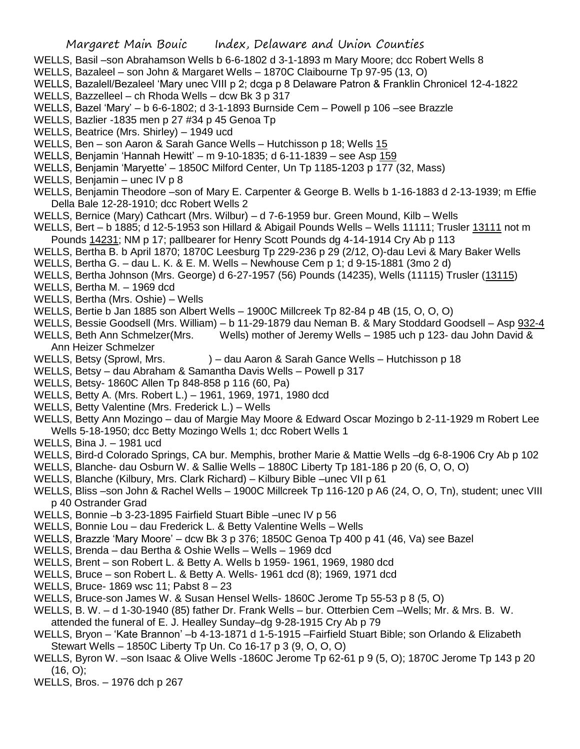- WELLS, Basil –son Abrahamson Wells b 6-6-1802 d 3-1-1893 m Mary Moore; dcc Robert Wells 8
- WELLS, Bazaleel son John & Margaret Wells 1870C Claibourne Tp 97-95 (13, O)
- WELLS, Bazalell/Bezaleel 'Mary unec VIII p 2; dcga p 8 Delaware Patron & Franklin Chronicel 12-4-1822
- WELLS, Bazzelleel ch Rhoda Wells dcw Bk 3 p 317
- WELLS, Bazel 'Mary' b 6-6-1802; d 3-1-1893 Burnside Cem Powell p 106 –see Brazzle
- WELLS, Bazlier -1835 men p 27 #34 p 45 Genoa Tp
- WELLS, Beatrice (Mrs. Shirley) 1949 ucd
- WELLS, Ben son Aaron & Sarah Gance Wells Hutchisson p 18; Wells 15
- WELLS, Benjamin 'Hannah Hewitt' m 9-10-1835; d 6-11-1839 see Asp 159
- WELLS, Benjamin 'Maryette' 1850C Milford Center, Un Tp 1185-1203 p 177 (32, Mass)
- WELLS, Benjamin unec IV p 8
- WELLS, Benjamin Theodore –son of Mary E. Carpenter & George B. Wells b 1-16-1883 d 2-13-1939; m Effie Della Bale 12-28-1910; dcc Robert Wells 2
- WELLS, Bernice (Mary) Cathcart (Mrs. Wilbur) d 7-6-1959 bur. Green Mound, Kilb Wells
- WELLS, Bert b 1885; d 12-5-1953 son Hillard & Abigail Pounds Wells Wells 11111; Trusler 13111 not m Pounds 14231; NM p 17; pallbearer for Henry Scott Pounds dg 4-14-1914 Cry Ab p 113
- WELLS, Bertha B. b April 1870; 1870C Leesburg Tp 229-236 p 29 (2/12, O)-dau Levi & Mary Baker Wells
- WELLS, Bertha G. dau L. K. & E. M. Wells Newhouse Cem p 1; d 9-15-1881 (3mo 2 d)
- WELLS, Bertha Johnson (Mrs. George) d 6-27-1957 (56) Pounds (14235), Wells (11115) Trusler (13115)
- WELLS, Bertha M. 1969 dcd
- WELLS, Bertha (Mrs. Oshie) Wells
- WELLS, Bertie b Jan 1885 son Albert Wells 1900C Millcreek Tp 82-84 p 4B (15, O, O, O)
- WELLS, Bessie Goodsell (Mrs. William) b 11-29-1879 dau Neman B. & Mary Stoddard Goodsell Asp 932-4
- WELLS, Beth Ann Schmelzer(Mrs. Wells) mother of Jeremy Wells 1985 uch p 123- dau John David & Ann Heizer Schmelzer
- WELLS, Betsy (Sprowl, Mrs. ) dau Aaron & Sarah Gance Wells Hutchisson p 18
- WELLS, Betsy dau Abraham & Samantha Davis Wells Powell p 317
- WELLS, Betsy- 1860C Allen Tp 848-858 p 116 (60, Pa)
- WELLS, Betty A. (Mrs. Robert L.) 1961, 1969, 1971, 1980 dcd
- WELLS, Betty Valentine (Mrs. Frederick L.) Wells
- WELLS, Betty Ann Mozingo dau of Margie May Moore & Edward Oscar Mozingo b 2-11-1929 m Robert Lee Wells 5-18-1950; dcc Betty Mozingo Wells 1; dcc Robert Wells 1
- WELLS, Bina J. 1981 ucd
- WELLS, Bird-d Colorado Springs, CA bur. Memphis, brother Marie & Mattie Wells –dg 6-8-1906 Cry Ab p 102
- WELLS, Blanche- dau Osburn W. & Sallie Wells 1880C Liberty Tp 181-186 p 20 (6, O, O, O)
- WELLS, Blanche (Kilbury, Mrs. Clark Richard) Kilbury Bible –unec VII p 61
- WELLS, Bliss –son John & Rachel Wells 1900C Millcreek Tp 116-120 p A6 (24, O, O, Tn), student; unec VIII p 40 Ostrander Grad
- WELLS, Bonnie –b 3-23-1895 Fairfield Stuart Bible –unec IV p 56
- WELLS, Bonnie Lou dau Frederick L. & Betty Valentine Wells Wells
- WELLS, Brazzle 'Mary Moore' dcw Bk 3 p 376; 1850C Genoa Tp 400 p 41 (46, Va) see Bazel
- WELLS, Brenda dau Bertha & Oshie Wells Wells 1969 dcd
- WELLS, Brent son Robert L. & Betty A. Wells b 1959- 1961, 1969, 1980 dcd
- WELLS, Bruce son Robert L. & Betty A. Wells- 1961 dcd (8); 1969, 1971 dcd
- WELLS, Bruce- 1869 wsc 11; Pabst 8 23
- WELLS, Bruce-son James W. & Susan Hensel Wells- 1860C Jerome Tp 55-53 p 8 (5, O)
- WELLS, B. W. d 1-30-1940 (85) father Dr. Frank Wells bur. Otterbien Cem –Wells; Mr. & Mrs. B. W. attended the funeral of E. J. Healley Sunday–dg 9-28-1915 Cry Ab p 79
- WELLS, Bryon 'Kate Brannon' –b 4-13-1871 d 1-5-1915 –Fairfield Stuart Bible; son Orlando & Elizabeth Stewart Wells – 1850C Liberty Tp Un. Co 16-17 p 3 (9, O, O, O)
- WELLS, Byron W. –son Isaac & Olive Wells -1860C Jerome Tp 62-61 p 9 (5, O); 1870C Jerome Tp 143 p 20  $(16, 0)$ ;
- WELLS, Bros. 1976 dch p 267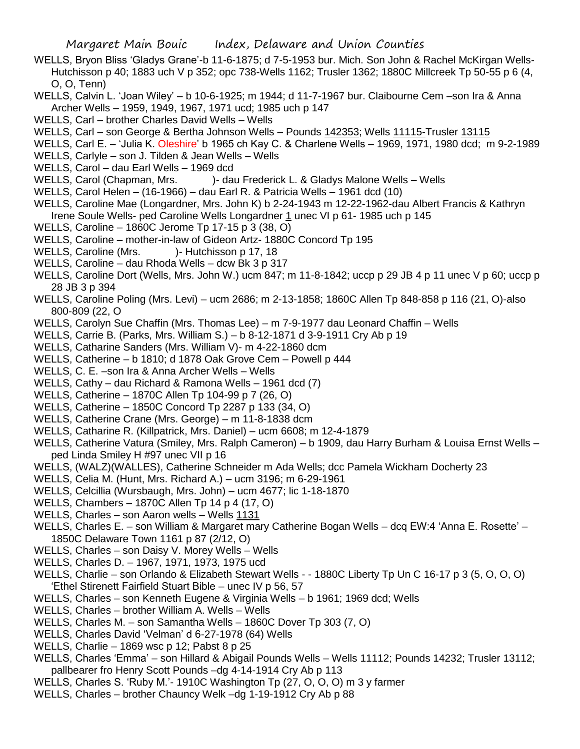- WELLS, Bryon Bliss 'Gladys Grane'-b 11-6-1875; d 7-5-1953 bur. Mich. Son John & Rachel McKirgan Wells-Hutchisson p 40; 1883 uch V p 352; opc 738-Wells 1162; Trusler 1362; 1880C Millcreek Tp 50-55 p 6 (4, O, O, Tenn)
- WELLS, Calvin L. 'Joan Wiley' b 10-6-1925; m 1944; d 11-7-1967 bur. Claibourne Cem –son Ira & Anna Archer Wells – 1959, 1949, 1967, 1971 ucd; 1985 uch p 147
- WELLS, Carl brother Charles David Wells Wells
- WELLS, Carl son George & Bertha Johnson Wells Pounds 142353; Wells 11115-Trusler 13115
- WELLS, Carl E. 'Julia K. Oleshire' b 1965 ch Kay C. & Charlene Wells 1969, 1971, 1980 dcd; m 9-2-1989
- WELLS, Carlyle son J. Tilden & Jean Wells Wells
- WELLS, Carol dau Earl Wells 1969 dcd
- WELLS, Carol (Chapman, Mrs. )- dau Frederick L. & Gladys Malone Wells Wells
- WELLS, Carol Helen (16-1966) dau Earl R. & Patricia Wells 1961 dcd (10)
- WELLS, Caroline Mae (Longardner, Mrs. John K) b 2-24-1943 m 12-22-1962-dau Albert Francis & Kathryn Irene Soule Wells- ped Caroline Wells Longardner 1 unec VI p 61- 1985 uch p 145
- WELLS, Caroline 1860C Jerome Tp 17-15 p 3 (38, O)
- WELLS, Caroline mother-in-law of Gideon Artz- 1880C Concord Tp 195
- WELLS, Caroline (Mrs. )- Hutchisson p 17, 18
- WELLS, Caroline dau Rhoda Wells dcw Bk 3 p 317
- WELLS, Caroline Dort (Wells, Mrs. John W.) ucm 847; m 11-8-1842; uccp p 29 JB 4 p 11 unec V p 60; uccp p 28 JB 3 p 394
- WELLS, Caroline Poling (Mrs. Levi) ucm 2686; m 2-13-1858; 1860C Allen Tp 848-858 p 116 (21, O)-also 800-809 (22, O
- WELLS, Carolyn Sue Chaffin (Mrs. Thomas Lee) m 7-9-1977 dau Leonard Chaffin Wells
- WELLS, Carrie B. (Parks, Mrs. William S.) b 8-12-1871 d 3-9-1911 Cry Ab p 19
- WELLS, Catharine Sanders (Mrs. William V)- m 4-22-1860 dcm
- WELLS, Catherine b 1810; d 1878 Oak Grove Cem Powell p 444
- WELLS, C. E. –son Ira & Anna Archer Wells Wells
- WELLS, Cathy dau Richard & Ramona Wells 1961 dcd (7)
- WELLS, Catherine 1870C Allen Tp 104-99 p 7 (26, O)
- WELLS, Catherine 1850C Concord Tp 2287 p 133 (34, O)
- WELLS, Catherine Crane (Mrs. George) m 11-8-1838 dcm
- WELLS, Catharine R. (Killpatrick, Mrs. Daniel) ucm 6608; m 12-4-1879
- WELLS, Catherine Vatura (Smiley, Mrs. Ralph Cameron) b 1909, dau Harry Burham & Louisa Ernst Wells ped Linda Smiley H #97 unec VII p 16
- WELLS, (WALZ)(WALLES), Catherine Schneider m Ada Wells; dcc Pamela Wickham Docherty 23
- WELLS, Celia M. (Hunt, Mrs. Richard A.) ucm 3196; m 6-29-1961
- WELLS, Celcillia (Wursbaugh, Mrs. John) ucm 4677; lic 1-18-1870
- WELLS, Chambers 1870C Allen Tp 14 p 4 (17, O)
- WELLS, Charles son Aaron wells Wells 1131
- WELLS, Charles E. son William & Margaret mary Catherine Bogan Wells dcq EW:4 'Anna E. Rosette' 1850C Delaware Town 1161 p 87 (2/12, O)
- WELLS, Charles son Daisy V. Morey Wells Wells
- WELLS, Charles D. 1967, 1971, 1973, 1975 ucd
- WELLS, Charlie son Orlando & Elizabeth Stewart Wells - 1880C Liberty Tp Un C 16-17 p 3 (5, O, O, O) 'Ethel Stirenett Fairfield Stuart Bible – unec IV p 56, 57
- WELLS, Charles son Kenneth Eugene & Virginia Wells b 1961; 1969 dcd; Wells
- WELLS, Charles brother William A. Wells Wells
- WELLS, Charles M. son Samantha Wells 1860C Dover Tp 303 (7, O)
- WELLS, Charles David 'Velman' d 6-27-1978 (64) Wells
- WELLS, Charlie 1869 wsc p 12; Pabst 8 p 25
- WELLS, Charles 'Emma' son Hillard & Abigail Pounds Wells Wells 11112; Pounds 14232; Trusler 13112; pallbearer fro Henry Scott Pounds –dg 4-14-1914 Cry Ab p 113
- WELLS, Charles S. 'Ruby M.'- 1910C Washington Tp (27, O, O, O) m 3 y farmer
- WELLS, Charles brother Chauncy Welk –dg 1-19-1912 Cry Ab p 88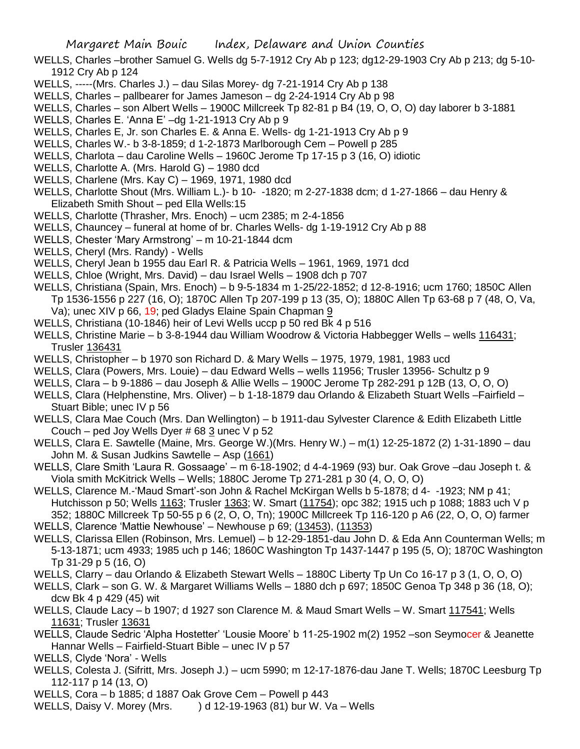- WELLS, Charles –brother Samuel G. Wells dg 5-7-1912 Cry Ab p 123; dg12-29-1903 Cry Ab p 213; dg 5-10- 1912 Cry Ab p 124
- WELLS, -----(Mrs. Charles J.) dau Silas Morey- dg 7-21-1914 Cry Ab p 138
- WELLS, Charles pallbearer for James Jameson dg 2-24-1914 Cry Ab p 98
- WELLS, Charles son Albert Wells 1900C Millcreek Tp 82-81 p B4 (19, O, O, O) day laborer b 3-1881
- WELLS, Charles E. 'Anna E' –dg 1-21-1913 Cry Ab p 9
- WELLS, Charles E, Jr. son Charles E. & Anna E. Wells- dg 1-21-1913 Cry Ab p 9
- WELLS, Charles W.- b 3-8-1859; d 1-2-1873 Marlborough Cem Powell p 285
- WELLS, Charlota dau Caroline Wells 1960C Jerome Tp 17-15 p 3 (16, O) idiotic
- WELLS, Charlotte A. (Mrs. Harold G) 1980 dcd
- WELLS, Charlene (Mrs. Kay C) 1969, 1971, 1980 dcd
- WELLS, Charlotte Shout (Mrs. William L.)- b 10- -1820; m 2-27-1838 dcm; d 1-27-1866 dau Henry & Elizabeth Smith Shout – ped Ella Wells:15
- WELLS, Charlotte (Thrasher, Mrs. Enoch) ucm 2385; m 2-4-1856
- WELLS, Chauncey funeral at home of br. Charles Wells- dg 1-19-1912 Cry Ab p 88
- WELLS, Chester 'Mary Armstrong' m 10-21-1844 dcm
- WELLS, Cheryl (Mrs. Randy) Wells
- WELLS, Cheryl Jean b 1955 dau Earl R. & Patricia Wells 1961, 1969, 1971 dcd
- WELLS, Chloe (Wright, Mrs. David) dau Israel Wells 1908 dch p 707
- WELLS, Christiana (Spain, Mrs. Enoch) b 9-5-1834 m 1-25/22-1852; d 12-8-1916; ucm 1760; 1850C Allen Tp 1536-1556 p 227 (16, O); 1870C Allen Tp 207-199 p 13 (35, O); 1880C Allen Tp 63-68 p 7 (48, O, Va, Va); unec XIV p 66, 19; ped Gladys Elaine Spain Chapman 9
- WELLS, Christiana (10-1846) heir of Levi Wells uccp p 50 red Bk 4 p 516
- WELLS, Christine Marie b 3-8-1944 dau William Woodrow & Victoria Habbegger Wells wells 116431; Trusler 136431
- WELLS, Christopher b 1970 son Richard D. & Mary Wells 1975, 1979, 1981, 1983 ucd
- WELLS, Clara (Powers, Mrs. Louie) dau Edward Wells wells 11956; Trusler 13956- Schultz p 9
- WELLS, Clara b 9-1886 dau Joseph & Allie Wells 1900C Jerome Tp 282-291 p 12B (13, O, O, O)
- WELLS, Clara (Helphenstine, Mrs. Oliver) b 1-18-1879 dau Orlando & Elizabeth Stuart Wells –Fairfield Stuart Bible; unec IV p 56
- WELLS, Clara Mae Couch (Mrs. Dan Wellington) b 1911-dau Sylvester Clarence & Edith Elizabeth Little Couch – ped Joy Wells Dyer  $\#$  68 3 unec V p 52
- WELLS, Clara E. Sawtelle (Maine, Mrs. George W.)(Mrs. Henry W.) m(1) 12-25-1872 (2) 1-31-1890 dau John M. & Susan Judkins Sawtelle – Asp (1661)
- WELLS, Clare Smith 'Laura R. Gossaage' m 6-18-1902; d 4-4-1969 (93) bur. Oak Grove –dau Joseph t. & Viola smith McKitrick Wells – Wells; 1880C Jerome Tp 271-281 p 30 (4, O, O, O)
- WELLS, Clarence M.-'Maud Smart'-son John & Rachel McKirgan Wells b 5-1878; d 4- -1923; NM p 41; Hutchisson p 50; Wells 1163; Trusler 1363; W. Smart (11754); opc 382; 1915 uch p 1088; 1883 uch V p 352; 1880C Millcreek Tp 50-55 p 6 (2, O, O, Tn); 1900C Millcreek Tp 116-120 p A6 (22, O, O, O) farmer
- WELLS, Clarence 'Mattie Newhouse' Newhouse p 69; (13453), (11353)
- WELLS, Clarissa Ellen (Robinson, Mrs. Lemuel) b 12-29-1851-dau John D. & Eda Ann Counterman Wells; m 5-13-1871; ucm 4933; 1985 uch p 146; 1860C Washington Tp 1437-1447 p 195 (5, O); 1870C Washington Tp 31-29 p 5 (16, O)
- WELLS, Clarry dau Orlando & Elizabeth Stewart Wells 1880C Liberty Tp Un Co 16-17 p 3 (1, O, O, O)
- WELLS, Clark son G. W. & Margaret Williams Wells 1880 dch p 697; 1850C Genoa Tp 348 p 36 (18, O); dcw Bk 4 p 429 (45) wit
- WELLS, Claude Lacy b 1907; d 1927 son Clarence M. & Maud Smart Wells W. Smart 117541; Wells 11631; Trusler 13631
- WELLS, Claude Sedric 'Alpha Hostetter' 'Lousie Moore' b 11-25-1902 m(2) 1952 –son Seymocer & Jeanette Hannar Wells – Fairfield-Stuart Bible – unec IV p 57
- WELLS, Clyde 'Nora' Wells
- WELLS, Colesta J. (Sifritt, Mrs. Joseph J.) ucm 5990; m 12-17-1876-dau Jane T. Wells; 1870C Leesburg Tp 112-117 p 14 (13, O)
- WELLS, Cora b 1885; d 1887 Oak Grove Cem Powell p 443
- WELLS, Daisy V. Morey (Mrs.  $\longrightarrow$  ) d 12-19-1963 (81) bur W. Va Wells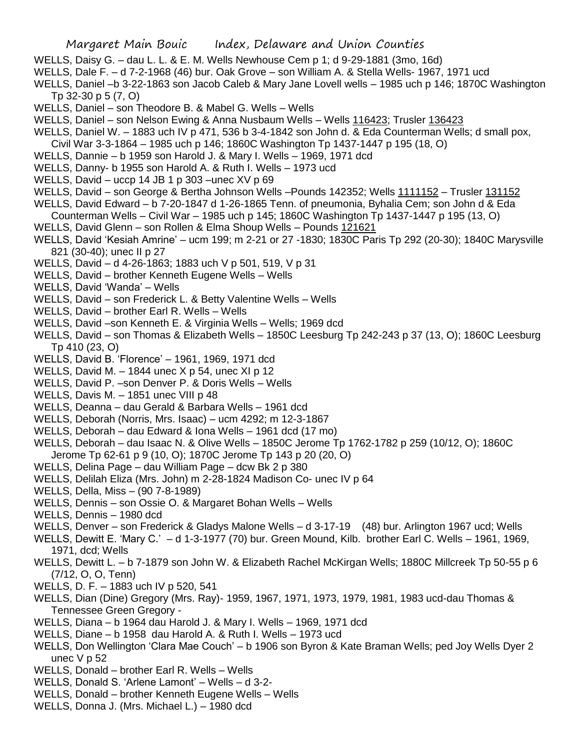- WELLS, Daisy G. dau L. L. & E. M. Wells Newhouse Cem p 1; d 9-29-1881 (3mo, 16d)
- WELLS, Dale F. d 7-2-1968 (46) bur. Oak Grove son William A. & Stella Wells- 1967, 1971 ucd
- WELLS, Daniel –b 3-22-1863 son Jacob Caleb & Mary Jane Lovell wells 1985 uch p 146; 1870C Washington Tp 32-30 p 5 (7, O)
- WELLS, Daniel son Theodore B. & Mabel G. Wells Wells
- WELLS, Daniel son Nelson Ewing & Anna Nusbaum Wells Wells 116423; Trusler 136423
- WELLS, Daniel W. 1883 uch IV p 471, 536 b 3-4-1842 son John d. & Eda Counterman Wells; d small pox, Civil War 3-3-1864 – 1985 uch p 146; 1860C Washington Tp 1437-1447 p 195 (18, O)
- WELLS, Dannie b 1959 son Harold J. & Mary I. Wells 1969, 1971 dcd
- WELLS, Danny- b 1955 son Harold A. & Ruth I. Wells 1973 ucd
- WELLS, David uccp 14 JB 1 p 303 –unec XV p 69
- WELLS, David son George & Bertha Johnson Wells –Pounds 142352; Wells 1111152 Trusler 131152
- WELLS, David Edward b 7-20-1847 d 1-26-1865 Tenn. of pneumonia, Byhalia Cem; son John d & Eda Counterman Wells – Civil War – 1985 uch p 145; 1860C Washington Tp 1437-1447 p 195 (13, O)
- WELLS, David Glenn son Rollen & Elma Shoup Wells Pounds 121621
- WELLS, David 'Kesiah Amrine' ucm 199; m 2-21 or 27 -1830; 1830C Paris Tp 292 (20-30); 1840C Marysville 821 (30-40); unec II p 27
- WELLS, David d 4-26-1863; 1883 uch V p 501, 519, V p 31
- WELLS, David brother Kenneth Eugene Wells Wells
- WELLS, David 'Wanda' Wells
- WELLS, David son Frederick L. & Betty Valentine Wells Wells
- WELLS, David brother Earl R. Wells Wells
- WELLS, David –son Kenneth E. & Virginia Wells Wells; 1969 dcd
- WELLS, David son Thomas & Elizabeth Wells 1850C Leesburg Tp 242-243 p 37 (13, O); 1860C Leesburg Tp 410 (23, O)
- WELLS, David B. 'Florence' 1961, 1969, 1971 dcd
- WELLS, David M.  $-$  1844 unec X p 54, unec XI p 12
- WELLS, David P. –son Denver P. & Doris Wells Wells
- WELLS, Davis M. 1851 unec VIII p 48
- WELLS, Deanna dau Gerald & Barbara Wells 1961 dcd
- WELLS, Deborah (Norris, Mrs. Isaac) ucm 4292; m 12-3-1867
- WELLS, Deborah dau Edward & Iona Wells 1961 dcd (17 mo)
- WELLS, Deborah dau Isaac N. & Olive Wells 1850C Jerome Tp 1762-1782 p 259 (10/12, O); 1860C Jerome Tp 62-61 p 9 (10, O); 1870C Jerome Tp 143 p 20 (20, O)
- WELLS, Delina Page dau William Page dcw Bk 2 p 380
- WELLS, Delilah Eliza (Mrs. John) m 2-28-1824 Madison Co- unec IV p 64
- WELLS, Della, Miss (90 7-8-1989)
- WELLS, Dennis son Ossie O. & Margaret Bohan Wells Wells
- WELLS, Dennis 1980 dcd
- WELLS, Denver son Frederick & Gladys Malone Wells d 3-17-19 (48) bur. Arlington 1967 ucd; Wells
- WELLS, Dewitt E. 'Mary C.' d 1-3-1977 (70) bur. Green Mound, Kilb. brother Earl C. Wells 1961, 1969, 1971, dcd; Wells
- WELLS, Dewitt L. b 7-1879 son John W. & Elizabeth Rachel McKirgan Wells; 1880C Millcreek Tp 50-55 p 6 (7/12, O, O, Tenn)
- WELLS, D. F. 1883 uch IV p 520, 541
- WELLS, Dian (Dine) Gregory (Mrs. Ray)- 1959, 1967, 1971, 1973, 1979, 1981, 1983 ucd-dau Thomas & Tennessee Green Gregory -
- WELLS, Diana b 1964 dau Harold J. & Mary I. Wells 1969, 1971 dcd
- WELLS, Diane b 1958 dau Harold A. & Ruth I. Wells 1973 ucd
- WELLS, Don Wellington 'Clara Mae Couch' b 1906 son Byron & Kate Braman Wells; ped Joy Wells Dyer 2 unec  $V$  p 52
- WELLS, Donald brother Earl R. Wells Wells
- WELLS, Donald S. 'Arlene Lamont' Wells d 3-2-
- WELLS, Donald brother Kenneth Eugene Wells Wells
- WELLS, Donna J. (Mrs. Michael L.) 1980 dcd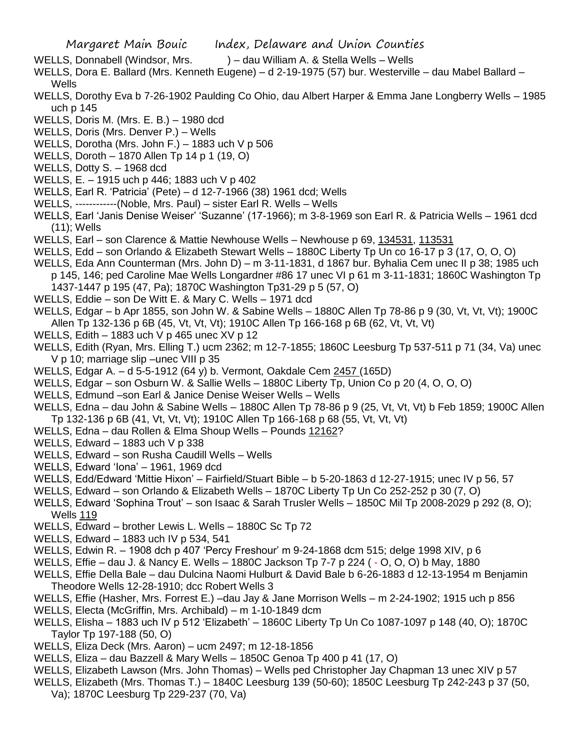- WELLS, Donnabell (Windsor, Mrs. ) dau William A. & Stella Wells Wells
- WELLS, Dora E. Ballard (Mrs. Kenneth Eugene) d 2-19-1975 (57) bur. Westerville dau Mabel Ballard Wells
- WELLS, Dorothy Eva b 7-26-1902 Paulding Co Ohio, dau Albert Harper & Emma Jane Longberry Wells 1985 uch p 145
- WELLS, Doris M. (Mrs. E. B.) 1980 dcd
- WELLS, Doris (Mrs. Denver P.) Wells
- WELLS, Dorotha (Mrs. John F.) 1883 uch V p 506
- WELLS, Doroth 1870 Allen Tp 14 p 1 (19, O)
- WELLS, Dotty S. 1968 dcd
- WELLS, E. 1915 uch p 446; 1883 uch V p 402
- WELLS, Earl R. 'Patricia' (Pete) d 12-7-1966 (38) 1961 dcd; Wells
- WELLS, ------------(Noble, Mrs. Paul) sister Earl R. Wells Wells
- WELLS, Earl 'Janis Denise Weiser' 'Suzanne' (17-1966); m 3-8-1969 son Earl R. & Patricia Wells 1961 dcd (11); Wells
- WELLS, Earl son Clarence & Mattie Newhouse Wells Newhouse p 69, 134531, 113531
- WELLS, Edd son Orlando & Elizabeth Stewart Wells 1880C Liberty Tp Un co 16-17 p 3 (17, O, O, O)
- WELLS, Eda Ann Counterman (Mrs. John D) m 3-11-1831, d 1867 bur. Byhalia Cem unec II p 38; 1985 uch p 145, 146; ped Caroline Mae Wells Longardner #86 17 unec VI p 61 m 3-11-1831; 1860C Washington Tp 1437-1447 p 195 (47, Pa); 1870C Washington Tp31-29 p 5 (57, O)
- WELLS, Eddie son De Witt E. & Mary C. Wells 1971 dcd
- WELLS, Edgar b Apr 1855, son John W. & Sabine Wells 1880C Allen Tp 78-86 p 9 (30, Vt, Vt, Vt); 1900C Allen Tp 132-136 p 6B (45, Vt, Vt, Vt); 1910C Allen Tp 166-168 p 6B (62, Vt, Vt, Vt)
- WELLS, Edith  $-$  1883 uch V p 465 unec XV p 12
- WELLS, Edith (Ryan, Mrs. Elling T.) ucm 2362; m 12-7-1855; 1860C Leesburg Tp 537-511 p 71 (34, Va) unec V p 10; marriage slip –unec VIII p 35
- WELLS, Edgar A. d 5-5-1912 (64 y) b. Vermont, Oakdale Cem 2457 (165D)
- WELLS, Edgar son Osburn W. & Sallie Wells 1880C Liberty Tp, Union Co p 20 (4, O, O, O)
- WELLS, Edmund –son Earl & Janice Denise Weiser Wells Wells
- WELLS, Edna dau John & Sabine Wells 1880C Allen Tp 78-86 p 9 (25, Vt, Vt, Vt) b Feb 1859; 1900C Allen Tp 132-136 p 6B (41, Vt, Vt, Vt); 1910C Allen Tp 166-168 p 68 (55, Vt, Vt, Vt)
- WELLS, Edna dau Rollen & Elma Shoup Wells Pounds 12162?
- WELLS, Edward 1883 uch V p 338
- WELLS, Edward son Rusha Caudill Wells Wells
- WELLS, Edward 'Iona' 1961, 1969 dcd
- WELLS, Edd/Edward 'Mittie Hixon' Fairfield/Stuart Bible b 5-20-1863 d 12-27-1915; unec IV p 56, 57
- WELLS, Edward son Orlando & Elizabeth Wells 1870C Liberty Tp Un Co 252-252 p 30 (7, O)
- WELLS, Edward 'Sophina Trout' son Isaac & Sarah Trusler Wells 1850C Mil Tp 2008-2029 p 292 (8, O); Wells 119
- WELLS, Edward brother Lewis L. Wells 1880C Sc Tp 72
- WELLS, Edward 1883 uch IV p 534, 541
- WELLS, Edwin R. 1908 dch p 407 'Percy Freshour' m 9-24-1868 dcm 515; delge 1998 XIV, p 6
- WELLS, Effie dau J. & Nancy E. Wells 1880C Jackson Tp 7-7 p 224 ( O, O, O) b May, 1880
- WELLS, Effie Della Bale dau Dulcina Naomi Hulburt & David Bale b 6-26-1883 d 12-13-1954 m Benjamin Theodore Wells 12-28-1910; dcc Robert Wells 3
- WELLS, Effie (Hasher, Mrs. Forrest E.) –dau Jay & Jane Morrison Wells m 2-24-1902; 1915 uch p 856
- WELLS, Electa (McGriffin, Mrs. Archibald) m 1-10-1849 dcm
- WELLS, Elisha 1883 uch IV p 512 'Elizabeth' 1860C Liberty Tp Un Co 1087-1097 p 148 (40, O); 1870C Taylor Tp 197-188 (50, O)
- WELLS, Eliza Deck (Mrs. Aaron) ucm 2497; m 12-18-1856
- WELLS, Eliza dau Bazzell & Mary Wells 1850C Genoa Tp 400 p 41 (17, O)
- WELLS, Elizabeth Lawson (Mrs. John Thomas) Wells ped Christopher Jay Chapman 13 unec XIV p 57
- WELLS, Elizabeth (Mrs. Thomas T.) 1840C Leesburg 139 (50-60); 1850C Leesburg Tp 242-243 p 37 (50, Va); 1870C Leesburg Tp 229-237 (70, Va)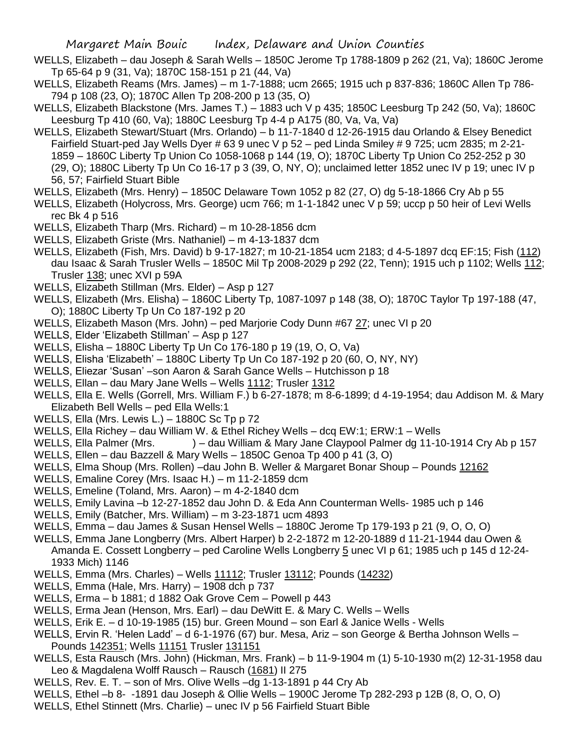WELLS, Elizabeth – dau Joseph & Sarah Wells – 1850C Jerome Tp 1788-1809 p 262 (21, Va); 1860C Jerome Tp 65-64 p 9 (31, Va); 1870C 158-151 p 21 (44, Va)

- WELLS, Elizabeth Reams (Mrs. James) m 1-7-1888; ucm 2665; 1915 uch p 837-836; 1860C Allen Tp 786- 794 p 108 (23, O); 1870C Allen Tp 208-200 p 13 (35, O)
- WELLS, Elizabeth Blackstone (Mrs. James T.) 1883 uch V p 435; 1850C Leesburg Tp 242 (50, Va); 1860C Leesburg Tp 410 (60, Va); 1880C Leesburg Tp 4-4 p A175 (80, Va, Va, Va)
- WELLS, Elizabeth Stewart/Stuart (Mrs. Orlando) b 11-7-1840 d 12-26-1915 dau Orlando & Elsey Benedict Fairfield Stuart-ped Jay Wells Dyer # 63 9 unec V p 52 – ped Linda Smiley # 9 725; ucm 2835; m 2-21- 1859 – 1860C Liberty Tp Union Co 1058-1068 p 144 (19, O); 1870C Liberty Tp Union Co 252-252 p 30 (29, O); 1880C Liberty Tp Un Co 16-17 p 3 (39, O, NY, O); unclaimed letter 1852 unec IV p 19; unec IV p 56, 57; Fairfield Stuart Bible
- WELLS, Elizabeth (Mrs. Henry) 1850C Delaware Town 1052 p 82 (27, O) dg 5-18-1866 Cry Ab p 55
- WELLS, Elizabeth (Holycross, Mrs. George) ucm 766; m 1-1-1842 unec V p 59; uccp p 50 heir of Levi Wells rec Bk 4 p 516
- WELLS, Elizabeth Tharp (Mrs. Richard) m 10-28-1856 dcm
- WELLS, Elizabeth Griste (Mrs. Nathaniel) m 4-13-1837 dcm
- WELLS, Elizabeth (Fish, Mrs. David) b 9-17-1827; m 10-21-1854 ucm 2183; d 4-5-1897 dcq EF:15; Fish (112) dau Isaac & Sarah Trusler Wells – 1850C Mil Tp 2008-2029 p 292 (22, Tenn); 1915 uch p 1102; Wells 112; Trusler 138; unec XVI p 59A
- WELLS, Elizabeth Stillman (Mrs. Elder) Asp p 127
- WELLS, Elizabeth (Mrs. Elisha) 1860C Liberty Tp, 1087-1097 p 148 (38, O); 1870C Taylor Tp 197-188 (47, O); 1880C Liberty Tp Un Co 187-192 p 20
- WELLS, Elizabeth Mason (Mrs. John) ped Marjorie Cody Dunn #67 27; unec VI p 20
- WELLS, Elder 'Elizabeth Stillman' Asp p 127
- WELLS, Elisha 1880C Liberty Tp Un Co 176-180 p 19 (19, O, O, Va)
- WELLS, Elisha 'Elizabeth' 1880C Liberty Tp Un Co 187-192 p 20 (60, O, NY, NY)
- WELLS, Eliezar 'Susan' –son Aaron & Sarah Gance Wells Hutchisson p 18
- WELLS, Ellan dau Mary Jane Wells Wells 1112; Trusler 1312
- WELLS, Ella E. Wells (Gorrell, Mrs. William F.) b 6-27-1878; m 8-6-1899; d 4-19-1954; dau Addison M. & Mary Elizabeth Bell Wells – ped Ella Wells:1
- WELLS, Ella (Mrs. Lewis L.) 1880C Sc Tp p 72
- WELLS, Ella Richey dau William W. & Ethel Richey Wells dcq EW:1; ERW:1 Wells
- WELLS, Ella Palmer (Mrs. ) dau William & Mary Jane Claypool Palmer dg 11-10-1914 Cry Ab p 157
- WELLS, Ellen dau Bazzell & Mary Wells 1850C Genoa Tp 400 p 41 (3, O)
- WELLS, Elma Shoup (Mrs. Rollen) –dau John B. Weller & Margaret Bonar Shoup Pounds 12162
- WELLS, Emaline Corey (Mrs. Isaac H.) m 11-2-1859 dcm
- WELLS, Emeline (Toland, Mrs. Aaron) m 4-2-1840 dcm
- WELLS, Emily Lavina –b 12-27-1852 dau John D. & Eda Ann Counterman Wells- 1985 uch p 146
- WELLS, Emily (Batcher, Mrs. William) m 3-23-1871 ucm 4893
- WELLS, Emma dau James & Susan Hensel Wells 1880C Jerome Tp 179-193 p 21 (9, O, O, O)
- WELLS, Emma Jane Longberry (Mrs. Albert Harper) b 2-2-1872 m 12-20-1889 d 11-21-1944 dau Owen & Amanda E. Cossett Longberry – ped Caroline Wells Longberry 5 unec VI p 61; 1985 uch p 145 d 12-24-1933 Mich) 1146
- WELLS, Emma (Mrs. Charles) Wells 11112; Trusler 13112; Pounds (14232)
- WELLS, Emma (Hale, Mrs. Harry) 1908 dch p 737
- WELLS, Erma b 1881; d 1882 Oak Grove Cem Powell p 443
- WELLS, Erma Jean (Henson, Mrs. Earl) dau DeWitt E. & Mary C. Wells Wells
- WELLS, Erik E. d 10-19-1985 (15) bur. Green Mound son Earl & Janice Wells Wells
- WELLS, Ervin R. 'Helen Ladd' d 6-1-1976 (67) bur. Mesa, Ariz son George & Bertha Johnson Wells Pounds 142351; Wells 11151 Trusler 131151
- WELLS, Esta Rausch (Mrs. John) (Hickman, Mrs. Frank) b 11-9-1904 m (1) 5-10-1930 m(2) 12-31-1958 dau Leo & Magdalena Wolff Rausch - Rausch (1681) II 275
- WELLS, Rev. E. T. son of Mrs. Olive Wells –dg 1-13-1891 p 44 Cry Ab
- WELLS, Ethel –b 8- -1891 dau Joseph & Ollie Wells 1900C Jerome Tp 282-293 p 12B (8, O, O, O)
- WELLS, Ethel Stinnett (Mrs. Charlie) unec IV p 56 Fairfield Stuart Bible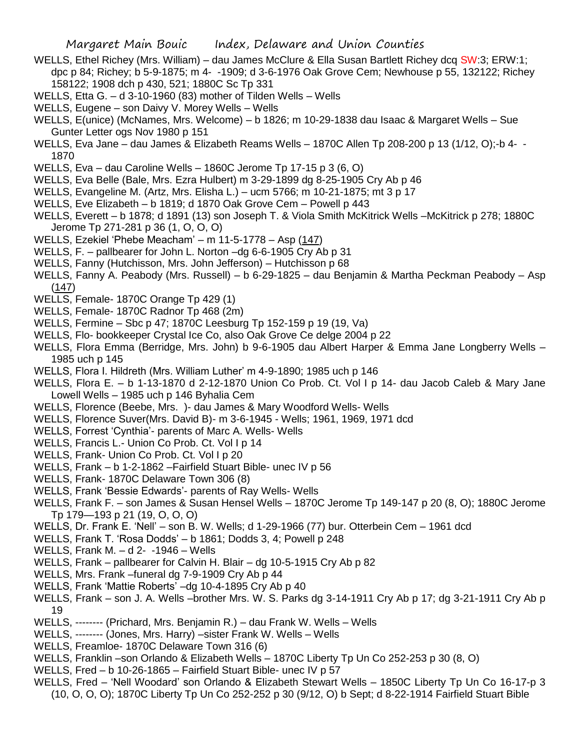- WELLS, Ethel Richey (Mrs. William) dau James McClure & Ella Susan Bartlett Richey dcq SW:3; ERW:1; dpc p 84; Richey; b 5-9-1875; m 4- -1909; d 3-6-1976 Oak Grove Cem; Newhouse p 55, 132122; Richey 158122; 1908 dch p 430, 521; 1880C Sc Tp 331
- WELLS, Etta G. d 3-10-1960 (83) mother of Tilden Wells Wells
- WELLS, Eugene son Daivy V. Morey Wells Wells
- WELLS, E(unice) (McNames, Mrs. Welcome) b 1826; m 10-29-1838 dau Isaac & Margaret Wells Sue Gunter Letter ogs Nov 1980 p 151
- WELLS, Eva Jane dau James & Elizabeth Reams Wells 1870C Allen Tp 208-200 p 13 (1/12, O);-b 4- 1870
- WELLS, Eva dau Caroline Wells 1860C Jerome Tp 17-15 p 3 (6, O)
- WELLS, Eva Belle (Bale, Mrs. Ezra Hulbert) m 3-29-1899 dg 8-25-1905 Cry Ab p 46
- WELLS, Evangeline M. (Artz, Mrs. Elisha L.) ucm 5766; m 10-21-1875; mt 3 p 17
- WELLS, Eve Elizabeth b 1819; d 1870 Oak Grove Cem Powell p 443
- WELLS, Everett b 1878; d 1891 (13) son Joseph T. & Viola Smith McKitrick Wells –McKitrick p 278; 1880C Jerome Tp 271-281 p 36 (1, O, O, O)
- WELLS, Ezekiel 'Phebe Meacham' m 11-5-1778 Asp (147)
- WELLS, F. pallbearer for John L. Norton –dg 6-6-1905 Cry Ab p 31
- WELLS, Fanny (Hutchisson, Mrs. John Jefferson) Hutchisson p 68
- WELLS, Fanny A. Peabody (Mrs. Russell) b 6-29-1825 dau Benjamin & Martha Peckman Peabody Asp  $(147)$
- WELLS, Female- 1870C Orange Tp 429 (1)
- WELLS, Female- 1870C Radnor Tp 468 (2m)
- WELLS, Fermine Sbc p 47; 1870C Leesburg Tp 152-159 p 19 (19, Va)
- WELLS, Flo- bookkeeper Crystal Ice Co, also Oak Grove Ce delge 2004 p 22
- WELLS, Flora Emma (Berridge, Mrs. John) b 9-6-1905 dau Albert Harper & Emma Jane Longberry Wells 1985 uch p 145
- WELLS, Flora I. Hildreth (Mrs. William Luther' m 4-9-1890; 1985 uch p 146
- WELLS, Flora E. b 1-13-1870 d 2-12-1870 Union Co Prob. Ct. Vol I p 14- dau Jacob Caleb & Mary Jane Lowell Wells – 1985 uch p 146 Byhalia Cem
- WELLS, Florence (Beebe, Mrs. )- dau James & Mary Woodford Wells- Wells
- WELLS, Florence Suver(Mrs. David B)- m 3-6-1945 Wells; 1961, 1969, 1971 dcd
- WELLS, Forrest 'Cynthia'- parents of Marc A. Wells- Wells
- WELLS, Francis L.- Union Co Prob. Ct. Vol I p 14
- WELLS, Frank- Union Co Prob. Ct. Vol I p 20
- WELLS, Frank b 1-2-1862 –Fairfield Stuart Bible- unec IV p 56
- WELLS, Frank- 1870C Delaware Town 306 (8)
- WELLS, Frank 'Bessie Edwards'- parents of Ray Wells- Wells
- WELLS, Frank F. son James & Susan Hensel Wells 1870C Jerome Tp 149-147 p 20 (8, O); 1880C Jerome Tp 179—193 p 21 (19, O, O, O)
- WELLS, Dr. Frank E. 'Nell' son B. W. Wells; d 1-29-1966 (77) bur. Otterbein Cem 1961 dcd
- WELLS, Frank T. 'Rosa Dodds' b 1861; Dodds 3, 4; Powell p 248
- WELLS, Frank M. d 2- -1946 Wells
- WELLS, Frank pallbearer for Calvin H. Blair dg 10-5-1915 Cry Ab p 82
- WELLS, Mrs. Frank –funeral dg 7-9-1909 Cry Ab p 44
- WELLS, Frank 'Mattie Roberts' –dg 10-4-1895 Cry Ab p 40
- WELLS, Frank son J. A. Wells –brother Mrs. W. S. Parks dg 3-14-1911 Cry Ab p 17; dg 3-21-1911 Cry Ab p 19
- WELLS, -------- (Prichard, Mrs. Benjamin R.) dau Frank W. Wells Wells
- WELLS, -------- (Jones, Mrs. Harry) –sister Frank W. Wells Wells
- WELLS, Freamloe- 1870C Delaware Town 316 (6)
- WELLS, Franklin –son Orlando & Elizabeth Wells 1870C Liberty Tp Un Co 252-253 p 30 (8, O)
- WELLS, Fred b 10-26-1865 Fairfield Stuart Bible- unec IV p 57
- WELLS, Fred 'Nell Woodard' son Orlando & Elizabeth Stewart Wells 1850C Liberty Tp Un Co 16-17-p 3
	- (10, O, O, O); 1870C Liberty Tp Un Co 252-252 p 30 (9/12, O) b Sept; d 8-22-1914 Fairfield Stuart Bible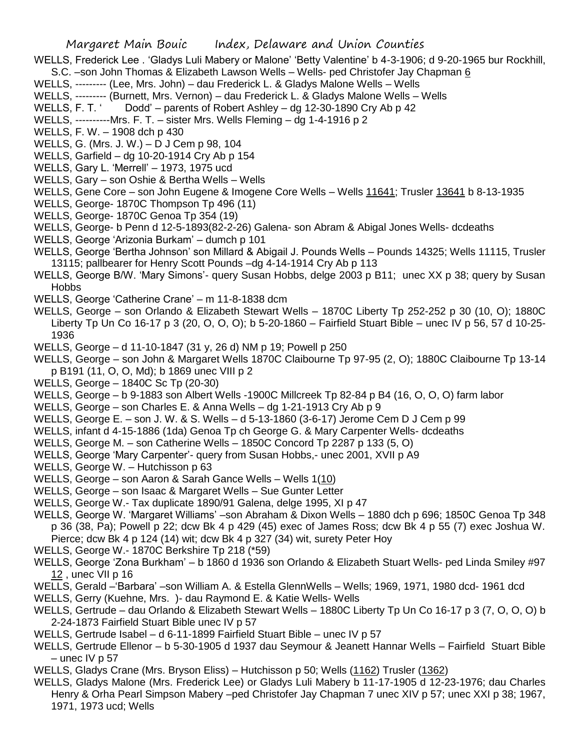- WELLS, Frederick Lee . 'Gladys Luli Mabery or Malone' 'Betty Valentine' b 4-3-1906; d 9-20-1965 bur Rockhill, S.C. –son John Thomas & Elizabeth Lawson Wells – Wells- ped Christofer Jay Chapman 6
- WELLS, --------- (Lee, Mrs. John) dau Frederick L. & Gladys Malone Wells Wells
- WELLS, --------- (Burnett, Mrs. Vernon) dau Frederick L. & Gladys Malone Wells Wells
- WELLS, F. T. ' Dodd' parents of Robert Ashley dg 12-30-1890 Cry Ab p 42
- WELLS, ----------Mrs. F. T. sister Mrs. Wells Fleming dg 1-4-1916 p 2
- WELLS, F. W. 1908 dch p 430
- WELLS, G. (Mrs. J. W.) D J Cem p 98, 104
- WELLS, Garfield dg 10-20-1914 Cry Ab p 154
- WELLS, Gary L. 'Merrell' 1973, 1975 ucd
- WELLS, Gary son Oshie & Bertha Wells Wells
- WELLS, Gene Core son John Eugene & Imogene Core Wells Wells 11641; Trusler 13641 b 8-13-1935
- WELLS, George- 1870C Thompson Tp 496 (11)
- WELLS, George- 1870C Genoa Tp 354 (19)
- WELLS, George- b Penn d 12-5-1893(82-2-26) Galena- son Abram & Abigal Jones Wells- dcdeaths
- WELLS, George 'Arizonia Burkam' dumch p 101
- WELLS, George 'Bertha Johnson' son Millard & Abigail J. Pounds Wells Pounds 14325; Wells 11115, Trusler 13115; pallbearer for Henry Scott Pounds –dg 4-14-1914 Cry Ab p 113
- WELLS, George B/W. 'Mary Simons'- query Susan Hobbs, delge 2003 p B11; unec XX p 38; query by Susan **Hobbs**
- WELLS, George 'Catherine Crane' m 11-8-1838 dcm
- WELLS, George son Orlando & Elizabeth Stewart Wells 1870C Liberty Tp 252-252 p 30 (10, O); 1880C Liberty Tp Un Co 16-17 p 3 (20, O, O, O); b 5-20-1860 – Fairfield Stuart Bible – unec IV p 56, 57 d 10-25- 1936
- WELLS, George d 11-10-1847 (31 y, 26 d) NM p 19; Powell p 250
- WELLS, George son John & Margaret Wells 1870C Claibourne Tp 97-95 (2, O); 1880C Claibourne Tp 13-14 p B191 (11, O, O, Md); b 1869 unec VIII p 2
- WELLS, George 1840C Sc Tp (20-30)
- WELLS, George b 9-1883 son Albert Wells -1900C Millcreek Tp 82-84 p B4 (16, O, O, O) farm labor
- WELLS, George son Charles E. & Anna Wells dg 1-21-1913 Cry Ab p 9
- WELLS, George E. son J. W. & S. Wells d 5-13-1860 (3-6-17) Jerome Cem D J Cem p 99
- WELLS, infant d 4-15-1886 (1da) Genoa Tp ch George G. & Mary Carpenter Wells- dcdeaths
- WELLS, George M. son Catherine Wells 1850C Concord Tp 2287 p 133 (5, O)
- WELLS, George 'Mary Carpenter'- query from Susan Hobbs,- unec 2001, XVII p A9
- WELLS, George W. Hutchisson p 63
- WELLS, George son Aaron & Sarah Gance Wells Wells 1(10)
- WELLS, George son Isaac & Margaret Wells Sue Gunter Letter
- WELLS, George W.- Tax duplicate 1890/91 Galena, delge 1995, XI p 47
- WELLS, George W. 'Margaret Williams' –son Abraham & Dixon Wells 1880 dch p 696; 1850C Genoa Tp 348 p 36 (38, Pa); Powell p 22; dcw Bk 4 p 429 (45) exec of James Ross; dcw Bk 4 p 55 (7) exec Joshua W. Pierce; dcw Bk 4 p 124 (14) wit; dcw Bk 4 p 327 (34) wit, surety Peter Hoy
- WELLS, George W.- 1870C Berkshire Tp 218 (\*59)
- WELLS, George 'Zona Burkham' b 1860 d 1936 son Orlando & Elizabeth Stuart Wells- ped Linda Smiley #97 12 , unec VII p 16
- WELLS, Gerald –'Barbara' –son William A. & Estella GlennWells Wells; 1969, 1971, 1980 dcd- 1961 dcd
- WELLS, Gerry (Kuehne, Mrs. )- dau Raymond E. & Katie Wells- Wells
- WELLS, Gertrude dau Orlando & Elizabeth Stewart Wells 1880C Liberty Tp Un Co 16-17 p 3 (7, O, O, O) b 2-24-1873 Fairfield Stuart Bible unec IV p 57
- WELLS, Gertrude Isabel d 6-11-1899 Fairfield Stuart Bible unec IV p 57
- WELLS, Gertrude Ellenor b 5-30-1905 d 1937 dau Seymour & Jeanett Hannar Wells Fairfield Stuart Bible  $-$  unec IV p 57
- WELLS, Gladys Crane (Mrs. Bryson Eliss) Hutchisson p 50; Wells (1162) Trusler (1362)
- WELLS, Gladys Malone (Mrs. Frederick Lee) or Gladys Luli Mabery b 11-17-1905 d 12-23-1976; dau Charles Henry & Orha Pearl Simpson Mabery –ped Christofer Jay Chapman 7 unec XIV p 57; unec XXI p 38; 1967, 1971, 1973 ucd; Wells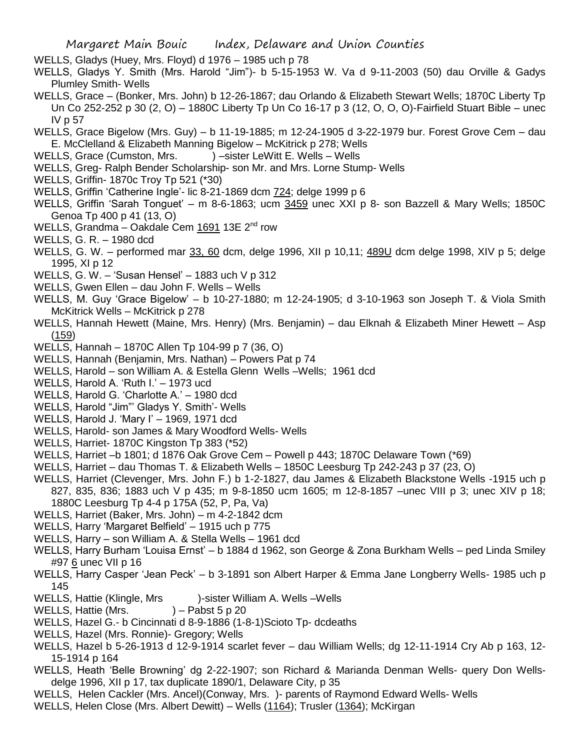- WELLS, Gladys (Huey, Mrs. Floyd) d 1976 1985 uch p 78
- WELLS, Gladys Y. Smith (Mrs. Harold "Jim")- b 5-15-1953 W. Va d 9-11-2003 (50) dau Orville & Gadys Plumley Smith- Wells
- WELLS, Grace (Bonker, Mrs. John) b 12-26-1867; dau Orlando & Elizabeth Stewart Wells; 1870C Liberty Tp Un Co 252-252 p 30 (2, O) – 1880C Liberty Tp Un Co 16-17 p 3 (12, O, O, O)-Fairfield Stuart Bible – unec IV p 57
- WELLS, Grace Bigelow (Mrs. Guy) b 11-19-1885; m 12-24-1905 d 3-22-1979 bur. Forest Grove Cem dau E. McClelland & Elizabeth Manning Bigelow – McKitrick p 278; Wells
- WELLS, Grace (Cumston, Mrs. ) sister LeWitt E. Wells Wells
- WELLS, Greg- Ralph Bender Scholarship- son Mr. and Mrs. Lorne Stump- Wells
- WELLS, Griffin- 1870c Troy Tp 521 (\*30)
- WELLS, Griffin 'Catherine Ingle'- lic 8-21-1869 dcm 724; delge 1999 p 6
- WELLS, Griffin 'Sarah Tonguet' m 8-6-1863; ucm 3459 unec XXI p 8- son Bazzell & Mary Wells; 1850C Genoa Tp 400 p 41 (13, O)
- WELLS, Grandma Oakdale Cem 1691 13E 2<sup>nd</sup> row
- WELLS, G. R. 1980 dcd
- WELLS, G. W. performed mar 33, 60 dcm, delge 1996, XII p 10,11; 489U dcm delge 1998, XIV p 5; delge 1995, XI p 12
- WELLS, G. W. 'Susan Hensel' 1883 uch V p 312
- WELLS, Gwen Ellen dau John F. Wells Wells
- WELLS, M. Guy 'Grace Bigelow' b 10-27-1880; m 12-24-1905; d 3-10-1963 son Joseph T. & Viola Smith McKitrick Wells – McKitrick p 278
- WELLS, Hannah Hewett (Maine, Mrs. Henry) (Mrs. Benjamin) dau Elknah & Elizabeth Miner Hewett Asp (159)
- WELLS, Hannah 1870C Allen Tp 104-99 p 7 (36, O)
- WELLS, Hannah (Benjamin, Mrs. Nathan) Powers Pat p 74
- WELLS, Harold son William A. & Estella Glenn Wells –Wells; 1961 dcd
- WELLS, Harold A. 'Ruth I.' 1973 ucd
- WELLS, Harold G. 'Charlotte A.' 1980 dcd
- WELLS, Harold "Jim"' Gladys Y. Smith'- Wells
- WELLS, Harold J. 'Mary I' 1969, 1971 dcd
- WELLS, Harold- son James & Mary Woodford Wells- Wells
- WELLS, Harriet- 1870C Kingston Tp 383 (\*52)
- WELLS, Harriet –b 1801; d 1876 Oak Grove Cem Powell p 443; 1870C Delaware Town (\*69)
- WELLS, Harriet dau Thomas T. & Elizabeth Wells 1850C Leesburg Tp 242-243 p 37 (23, O)
- WELLS, Harriet (Clevenger, Mrs. John F.) b 1-2-1827, dau James & Elizabeth Blackstone Wells -1915 uch p 827, 835, 836; 1883 uch V p 435; m 9-8-1850 ucm 1605; m 12-8-1857 –unec VIII p 3; unec XIV p 18; 1880C Leesburg Tp 4-4 p 175A (52, P, Pa, Va)
- WELLS, Harriet (Baker, Mrs. John) m 4-2-1842 dcm
- WELLS, Harry 'Margaret Belfield' 1915 uch p 775
- WELLS, Harry son William A. & Stella Wells 1961 dcd
- WELLS, Harry Burham 'Louisa Ernst' b 1884 d 1962, son George & Zona Burkham Wells ped Linda Smiley #97 6 unec VII p 16
- WELLS, Harry Casper 'Jean Peck' b 3-1891 son Albert Harper & Emma Jane Longberry Wells- 1985 uch p 145
- WELLS, Hattie (Klingle, Mrs )-sister William A. Wells Wells
- WELLS, Hattie (Mrs.  $) -$  Pabst 5 p 20
- WELLS, Hazel G.- b Cincinnati d 8-9-1886 (1-8-1)Scioto Tp- dcdeaths
- WELLS, Hazel (Mrs. Ronnie)- Gregory; Wells
- WELLS, Hazel b 5-26-1913 d 12-9-1914 scarlet fever dau William Wells; dg 12-11-1914 Cry Ab p 163, 12- 15-1914 p 164
- WELLS, Heath 'Belle Browning' dg 2-22-1907; son Richard & Marianda Denman Wells- query Don Wellsdelge 1996, XII p 17, tax duplicate 1890/1, Delaware City, p 35
- WELLS, Helen Cackler (Mrs. Ancel)(Conway, Mrs. )- parents of Raymond Edward Wells- Wells
- WELLS, Helen Close (Mrs. Albert Dewitt) Wells (1164); Trusler (1364); McKirgan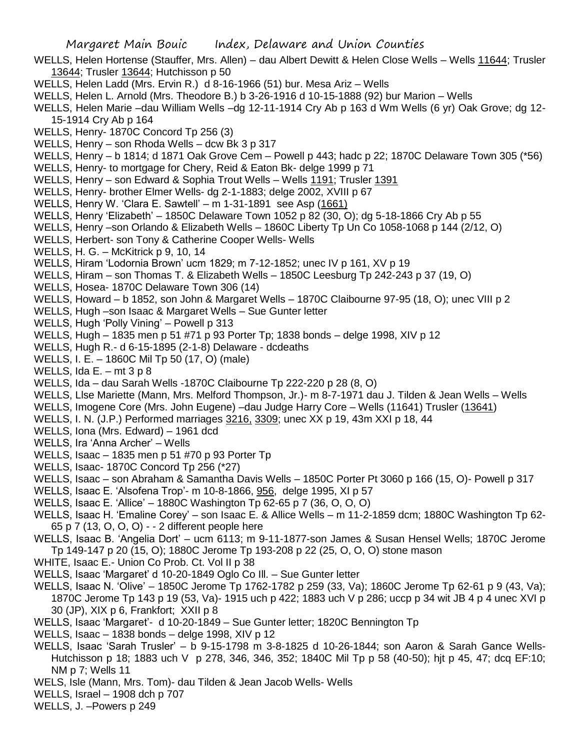- WELLS, Helen Hortense (Stauffer, Mrs. Allen) dau Albert Dewitt & Helen Close Wells Wells 11644; Trusler 13644; Trusler 13644; Hutchisson p 50
- WELLS, Helen Ladd (Mrs. Ervin R.) d 8-16-1966 (51) bur. Mesa Ariz Wells
- WELLS, Helen L. Arnold (Mrs. Theodore B.) b 3-26-1916 d 10-15-1888 (92) bur Marion Wells
- WELLS, Helen Marie –dau William Wells –dg 12-11-1914 Cry Ab p 163 d Wm Wells (6 yr) Oak Grove; dg 12- 15-1914 Cry Ab p 164
- WELLS, Henry- 1870C Concord Tp 256 (3)
- WELLS, Henry son Rhoda Wells dcw Bk 3 p 317
- WELLS, Henry b 1814; d 1871 Oak Grove Cem Powell p 443; hadc p 22; 1870C Delaware Town 305 (\*56)
- WELLS, Henry- to mortgage for Chery, Reid & Eaton Bk- delge 1999 p 71
- WELLS, Henry son Edward & Sophia Trout Wells Wells 1191; Trusler 1391
- WELLS, Henry- brother Elmer Wells- dg 2-1-1883; delge 2002, XVIII p 67
- WELLS, Henry W. 'Clara E. Sawtell' m 1-31-1891 see Asp (1661)
- WELLS, Henry 'Elizabeth' 1850C Delaware Town 1052 p 82 (30, O); dg 5-18-1866 Cry Ab p 55
- WELLS, Henry –son Orlando & Elizabeth Wells 1860C Liberty Tp Un Co 1058-1068 p 144 (2/12, O)
- WELLS, Herbert- son Tony & Catherine Cooper Wells- Wells
- WELLS, H. G. McKitrick p 9, 10, 14
- WELLS, Hiram 'Lodornia Brown' ucm 1829; m 7-12-1852; unec IV p 161, XV p 19
- WELLS, Hiram son Thomas T. & Elizabeth Wells 1850C Leesburg Tp 242-243 p 37 (19, O)
- WELLS, Hosea- 1870C Delaware Town 306 (14)
- WELLS, Howard b 1852, son John & Margaret Wells 1870C Claibourne 97-95 (18, O); unec VIII p 2
- WELLS, Hugh –son Isaac & Margaret Wells Sue Gunter letter
- WELLS, Hugh 'Polly Vining' Powell p 313
- WELLS, Hugh 1835 men p 51 #71 p 93 Porter Tp; 1838 bonds delge 1998, XIV p 12
- WELLS, Hugh R.- d 6-15-1895 (2-1-8) Delaware dcdeaths
- WELLS, I. E. 1860C Mil Tp 50 (17, O) (male)
- WELLS, Ida  $E = m t 3 p 8$
- WELLS, Ida dau Sarah Wells -1870C Claibourne Tp 222-220 p 28 (8, O)
- WELLS, Llse Mariette (Mann, Mrs. Melford Thompson, Jr.)- m 8-7-1971 dau J. Tilden & Jean Wells Wells
- WELLS, Imogene Core (Mrs. John Eugene) –dau Judge Harry Core Wells (11641) Trusler (13641)
- WELLS, I. N. (J.P.) Performed marriages 3216, 3309; unec XX p 19, 43m XXI p 18, 44
- WELLS, Iona (Mrs. Edward) 1961 dcd
- WELLS, Ira 'Anna Archer' Wells
- WELLS, Isaac 1835 men p 51 #70 p 93 Porter Tp
- WELLS, Isaac- 1870C Concord Tp 256 (\*27)
- WELLS, Isaac son Abraham & Samantha Davis Wells 1850C Porter Pt 3060 p 166 (15, O)- Powell p 317
- WELLS, Isaac E. 'Alsofena Trop'- m 10-8-1866, 956, delge 1995, XI p 57
- WELLS, Isaac E. 'Allice' 1880C Washington Tp 62-65 p 7 (36, O, O, O)
- WELLS, Isaac H. 'Emaline Corey' son Isaac E. & Allice Wells m 11-2-1859 dcm; 1880C Washington Tp 62- 65 p 7 (13, O, O, O) - - 2 different people here
- WELLS, Isaac B. 'Angelia Dort' ucm 6113; m 9-11-1877-son James & Susan Hensel Wells; 1870C Jerome Tp 149-147 p 20 (15, O); 1880C Jerome Tp 193-208 p 22 (25, O, O, O) stone mason
- WHITE, Isaac E.- Union Co Prob. Ct. Vol II p 38
- WELLS, Isaac 'Margaret' d 10-20-1849 Oglo Co Ill. Sue Gunter letter
- WELLS, Isaac N. 'Olive' 1850C Jerome Tp 1762-1782 p 259 (33, Va); 1860C Jerome Tp 62-61 p 9 (43, Va); 1870C Jerome Tp 143 p 19 (53, Va)- 1915 uch p 422; 1883 uch V p 286; uccp p 34 wit JB 4 p 4 unec XVI p 30 (JP), XIX p 6, Frankfort; XXII p 8
- WELLS, Isaac 'Margaret'- d 10-20-1849 Sue Gunter letter; 1820C Bennington Tp
- WELLS, Isaac 1838 bonds delge 1998, XIV p 12
- WELLS, Isaac 'Sarah Trusler' b 9-15-1798 m 3-8-1825 d 10-26-1844; son Aaron & Sarah Gance Wells-Hutchisson p 18; 1883 uch V p 278, 346, 346, 352; 1840C Mil Tp p 58 (40-50); hjt p 45, 47; dcq EF:10; NM p 7; Wells 11
- WELS, Isle (Mann, Mrs. Tom)- dau Tilden & Jean Jacob Wells- Wells
- WELLS, Israel 1908 dch p 707
- WELLS, J. –Powers p 249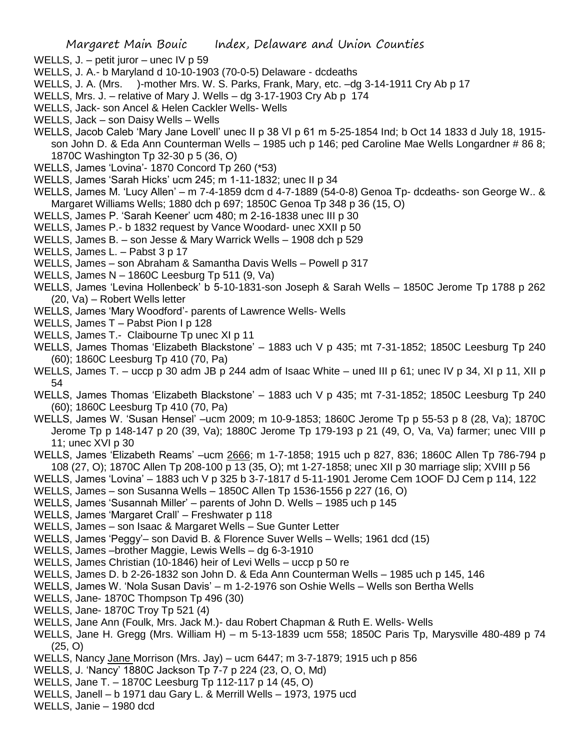- WELLS, J. petit juror unec IV p 59
- WELLS, J. A.- b Maryland d 10-10-1903 (70-0-5) Delaware dcdeaths
- WELLS, J. A. (Mrs. )-mother Mrs. W. S. Parks, Frank, Mary, etc. –dg 3-14-1911 Cry Ab p 17
- WELLS, Mrs. J. relative of Mary J. Wells dg 3-17-1903 Cry Ab p 174
- WELLS, Jack- son Ancel & Helen Cackler Wells- Wells
- WELLS, Jack son Daisy Wells Wells
- WELLS, Jacob Caleb 'Mary Jane Lovell' unec II p 38 VI p 61 m 5-25-1854 Ind; b Oct 14 1833 d July 18, 1915 son John D. & Eda Ann Counterman Wells – 1985 uch p 146; ped Caroline Mae Wells Longardner # 86 8; 1870C Washington Tp 32-30 p 5 (36, O)
- WELLS, James 'Lovina'- 1870 Concord Tp 260 (\*53)
- WELLS, James 'Sarah Hicks' ucm 245; m 1-11-1832; unec II p 34
- WELLS, James M. 'Lucy Allen' m 7-4-1859 dcm d 4-7-1889 (54-0-8) Genoa Tp- dcdeaths- son George W.. & Margaret Williams Wells; 1880 dch p 697; 1850C Genoa Tp 348 p 36 (15, O)
- WELLS, James P. 'Sarah Keener' ucm 480; m 2-16-1838 unec III p 30
- WELLS, James P.- b 1832 request by Vance Woodard- unec XXII p 50
- WELLS, James B. son Jesse & Mary Warrick Wells 1908 dch p 529
- WELLS, James L. Pabst 3 p 17
- WELLS, James son Abraham & Samantha Davis Wells Powell p 317
- WELLS, James N 1860C Leesburg Tp 511 (9, Va)
- WELLS, James 'Levina Hollenbeck' b 5-10-1831-son Joseph & Sarah Wells 1850C Jerome Tp 1788 p 262 (20, Va) – Robert Wells letter
- WELLS, James 'Mary Woodford'- parents of Lawrence Wells- Wells
- WELLS, James T Pabst Pion I p 128
- WELLS, James T.- Claibourne Tp unec XI p 11
- WELLS, James Thomas 'Elizabeth Blackstone' 1883 uch V p 435; mt 7-31-1852; 1850C Leesburg Tp 240 (60); 1860C Leesburg Tp 410 (70, Pa)
- WELLS, James T. uccp p 30 adm JB p 244 adm of Isaac White uned III p 61; unec IV p 34, XI p 11, XII p 54
- WELLS, James Thomas 'Elizabeth Blackstone' 1883 uch V p 435; mt 7-31-1852; 1850C Leesburg Tp 240 (60); 1860C Leesburg Tp 410 (70, Pa)
- WELLS, James W. 'Susan Hensel' –ucm 2009; m 10-9-1853; 1860C Jerome Tp p 55-53 p 8 (28, Va); 1870C Jerome Tp p 148-147 p 20 (39, Va); 1880C Jerome Tp 179-193 p 21 (49, O, Va, Va) farmer; unec VIII p 11; unec XVI p 30
- WELLS, James 'Elizabeth Reams' –ucm 2666; m 1-7-1858; 1915 uch p 827, 836; 1860C Allen Tp 786-794 p 108 (27, O); 1870C Allen Tp 208-100 p 13 (35, O); mt 1-27-1858; unec XII p 30 marriage slip; XVIII p 56
- WELLS, James 'Lovina' 1883 uch V p 325 b 3-7-1817 d 5-11-1901 Jerome Cem 1OOF DJ Cem p 114, 122
- WELLS, James son Susanna Wells 1850C Allen Tp 1536-1556 p 227 (16, O)
- WELLS, James 'Susannah Miller' parents of John D. Wells 1985 uch p 145
- WELLS, James 'Margaret Crall' Freshwater p 118
- WELLS, James son Isaac & Margaret Wells Sue Gunter Letter
- WELLS, James 'Peggy'– son David B. & Florence Suver Wells Wells; 1961 dcd (15)
- WELLS, James –brother Maggie, Lewis Wells dg 6-3-1910
- WELLS, James Christian (10-1846) heir of Levi Wells uccp p 50 re
- WELLS, James D. b 2-26-1832 son John D. & Eda Ann Counterman Wells 1985 uch p 145, 146
- WELLS, James W. 'Nola Susan Davis' m 1-2-1976 son Oshie Wells Wells son Bertha Wells
- WELLS, Jane- 1870C Thompson Tp 496 (30)
- WELLS, Jane- 1870C Troy Tp 521 (4)
- WELLS, Jane Ann (Foulk, Mrs. Jack M.)- dau Robert Chapman & Ruth E. Wells- Wells
- WELLS, Jane H. Gregg (Mrs. William H) m 5-13-1839 ucm 558; 1850C Paris Tp, Marysville 480-489 p 74  $(25, 0)$
- WELLS, Nancy Jane Morrison (Mrs. Jay) ucm 6447; m 3-7-1879; 1915 uch p 856
- WELLS, J. 'Nancy' 1880C Jackson Tp 7-7 p 224 (23, O, O, Md)
- WELLS, Jane T. 1870C Leesburg Tp 112-117 p 14 (45, O)
- WELLS, Janell b 1971 dau Gary L. & Merrill Wells 1973, 1975 ucd
- WELLS, Janie 1980 dcd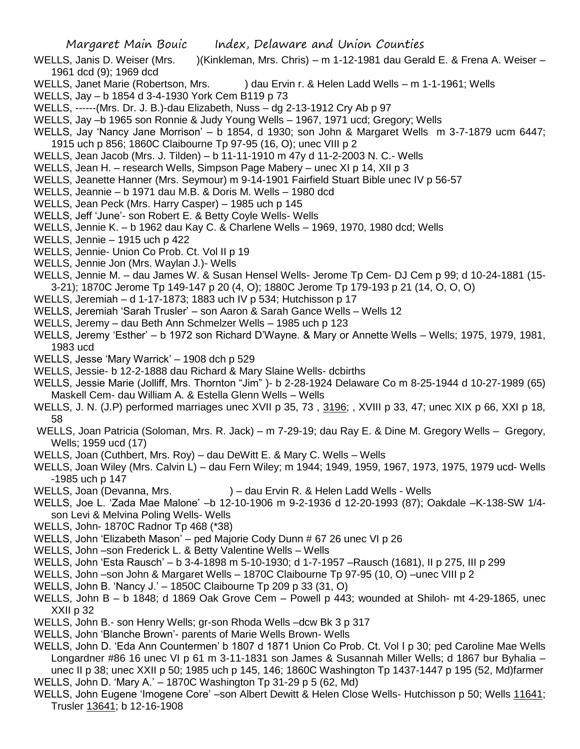- WELLS, Janis D. Weiser (Mrs. )(Kinkleman, Mrs. Chris) m 1-12-1981 dau Gerald E. & Frena A. Weiser 1961 dcd (9); 1969 dcd
- WELLS, Janet Marie (Robertson, Mrs. ) dau Ervin r. & Helen Ladd Wells m 1-1-1961; Wells
- WELLS, Jay b 1854 d 3-4-1930 York Cem B119 p 73
- WELLS, ------(Mrs. Dr. J. B.)-dau Elizabeth, Nuss dg 2-13-1912 Cry Ab p 97
- WELLS, Jay –b 1965 son Ronnie & Judy Young Wells 1967, 1971 ucd; Gregory; Wells
- WELLS, Jay 'Nancy Jane Morrison' b 1854, d 1930; son John & Margaret Wells m 3-7-1879 ucm 6447; 1915 uch p 856; 1860C Claibourne Tp 97-95 (16, O); unec VIII p 2
- WELLS, Jean Jacob (Mrs. J. Tilden) b 11-11-1910 m 47y d 11-2-2003 N. C.- Wells
- WELLS, Jean H. research Wells, Simpson Page Mabery unec XI p 14, XII p 3
- WELLS, Jeanette Hanner (Mrs. Seymour) m 9-14-1901 Fairfield Stuart Bible unec IV p 56-57
- WELLS, Jeannie b 1971 dau M.B. & Doris M. Wells 1980 dcd
- WELLS, Jean Peck (Mrs. Harry Casper) 1985 uch p 145
- WELLS, Jeff 'June'- son Robert E. & Betty Coyle Wells- Wells
- WELLS, Jennie K. b 1962 dau Kay C. & Charlene Wells 1969, 1970, 1980 dcd; Wells
- WELLS, Jennie 1915 uch p 422
- WELLS, Jennie- Union Co Prob. Ct. Vol II p 19
- WELLS, Jennie Jon (Mrs. Waylan J.)- Wells
- WELLS, Jennie M. dau James W. & Susan Hensel Wells- Jerome Tp Cem- DJ Cem p 99; d 10-24-1881 (15- 3-21); 1870C Jerome Tp 149-147 p 20 (4, O); 1880C Jerome Tp 179-193 p 21 (14, O, O, O)
- WELLS, Jeremiah d 1-17-1873; 1883 uch IV p 534; Hutchisson p 17
- WELLS, Jeremiah 'Sarah Trusler' son Aaron & Sarah Gance Wells Wells 12
- WELLS, Jeremy dau Beth Ann Schmelzer Wells 1985 uch p 123
- WELLS, Jeremy 'Esther' b 1972 son Richard D'Wayne. & Mary or Annette Wells Wells; 1975, 1979, 1981, 1983 ucd
- WELLS, Jesse 'Mary Warrick' 1908 dch p 529
- WELLS, Jessie- b 12-2-1888 dau Richard & Mary Slaine Wells- dcbirths
- WELLS, Jessie Marie (Jolliff, Mrs. Thornton "Jim" )- b 2-28-1924 Delaware Co m 8-25-1944 d 10-27-1989 (65) Maskell Cem- dau William A. & Estella Glenn Wells – Wells
- WELLS, J. N. (J.P) performed marriages unec XVII p 35, 73, 3196; , XVIII p 33, 47; unec XIX p 66, XXI p 18, 58
- WELLS, Joan Patricia (Soloman, Mrs. R. Jack) m 7-29-19; dau Ray E. & Dine M. Gregory Wells Gregory, Wells; 1959 ucd (17)
- WELLS, Joan (Cuthbert, Mrs. Roy) dau DeWitt E. & Mary C. Wells Wells
- WELLS, Joan Wiley (Mrs. Calvin L) dau Fern Wiley; m 1944; 1949, 1959, 1967, 1973, 1975, 1979 ucd- Wells -1985 uch p 147
- WELLS, Joan (Devanna, Mrs. ) dau Ervin R. & Helen Ladd Wells Wells
- WELLS, Joe L. 'Zada Mae Malone' -- 12-10-1906 m 9-2-1936 d 12-20-1993 (87); Oakdale -- K-138-SW 1/4son Levi & Melvina Poling Wells- Wells
- WELLS, John- 1870C Radnor Tp 468 (\*38)
- WELLS, John 'Elizabeth Mason' ped Majorie Cody Dunn # 67 26 unec VI p 26
- WELLS, John –son Frederick L. & Betty Valentine Wells Wells
- WELLS, John 'Esta Rausch' b 3-4-1898 m 5-10-1930; d 1-7-1957 –Rausch (1681), II p 275, III p 299
- WELLS, John –son John & Margaret Wells 1870C Claibourne Tp 97-95 (10, O) –unec VIII p 2
- WELLS, John B. 'Nancy J.' 1850C Claibourne Tp 209 p 33 (31, O)
- WELLS, John B b 1848; d 1869 Oak Grove Cem Powell p 443; wounded at Shiloh- mt 4-29-1865, unec XXII p 32
- WELLS, John B.- son Henry Wells; gr-son Rhoda Wells –dcw Bk 3 p 317
- WELLS, John 'Blanche Brown'- parents of Marie Wells Brown- Wells
- WELLS, John D. 'Eda Ann Countermen' b 1807 d 1871 Union Co Prob. Ct. Vol I p 30; ped Caroline Mae Wells Longardner #86 16 unec VI p 61 m 3-11-1831 son James & Susannah Miller Wells; d 1867 bur Byhalia – unec II p 38; unec XXII p 50; 1985 uch p 145, 146; 1860C Washington Tp 1437-1447 p 195 (52, Md)farmer WELLS, John D. 'Mary A.' – 1870C Washington Tp 31-29 p 5 (62, Md)
- WELLS, John Eugene 'Imogene Core' –son Albert Dewitt & Helen Close Wells- Hutchisson p 50; Wells 11641; Trusler 13641; b 12-16-1908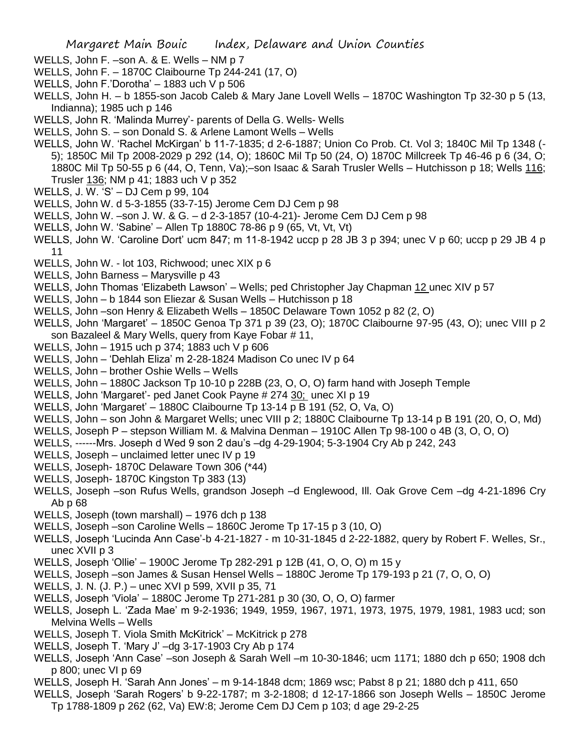- WELLS, John F. –son A. & E. Wells NM p 7
- WELLS, John F. 1870C Claibourne Tp 244-241 (17, O)
- WELLS, John F.'Dorotha' 1883 uch V p 506
- WELLS, John H. b 1855-son Jacob Caleb & Mary Jane Lovell Wells 1870C Washington Tp 32-30 p 5 (13, Indianna); 1985 uch p 146
- WELLS, John R. 'Malinda Murrey'- parents of Della G. Wells- Wells
- WELLS, John S. son Donald S. & Arlene Lamont Wells Wells
- WELLS, John W. 'Rachel McKirgan' b 11-7-1835; d 2-6-1887; Union Co Prob. Ct. Vol 3; 1840C Mil Tp 1348 (- 5); 1850C Mil Tp 2008-2029 p 292 (14, O); 1860C Mil Tp 50 (24, O) 1870C Millcreek Tp 46-46 p 6 (34, O; 1880C Mil Tp 50-55 p 6 (44, O, Tenn, Va);–son Isaac & Sarah Trusler Wells – Hutchisson p 18; Wells 116; Trusler 136; NM p 41; 1883 uch V p 352
- WELLS, J. W. 'S' DJ Cem p 99, 104
- WELLS, John W. d 5-3-1855 (33-7-15) Jerome Cem DJ Cem p 98
- WELLS, John W. –son J. W. & G. d 2-3-1857 (10-4-21)- Jerome Cem DJ Cem p 98
- WELLS, John W. 'Sabine' Allen Tp 1880C 78-86 p 9 (65, Vt, Vt, Vt)
- WELLS, John W. 'Caroline Dort' ucm 847; m 11-8-1942 uccp p 28 JB 3 p 394; unec V p 60; uccp p 29 JB 4 p 11
- WELLS, John W. lot 103, Richwood; unec XIX p 6
- WELLS, John Barness Marysville p 43
- WELLS, John Thomas 'Elizabeth Lawson' Wells; ped Christopher Jay Chapman 12 unec XIV p 57
- WELLS, John b 1844 son Eliezar & Susan Wells Hutchisson p 18
- WELLS, John –son Henry & Elizabeth Wells 1850C Delaware Town 1052 p 82 (2, O)
- WELLS, John 'Margaret' 1850C Genoa Tp 371 p 39 (23, O); 1870C Claibourne 97-95 (43, O); unec VIII p 2 son Bazaleel & Mary Wells, query from Kaye Fobar # 11,
- WELLS, John 1915 uch p 374; 1883 uch V p 606
- WELLS, John 'Dehlah Eliza' m 2-28-1824 Madison Co unec IV p 64
- WELLS, John brother Oshie Wells Wells
- WELLS, John 1880C Jackson Tp 10-10 p 228B (23, O, O, O) farm hand with Joseph Temple
- WELLS, John 'Margaret'- ped Janet Cook Payne # 274 30; unec XI p 19
- WELLS, John 'Margaret' 1880C Claibourne Tp 13-14 p B 191 (52, O, Va, O)
- WELLS, John son John & Margaret Wells; unec VIII p 2; 1880C Claibourne Tp 13-14 p B 191 (20, O, O, Md)
- WELLS, Joseph P stepson William M. & Malvina Denman 1910C Allen Tp 98-100 o 4B (3, O, O, O)
- WELLS, ------Mrs. Joseph d Wed 9 son 2 dau's –dg 4-29-1904; 5-3-1904 Cry Ab p 242, 243
- WELLS, Joseph unclaimed letter unec IV p 19
- WELLS, Joseph- 1870C Delaware Town 306 (\*44)
- WELLS, Joseph- 1870C Kingston Tp 383 (13)
- WELLS, Joseph –son Rufus Wells, grandson Joseph –d Englewood, Ill. Oak Grove Cem –dg 4-21-1896 Cry Ab p 68
- WELLS, Joseph (town marshall) 1976 dch p 138
- WELLS, Joseph –son Caroline Wells 1860C Jerome Tp 17-15 p 3 (10, O)
- WELLS, Joseph 'Lucinda Ann Case'-b 4-21-1827 m 10-31-1845 d 2-22-1882, query by Robert F. Welles, Sr., unec XVII p 3
- WELLS, Joseph 'Ollie' 1900C Jerome Tp 282-291 p 12B (41, O, O, O) m 15 y
- WELLS, Joseph –son James & Susan Hensel Wells 1880C Jerome Tp 179-193 p 21 (7, O, O, O)
- WELLS, J. N. (J. P.) unec XVI p 599, XVII p 35, 71
- WELLS, Joseph 'Viola' 1880C Jerome Tp 271-281 p 30 (30, O, O, O) farmer
- WELLS, Joseph L. 'Zada Mae' m 9-2-1936; 1949, 1959, 1967, 1971, 1973, 1975, 1979, 1981, 1983 ucd; son Melvina Wells – Wells
- WELLS, Joseph T. Viola Smith McKitrick' McKitrick p 278
- WELLS, Joseph T. 'Mary J' –dg 3-17-1903 Cry Ab p 174
- WELLS, Joseph 'Ann Case' –son Joseph & Sarah Well –m 10-30-1846; ucm 1171; 1880 dch p 650; 1908 dch p 800; unec VI p 69
- WELLS, Joseph H. 'Sarah Ann Jones' m 9-14-1848 dcm; 1869 wsc; Pabst 8 p 21; 1880 dch p 411, 650
- WELLS, Joseph 'Sarah Rogers' b 9-22-1787; m 3-2-1808; d 12-17-1866 son Joseph Wells 1850C Jerome
	- Tp 1788-1809 p 262 (62, Va) EW:8; Jerome Cem DJ Cem p 103; d age 29-2-25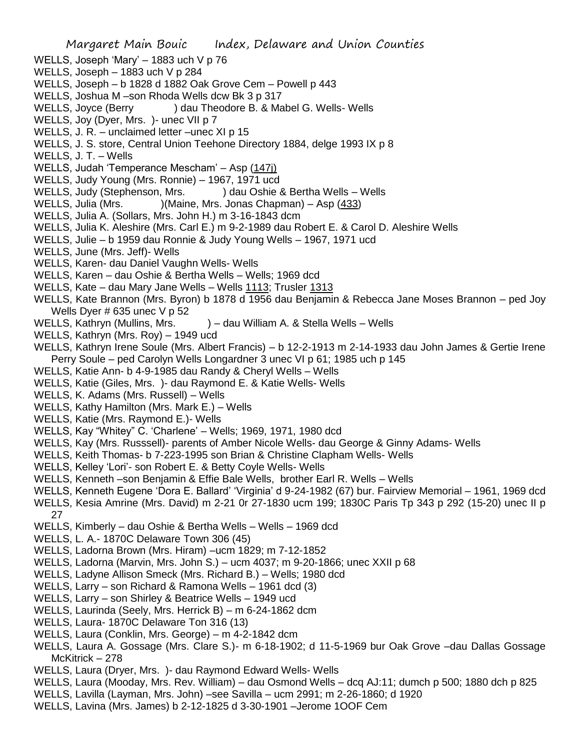- WELLS, Joseph 'Mary' 1883 uch V p 76
- WELLS, Joseph 1883 uch V p 284
- WELLS, Joseph b 1828 d 1882 Oak Grove Cem Powell p 443
- WELLS, Joshua M –son Rhoda Wells dcw Bk 3 p 317
- WELLS, Joyce (Berry ) dau Theodore B. & Mabel G. Wells- Wells
- WELLS, Joy (Dyer, Mrs. )- unec VII p 7
- WELLS, J. R. unclaimed letter –unec XI p 15
- WELLS, J. S. store, Central Union Teehone Directory 1884, delge 1993 IX p 8
- WELLS, J. T. Wells
- WELLS, Judah 'Temperance Mescham' Asp (147j)
- WELLS, Judy Young (Mrs. Ronnie) 1967, 1971 ucd
- WELLS, Judy (Stephenson, Mrs. ) dau Oshie & Bertha Wells Wells
- WELLS, Julia (Mrs. )(Maine, Mrs. Jonas Chapman) Asp (433)
- WELLS, Julia A. (Sollars, Mrs. John H.) m 3-16-1843 dcm
- WELLS, Julia K. Aleshire (Mrs. Carl E.) m 9-2-1989 dau Robert E. & Carol D. Aleshire Wells
- WELLS, Julie b 1959 dau Ronnie & Judy Young Wells 1967, 1971 ucd
- WELLS, June (Mrs. Jeff)- Wells
- WELLS, Karen- dau Daniel Vaughn Wells- Wells
- WELLS, Karen dau Oshie & Bertha Wells Wells; 1969 dcd
- WELLS, Kate dau Mary Jane Wells Wells 1113; Trusler 1313
- WELLS, Kate Brannon (Mrs. Byron) b 1878 d 1956 dau Benjamin & Rebecca Jane Moses Brannon ped Joy Wells Dyer # 635 unec V p 52
- WELLS, Kathryn (Mullins, Mrs. ) dau William A. & Stella Wells Wells
- WELLS, Kathryn (Mrs. Roy) 1949 ucd
- WELLS, Kathryn Irene Soule (Mrs. Albert Francis) b 12-2-1913 m 2-14-1933 dau John James & Gertie Irene Perry Soule – ped Carolyn Wells Longardner 3 unec VI p 61; 1985 uch p 145
- WELLS, Katie Ann- b 4-9-1985 dau Randy & Cheryl Wells Wells
- WELLS, Katie (Giles, Mrs. )- dau Raymond E. & Katie Wells- Wells
- WELLS, K. Adams (Mrs. Russell) Wells
- WELLS, Kathy Hamilton (Mrs. Mark E.) Wells
- WELLS, Katie (Mrs. Raymond E.)- Wells
- WELLS, Kay "Whitey" C. 'Charlene' Wells; 1969, 1971, 1980 dcd
- WELLS, Kay (Mrs. Russsell)- parents of Amber Nicole Wells- dau George & Ginny Adams- Wells
- WELLS, Keith Thomas- b 7-223-1995 son Brian & Christine Clapham Wells- Wells
- WELLS, Kelley 'Lori'- son Robert E. & Betty Coyle Wells- Wells
- WELLS, Kenneth –son Benjamin & Effie Bale Wells, brother Earl R. Wells Wells
- WELLS, Kenneth Eugene 'Dora E. Ballard' 'Virginia' d 9-24-1982 (67) bur. Fairview Memorial 1961, 1969 dcd
- WELLS, Kesia Amrine (Mrs. David) m 2-21 0r 27-1830 ucm 199; 1830C Paris Tp 343 p 292 (15-20) unec II p 27
- WELLS, Kimberly dau Oshie & Bertha Wells Wells 1969 dcd
- WELLS, L. A.- 1870C Delaware Town 306 (45)
- WELLS, Ladorna Brown (Mrs. Hiram) –ucm 1829; m 7-12-1852
- WELLS, Ladorna (Marvin, Mrs. John S.) ucm 4037; m 9-20-1866; unec XXII p 68
- WELLS, Ladyne Allison Smeck (Mrs. Richard B.) Wells; 1980 dcd
- WELLS, Larry son Richard & Ramona Wells 1961 dcd (3)
- WELLS, Larry son Shirley & Beatrice Wells 1949 ucd
- WELLS, Laurinda (Seely, Mrs. Herrick B) m 6-24-1862 dcm
- WELLS, Laura- 1870C Delaware Ton 316 (13)
- WELLS, Laura (Conklin, Mrs. George) m 4-2-1842 dcm
- WELLS, Laura A. Gossage (Mrs. Clare S.)- m 6-18-1902; d 11-5-1969 bur Oak Grove –dau Dallas Gossage McKitrick – 278
- WELLS, Laura (Dryer, Mrs. )- dau Raymond Edward Wells- Wells
- WELLS, Laura (Mooday, Mrs. Rev. William) dau Osmond Wells dcq AJ:11; dumch p 500; 1880 dch p 825
- WELLS, Lavilla (Layman, Mrs. John) –see Savilla ucm 2991; m 2-26-1860; d 1920
- WELLS, Lavina (Mrs. James) b 2-12-1825 d 3-30-1901 –Jerome 1OOF Cem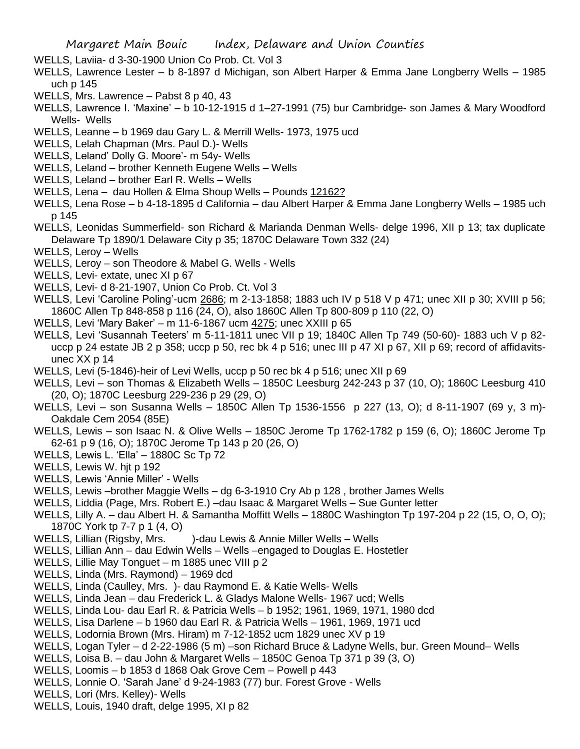- WELLS, Laviia- d 3-30-1900 Union Co Prob. Ct. Vol 3
- WELLS, Lawrence Lester b 8-1897 d Michigan, son Albert Harper & Emma Jane Longberry Wells 1985 uch p 145
- WELLS, Mrs. Lawrence Pabst 8 p 40, 43
- WELLS, Lawrence I. 'Maxine' b 10-12-1915 d 1–27-1991 (75) bur Cambridge- son James & Mary Woodford Wells- Wells
- WELLS, Leanne b 1969 dau Gary L. & Merrill Wells- 1973, 1975 ucd
- WELLS, Lelah Chapman (Mrs. Paul D.)- Wells
- WELLS, Leland' Dolly G. Moore'- m 54y- Wells
- WELLS, Leland brother Kenneth Eugene Wells Wells
- WELLS, Leland brother Earl R. Wells Wells
- WELLS, Lena dau Hollen & Elma Shoup Wells Pounds 12162?
- WELLS, Lena Rose b 4-18-1895 d California dau Albert Harper & Emma Jane Longberry Wells 1985 uch p 145
- WELLS, Leonidas Summerfield- son Richard & Marianda Denman Wells- delge 1996, XII p 13; tax duplicate Delaware Tp 1890/1 Delaware City p 35; 1870C Delaware Town 332 (24)
- WELLS, Leroy Wells
- WELLS, Leroy son Theodore & Mabel G. Wells Wells
- WELLS, Levi- extate, unec XI p 67
- WELLS, Levi- d 8-21-1907, Union Co Prob. Ct. Vol 3
- WELLS, Levi 'Caroline Poling'-ucm 2686; m 2-13-1858; 1883 uch IV p 518 V p 471; unec XII p 30; XVIII p 56; 1860C Allen Tp 848-858 p 116 (24, O), also 1860C Allen Tp 800-809 p 110 (22, O)
- WELLS, Levi 'Mary Baker' m 11-6-1867 ucm 4275; unec XXIII p 65
- WELLS, Levi 'Susannah Teeters' m 5-11-1811 unec VII p 19; 1840C Allen Tp 749 (50-60)- 1883 uch V p 82 uccp p 24 estate JB 2 p 358; uccp p 50, rec bk 4 p 516; unec III p 47 XI p 67, XII p 69; record of affidavitsunec XX p 14
- WELLS, Levi (5-1846)-heir of Levi Wells, uccp p 50 rec bk 4 p 516; unec XII p 69
- WELLS, Levi son Thomas & Elizabeth Wells 1850C Leesburg 242-243 p 37 (10, O); 1860C Leesburg 410 (20, O); 1870C Leesburg 229-236 p 29 (29, O)
- WELLS, Levi son Susanna Wells 1850C Allen Tp 1536-1556 p 227 (13, O); d 8-11-1907 (69 y, 3 m)- Oakdale Cem 2054 (85E)
- WELLS, Lewis son Isaac N. & Olive Wells 1850C Jerome Tp 1762-1782 p 159 (6, O); 1860C Jerome Tp 62-61 p 9 (16, O); 1870C Jerome Tp 143 p 20 (26, O)
- WELLS, Lewis L. 'Ella' 1880C Sc Tp 72
- WELLS, Lewis W. hjt p 192
- WELLS, Lewis 'Annie Miller' Wells
- WELLS, Lewis –brother Maggie Wells dg 6-3-1910 Cry Ab p 128 , brother James Wells
- WELLS, Liddia (Page, Mrs. Robert E.) –dau Isaac & Margaret Wells Sue Gunter letter
- WELLS, Lilly A. dau Albert H. & Samantha Moffitt Wells 1880C Washington Tp 197-204 p 22 (15, O, O, O); 1870C York tp 7-7 p 1 (4, O)
- WELLS, Lillian (Rigsby, Mrs. )-dau Lewis & Annie Miller Wells Wells
- WELLS, Lillian Ann dau Edwin Wells Wells –engaged to Douglas E. Hostetler
- WELLS, Lillie May Tonguet m 1885 unec VIII p 2
- WELLS, Linda (Mrs. Raymond) 1969 dcd
- WELLS, Linda (Caulley, Mrs. )- dau Raymond E. & Katie Wells- Wells
- WELLS, Linda Jean dau Frederick L. & Gladys Malone Wells- 1967 ucd; Wells
- WELLS, Linda Lou- dau Earl R. & Patricia Wells b 1952; 1961, 1969, 1971, 1980 dcd
- WELLS, Lisa Darlene b 1960 dau Earl R. & Patricia Wells 1961, 1969, 1971 ucd
- WELLS, Lodornia Brown (Mrs. Hiram) m 7-12-1852 ucm 1829 unec XV p 19
- WELLS, Logan Tyler d 2-22-1986 (5 m) –son Richard Bruce & Ladyne Wells, bur. Green Mound– Wells
- WELLS, Loisa B. dau John & Margaret Wells 1850C Genoa Tp 371 p 39 (3, O)
- WELLS, Loomis b 1853 d 1868 Oak Grove Cem Powell p 443
- WELLS, Lonnie O. 'Sarah Jane' d 9-24-1983 (77) bur. Forest Grove Wells
- WELLS, Lori (Mrs. Kelley)- Wells
- WELLS, Louis, 1940 draft, delge 1995, XI p 82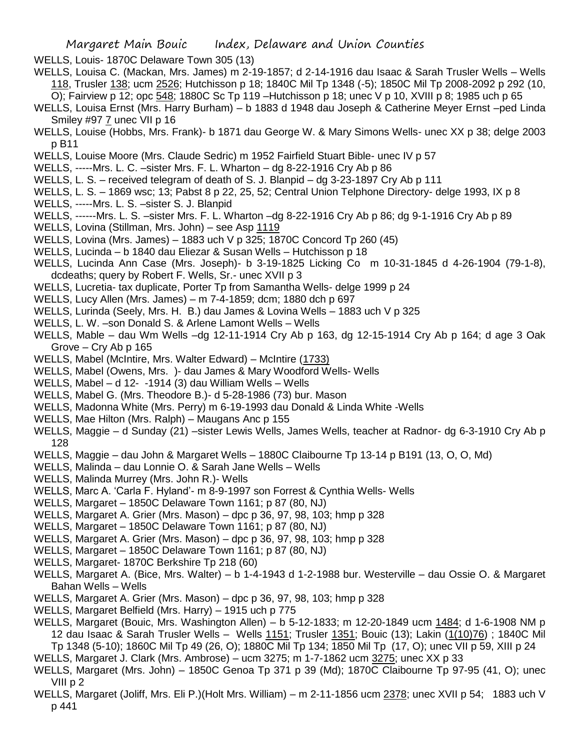- WELLS, Louis- 1870C Delaware Town 305 (13)
- WELLS, Louisa C. (Mackan, Mrs. James) m 2-19-1857; d 2-14-1916 dau Isaac & Sarah Trusler Wells Wells 118, Trusler 138; ucm 2526; Hutchisson p 18; 1840C Mil Tp 1348 (-5); 1850C Mil Tp 2008-2092 p 292 (10,
- O); Fairview p 12; opc 548; 1880C Sc Tp 119 –Hutchisson p 18; unec V p 10, XVIII p 8; 1985 uch p 65
- WELLS, Louisa Ernst (Mrs. Harry Burham) b 1883 d 1948 dau Joseph & Catherine Meyer Ernst –ped Linda Smiley #97 7 unec VII p 16
- WELLS, Louise (Hobbs, Mrs. Frank)- b 1871 dau George W. & Mary Simons Wells- unec XX p 38; delge 2003 p B11
- WELLS, Louise Moore (Mrs. Claude Sedric) m 1952 Fairfield Stuart Bible- unec IV p 57
- WELLS, -----Mrs. L. C. –sister Mrs. F. L. Wharton dg 8-22-1916 Cry Ab p 86
- WELLS, L. S. received telegram of death of S. J. Blanpid dg 3-23-1897 Cry Ab p 111
- WELLS, L. S. 1869 wsc; 13; Pabst 8 p 22, 25, 52; Central Union Telphone Directory- delge 1993, IX p 8
- WELLS, -----Mrs. L. S. –sister S. J. Blanpid
- WELLS, ------Mrs. L. S. –sister Mrs. F. L. Wharton –dg 8-22-1916 Cry Ab p 86; dg 9-1-1916 Cry Ab p 89
- WELLS, Lovina (Stillman, Mrs. John) see Asp 1119
- WELLS, Lovina (Mrs. James) 1883 uch V p 325; 1870C Concord Tp 260 (45)
- WELLS, Lucinda b 1840 dau Eliezar & Susan Wells Hutchisson p 18
- WELLS, Lucinda Ann Case (Mrs. Joseph)- b 3-19-1825 Licking Co m 10-31-1845 d 4-26-1904 (79-1-8), dcdeaths; query by Robert F. Wells, Sr.- unec XVII p 3
- WELLS, Lucretia- tax duplicate, Porter Tp from Samantha Wells- delge 1999 p 24
- WELLS, Lucy Allen (Mrs. James) m 7-4-1859; dcm; 1880 dch p 697
- WELLS, Lurinda (Seely, Mrs. H. B.) dau James & Lovina Wells 1883 uch V p 325
- WELLS, L. W. –son Donald S. & Arlene Lamont Wells Wells
- WELLS, Mable dau Wm Wells –dg 12-11-1914 Cry Ab p 163, dg 12-15-1914 Cry Ab p 164; d age 3 Oak Grove – Cry Ab p 165
- WELLS, Mabel (McIntire, Mrs. Walter Edward) McIntire (1733)
- WELLS, Mabel (Owens, Mrs. )- dau James & Mary Woodford Wells- Wells
- WELLS, Mabel d 12- -1914 (3) dau William Wells Wells
- WELLS, Mabel G. (Mrs. Theodore B.)- d 5-28-1986 (73) bur. Mason
- WELLS, Madonna White (Mrs. Perry) m 6-19-1993 dau Donald & Linda White -Wells
- WELLS, Mae Hilton (Mrs. Ralph) Maugans Anc p 155
- WELLS, Maggie d Sunday (21) –sister Lewis Wells, James Wells, teacher at Radnor- dg 6-3-1910 Cry Ab p 128
- WELLS, Maggie dau John & Margaret Wells 1880C Claibourne Tp 13-14 p B191 (13, O, O, Md)
- WELLS, Malinda dau Lonnie O. & Sarah Jane Wells Wells
- WELLS, Malinda Murrey (Mrs. John R.)- Wells
- WELLS, Marc A. 'Carla F. Hyland'- m 8-9-1997 son Forrest & Cynthia Wells- Wells
- WELLS, Margaret 1850C Delaware Town 1161; p 87 (80, NJ)
- WELLS, Margaret A. Grier (Mrs. Mason) dpc p 36, 97, 98, 103; hmp p 328
- WELLS, Margaret 1850C Delaware Town 1161; p 87 (80, NJ)
- WELLS, Margaret A. Grier (Mrs. Mason) dpc p 36, 97, 98, 103; hmp p 328
- WELLS, Margaret 1850C Delaware Town 1161; p 87 (80, NJ)
- WELLS, Margaret- 1870C Berkshire Tp 218 (60)
- WELLS, Margaret A. (Bice, Mrs. Walter) b 1-4-1943 d 1-2-1988 bur. Westerville dau Ossie O. & Margaret Bahan Wells – Wells
- WELLS, Margaret A. Grier (Mrs. Mason) dpc p 36, 97, 98, 103; hmp p 328
- WELLS, Margaret Belfield (Mrs. Harry) 1915 uch p 775
- WELLS, Margaret (Bouic, Mrs. Washington Allen) b 5-12-1833; m 12-20-1849 ucm 1484; d 1-6-1908 NM p 12 dau Isaac & Sarah Trusler Wells - Wells 1151; Trusler 1351; Bouic (13); Lakin (1(10)76) ; 1840C Mil Tp 1348 (5-10); 1860C Mil Tp 49 (26, O); 1880C Mil Tp 134; 1850 Mil Tp (17, O); unec VII p 59, XIII p 24
- WELLS, Margaret J. Clark (Mrs. Ambrose) ucm 3275; m 1-7-1862 ucm 3275; unec XX p 33
- WELLS, Margaret (Mrs. John) 1850C Genoa Tp 371 p 39 (Md); 1870C Claibourne Tp 97-95 (41, O); unec VIII p 2
- WELLS, Margaret (Joliff, Mrs. Eli P.)(Holt Mrs. William) m 2-11-1856 ucm 2378; unec XVII p 54; 1883 uch V p 441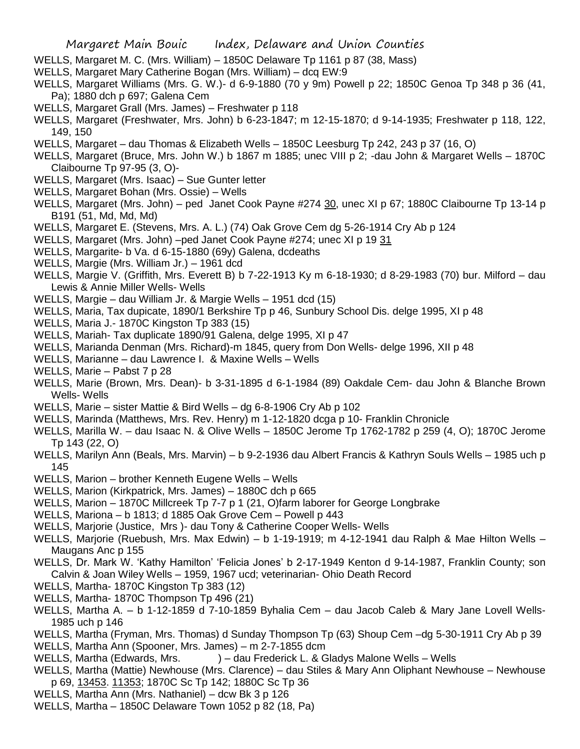- WELLS, Margaret M. C. (Mrs. William) 1850C Delaware Tp 1161 p 87 (38, Mass)
- WELLS, Margaret Mary Catherine Bogan (Mrs. William) dcq EW:9
- WELLS, Margaret Williams (Mrs. G. W.)- d 6-9-1880 (70 y 9m) Powell p 22; 1850C Genoa Tp 348 p 36 (41, Pa); 1880 dch p 697; Galena Cem
- WELLS, Margaret Grall (Mrs. James) Freshwater p 118
- WELLS, Margaret (Freshwater, Mrs. John) b 6-23-1847; m 12-15-1870; d 9-14-1935; Freshwater p 118, 122, 149, 150
- WELLS, Margaret dau Thomas & Elizabeth Wells 1850C Leesburg Tp 242, 243 p 37 (16, O)
- WELLS, Margaret (Bruce, Mrs. John W.) b 1867 m 1885; unec VIII p 2; -dau John & Margaret Wells 1870C Claibourne Tp 97-95 (3, O)-
- WELLS, Margaret (Mrs. Isaac) Sue Gunter letter
- WELLS, Margaret Bohan (Mrs. Ossie) Wells
- WELLS, Margaret (Mrs. John) ped Janet Cook Payne #274 30, unec XI p 67; 1880C Claibourne Tp 13-14 p B191 (51, Md, Md, Md)
- WELLS, Margaret E. (Stevens, Mrs. A. L.) (74) Oak Grove Cem dg 5-26-1914 Cry Ab p 124
- WELLS, Margaret (Mrs. John) –ped Janet Cook Payne #274; unec XI p 19 31
- WELLS, Margarite- b Va. d 6-15-1880 (69y) Galena, dcdeaths
- WELLS, Margie (Mrs. William Jr.) 1961 dcd
- WELLS, Margie V. (Griffith, Mrs. Everett B) b 7-22-1913 Ky m 6-18-1930; d 8-29-1983 (70) bur. Milford dau Lewis & Annie Miller Wells- Wells
- WELLS, Margie dau William Jr. & Margie Wells 1951 dcd (15)
- WELLS, Maria, Tax dupicate, 1890/1 Berkshire Tp p 46, Sunbury School Dis. delge 1995, XI p 48
- WELLS, Maria J.- 1870C Kingston Tp 383 (15)
- WELLS, Mariah- Tax duplicate 1890/91 Galena, delge 1995, XI p 47
- WELLS, Marianda Denman (Mrs. Richard)-m 1845, query from Don Wells- delge 1996, XII p 48
- WELLS, Marianne dau Lawrence I. & Maxine Wells Wells
- WELLS, Marie Pabst 7 p 28
- WELLS, Marie (Brown, Mrs. Dean)- b 3-31-1895 d 6-1-1984 (89) Oakdale Cem- dau John & Blanche Brown Wells- Wells
- WELLS, Marie sister Mattie & Bird Wells dg 6-8-1906 Cry Ab p 102
- WELLS, Marinda (Matthews, Mrs. Rev. Henry) m 1-12-1820 dcga p 10- Franklin Chronicle
- WELLS, Marilla W. dau Isaac N. & Olive Wells 1850C Jerome Tp 1762-1782 p 259 (4, O); 1870C Jerome Tp 143 (22, O)
- WELLS, Marilyn Ann (Beals, Mrs. Marvin) b 9-2-1936 dau Albert Francis & Kathryn Souls Wells 1985 uch p 145
- WELLS, Marion brother Kenneth Eugene Wells Wells
- WELLS, Marion (Kirkpatrick, Mrs. James) 1880C dch p 665
- WELLS, Marion 1870C Millcreek Tp 7-7 p 1 (21, O)farm laborer for George Longbrake
- WELLS, Mariona b 1813; d 1885 Oak Grove Cem Powell p 443
- WELLS, Marjorie (Justice, Mrs )- dau Tony & Catherine Cooper Wells- Wells
- WELLS, Marjorie (Ruebush, Mrs. Max Edwin) b 1-19-1919; m 4-12-1941 dau Ralph & Mae Hilton Wells Maugans Anc p 155
- WELLS, Dr. Mark W. 'Kathy Hamilton' 'Felicia Jones' b 2-17-1949 Kenton d 9-14-1987, Franklin County; son Calvin & Joan Wiley Wells – 1959, 1967 ucd; veterinarian- Ohio Death Record
- WELLS, Martha- 1870C Kingston Tp 383 (12)
- WELLS, Martha- 1870C Thompson Tp 496 (21)
- WELLS, Martha A. b 1-12-1859 d 7-10-1859 Byhalia Cem dau Jacob Caleb & Mary Jane Lovell Wells-1985 uch p 146
- WELLS, Martha (Fryman, Mrs. Thomas) d Sunday Thompson Tp (63) Shoup Cem –dg 5-30-1911 Cry Ab p 39
- WELLS, Martha Ann (Spooner, Mrs. James) m 2-7-1855 dcm
- WELLS, Martha (Edwards, Mrs. ) dau Frederick L. & Gladys Malone Wells Wells
- WELLS, Martha (Mattie) Newhouse (Mrs. Clarence) dau Stiles & Mary Ann Oliphant Newhouse Newhouse p 69, 13453. 11353; 1870C Sc Tp 142; 1880C Sc Tp 36
- WELLS, Martha Ann (Mrs. Nathaniel) dcw Bk 3 p 126
- WELLS, Martha 1850C Delaware Town 1052 p 82 (18, Pa)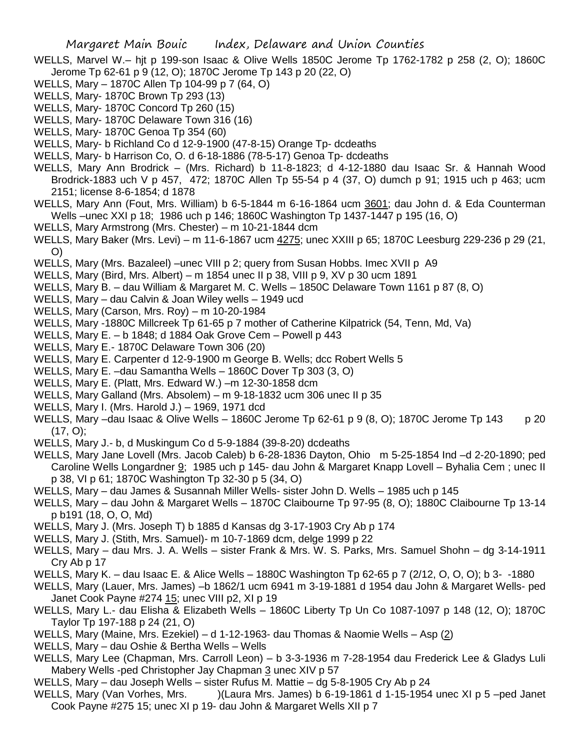- WELLS, Marvel W.– hjt p 199-son Isaac & Olive Wells 1850C Jerome Tp 1762-1782 p 258 (2, O); 1860C Jerome Tp 62-61 p 9 (12, O); 1870C Jerome Tp 143 p 20 (22, O)
- WELLS, Mary 1870C Allen Tp 104-99 p 7 (64, O)
- WELLS, Mary- 1870C Brown Tp 293 (13)
- WELLS, Mary- 1870C Concord Tp 260 (15)
- WELLS, Mary- 1870C Delaware Town 316 (16)
- WELLS, Mary- 1870C Genoa Tp 354 (60)
- WELLS, Mary- b Richland Co d 12-9-1900 (47-8-15) Orange Tp- dcdeaths
- WELLS, Mary- b Harrison Co, O. d 6-18-1886 (78-5-17) Genoa Tp- dcdeaths
- WELLS, Mary Ann Brodrick (Mrs. Richard) b 11-8-1823; d 4-12-1880 dau Isaac Sr. & Hannah Wood Brodrick-1883 uch V p 457, 472; 1870C Allen Tp 55-54 p 4 (37, O) dumch p 91; 1915 uch p 463; ucm 2151; license 8-6-1854; d 1878
- WELLS, Mary Ann (Fout, Mrs. William) b 6-5-1844 m 6-16-1864 ucm 3601; dau John d. & Eda Counterman Wells –unec XXI p 18; 1986 uch p 146; 1860C Washington Tp 1437-1447 p 195 (16, O)
- WELLS, Mary Armstrong (Mrs. Chester) m 10-21-1844 dcm
- WELLS, Mary Baker (Mrs. Levi) m 11-6-1867 ucm 4275; unec XXIII p 65; 1870C Leesburg 229-236 p 29 (21, O)
- WELLS, Mary (Mrs. Bazaleel) –unec VIII p 2; query from Susan Hobbs. Imec XVII p A9
- WELLS, Mary (Bird, Mrs. Albert) m 1854 unec II p 38, VIII p 9, XV p 30 ucm 1891
- WELLS, Mary B. dau William & Margaret M. C. Wells 1850C Delaware Town 1161 p 87 (8, O)
- WELLS, Mary dau Calvin & Joan Wiley wells 1949 ucd
- WELLS, Mary (Carson, Mrs. Roy) m 10-20-1984
- WELLS, Mary -1880C Millcreek Tp 61-65 p 7 mother of Catherine Kilpatrick (54, Tenn, Md, Va)
- WELLS, Mary E. b 1848; d 1884 Oak Grove Cem Powell p 443
- WELLS, Mary E.- 1870C Delaware Town 306 (20)
- WELLS, Mary E. Carpenter d 12-9-1900 m George B. Wells; dcc Robert Wells 5
- WELLS, Mary E. –dau Samantha Wells 1860C Dover Tp 303 (3, O)
- WELLS, Mary E. (Platt, Mrs. Edward W.) –m 12-30-1858 dcm
- WELLS, Mary Galland (Mrs. Absolem) m 9-18-1832 ucm 306 unec II p 35
- WELLS, Mary I. (Mrs. Harold J.) 1969, 1971 dcd
- WELLS, Mary –dau Isaac & Olive Wells 1860C Jerome Tp 62-61 p 9 (8, O); 1870C Jerome Tp 143 p 20 (17, O);
- WELLS, Mary J.- b, d Muskingum Co d 5-9-1884 (39-8-20) dcdeaths
- WELLS, Mary Jane Lovell (Mrs. Jacob Caleb) b 6-28-1836 Dayton, Ohio m 5-25-1854 Ind –d 2-20-1890; ped Caroline Wells Longardner 9; 1985 uch p 145- dau John & Margaret Knapp Lovell – Byhalia Cem ; unec II p 38, VI p 61; 1870C Washington Tp 32-30 p 5 (34, O)
- WELLS, Mary dau James & Susannah Miller Wells- sister John D. Wells 1985 uch p 145
- WELLS, Mary dau John & Margaret Wells 1870C Claibourne Tp 97-95 (8, O); 1880C Claibourne Tp 13-14 p b191 (18, O, O, Md)
- WELLS, Mary J. (Mrs. Joseph T) b 1885 d Kansas dg 3-17-1903 Cry Ab p 174
- WELLS, Mary J. (Stith, Mrs. Samuel)- m 10-7-1869 dcm, delge 1999 p 22
- WELLS, Mary dau Mrs. J. A. Wells sister Frank & Mrs. W. S. Parks, Mrs. Samuel Shohn dg 3-14-1911 Cry Ab p 17
- WELLS, Mary K. dau Isaac E. & Alice Wells 1880C Washington Tp 62-65 p 7 (2/12, O, O, O); b 3- -1880
- WELLS, Mary (Lauer, Mrs. James) –b 1862/1 ucm 6941 m 3-19-1881 d 1954 dau John & Margaret Wells- ped Janet Cook Payne #274 15; unec VIII p2, XI p 19
- WELLS, Mary L.- dau Elisha & Elizabeth Wells 1860C Liberty Tp Un Co 1087-1097 p 148 (12, O); 1870C Taylor Tp 197-188 p 24 (21, O)
- WELLS, Mary (Maine, Mrs. Ezekiel) d 1-12-1963- dau Thomas & Naomie Wells Asp (2)
- WELLS, Mary dau Oshie & Bertha Wells Wells
- WELLS, Mary Lee (Chapman, Mrs. Carroll Leon) b 3-3-1936 m 7-28-1954 dau Frederick Lee & Gladys Luli Mabery Wells -ped Christopher Jay Chapman 3 unec XIV p 57
- WELLS, Mary dau Joseph Wells sister Rufus M. Mattie dg 5-8-1905 Cry Ab p 24
- WELLS, Mary (Van Vorhes, Mrs. )(Laura Mrs. James) b 6-19-1861 d 1-15-1954 unec XI p 5 –ped Janet Cook Payne #275 15; unec XI p 19- dau John & Margaret Wells XII p 7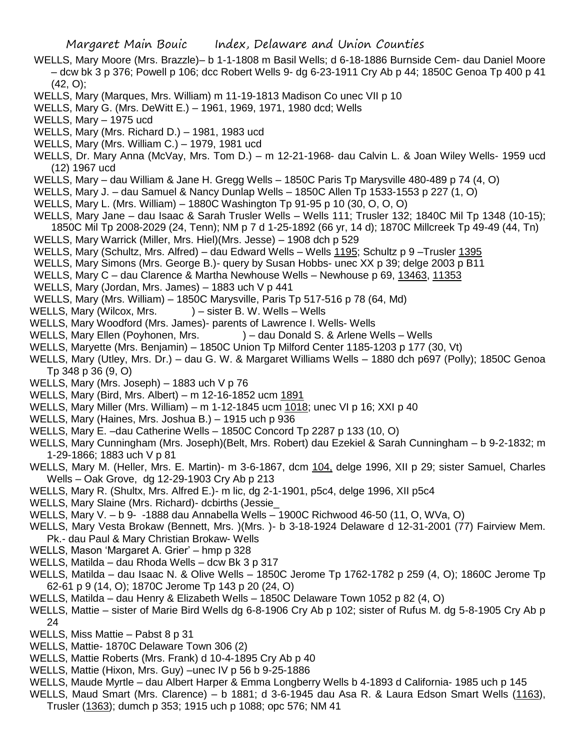- WELLS, Mary Moore (Mrs. Brazzle)– b 1-1-1808 m Basil Wells; d 6-18-1886 Burnside Cem- dau Daniel Moore – dcw bk 3 p 376; Powell p 106; dcc Robert Wells 9- dg 6-23-1911 Cry Ab p 44; 1850C Genoa Tp 400 p 41 (42, O);
- WELLS, Mary (Marques, Mrs. William) m 11-19-1813 Madison Co unec VII p 10
- WELLS, Mary G. (Mrs. DeWitt E.) 1961, 1969, 1971, 1980 dcd; Wells
- WELLS, Mary 1975 ucd
- WELLS, Mary (Mrs. Richard D.) 1981, 1983 ucd
- WELLS, Mary (Mrs. William C.) 1979, 1981 ucd
- WELLS, Dr. Mary Anna (McVay, Mrs. Tom D.) m 12-21-1968- dau Calvin L. & Joan Wiley Wells- 1959 ucd (12) 1967 ucd
- WELLS, Mary dau William & Jane H. Gregg Wells 1850C Paris Tp Marysville 480-489 p 74 (4, O)
- WELLS, Mary J. dau Samuel & Nancy Dunlap Wells 1850C Allen Tp 1533-1553 p 227 (1, O)
- WELLS, Mary L. (Mrs. William) 1880C Washington Tp 91-95 p 10 (30, O, O, O)
- WELLS, Mary Jane dau Isaac & Sarah Trusler Wells Wells 111; Trusler 132; 1840C Mil Tp 1348 (10-15);
- 1850C Mil Tp 2008-2029 (24, Tenn); NM p 7 d 1-25-1892 (66 yr, 14 d); 1870C Millcreek Tp 49-49 (44, Tn) WELLS, Mary Warrick (Miller, Mrs. Hiel)(Mrs. Jesse) – 1908 dch p 529
- WELLS, Mary (Schultz, Mrs. Alfred) dau Edward Wells Wells 1195; Schultz p 9 –Trusler 1395
- WELLS, Mary Simons (Mrs. George B.)- query by Susan Hobbs- unec XX p 39; delge 2003 p B11
- WELLS, Mary C dau Clarence & Martha Newhouse Wells Newhouse p 69, 13463, 11353
- WELLS, Mary (Jordan, Mrs. James) 1883 uch V p 441
- WELLS, Mary (Mrs. William) 1850C Marysville, Paris Tp 517-516 p 78 (64, Md)
- WELLS, Mary (Wilcox, Mrs. ) sister B. W. Wells Wells
- WELLS, Mary Woodford (Mrs. James)- parents of Lawrence I. Wells- Wells
- WELLS, Mary Ellen (Poyhonen, Mrs. ) dau Donald S. & Arlene Wells Wells
- WELLS, Maryette (Mrs. Benjamin) 1850C Union Tp Milford Center 1185-1203 p 177 (30, Vt)
- WELLS, Mary (Utley, Mrs. Dr.) dau G. W. & Margaret Williams Wells 1880 dch p697 (Polly); 1850C Genoa Tp 348 p 36 (9, O)
- WELLS, Mary (Mrs. Joseph) 1883 uch V p 76
- WELLS, Mary (Bird, Mrs. Albert) m 12-16-1852 ucm 1891
- WELLS, Mary Miller (Mrs. William) m 1-12-1845 ucm 1018; unec VI p 16; XXI p 40
- WELLS, Mary (Haines, Mrs. Joshua B.) 1915 uch p 936
- WELLS, Mary E. –dau Catherine Wells 1850C Concord Tp 2287 p 133 (10, O)
- WELLS, Mary Cunningham (Mrs. Joseph)(Belt, Mrs. Robert) dau Ezekiel & Sarah Cunningham b 9-2-1832; m 1-29-1866; 1883 uch V p 81
- WELLS, Mary M. (Heller, Mrs. E. Martin)- m 3-6-1867, dcm 104, delge 1996, XII p 29; sister Samuel, Charles Wells – Oak Grove, dg 12-29-1903 Cry Ab p 213
- WELLS, Mary R. (Shultx, Mrs. Alfred E.)- m lic, dg 2-1-1901, p5c4, delge 1996, XII p5c4
- WELLS, Mary Slaine (Mrs. Richard)- dcbirths (Jessie\_
- WELLS, Mary V. b 9- -1888 dau Annabella Wells 1900C Richwood 46-50 (11, O, WVa, O)
- WELLS, Mary Vesta Brokaw (Bennett, Mrs. )(Mrs. )- b 3-18-1924 Delaware d 12-31-2001 (77) Fairview Mem. Pk.- dau Paul & Mary Christian Brokaw- Wells
- WELLS, Mason 'Margaret A. Grier' hmp p 328
- WELLS, Matilda dau Rhoda Wells dcw Bk 3 p 317
- WELLS, Matilda dau Isaac N. & Olive Wells 1850C Jerome Tp 1762-1782 p 259 (4, O); 1860C Jerome Tp 62-61 p 9 (14, O); 1870C Jerome Tp 143 p 20 (24, O)
- WELLS, Matilda dau Henry & Elizabeth Wells 1850C Delaware Town 1052 p 82 (4, O)
- WELLS, Mattie sister of Marie Bird Wells dg 6-8-1906 Cry Ab p 102; sister of Rufus M. dg 5-8-1905 Cry Ab p 24
- WELLS, Miss Mattie Pabst 8 p 31
- WELLS, Mattie- 1870C Delaware Town 306 (2)
- WELLS, Mattie Roberts (Mrs. Frank) d 10-4-1895 Cry Ab p 40
- WELLS, Mattie (Hixon, Mrs. Guy) –unec IV p 56 b 9-25-1886
- WELLS, Maude Myrtle dau Albert Harper & Emma Longberry Wells b 4-1893 d California- 1985 uch p 145
- WELLS, Maud Smart (Mrs. Clarence) b 1881; d 3-6-1945 dau Asa R. & Laura Edson Smart Wells (1163), Trusler (1363); dumch p 353; 1915 uch p 1088; opc 576; NM 41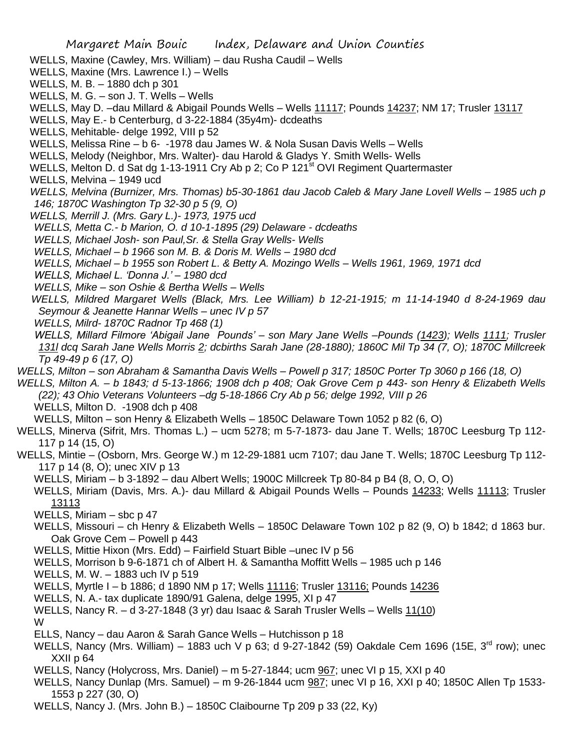- WELLS, Maxine (Cawley, Mrs. William) dau Rusha Caudil Wells
- WELLS, Maxine (Mrs. Lawrence I.) Wells
- WELLS, M. B. 1880 dch p 301
- WELLS, M. G. son J. T. Wells Wells
- WELLS, May D. -dau Millard & Abigail Pounds Wells Wells 11117; Pounds 14237; NM 17; Trusler 13117
- WELLS, May E.- b Centerburg, d 3-22-1884 (35y4m)- dcdeaths
- WELLS, Mehitable- delge 1992, VIII p 52
- WELLS, Melissa Rine b 6- -1978 dau James W. & Nola Susan Davis Wells Wells
- WELLS, Melody (Neighbor, Mrs. Walter)- dau Harold & Gladys Y. Smith Wells- Wells
- WELLS, Melton D. d Sat dg 1-13-1911 Cry Ab p 2; Co P 121<sup>st</sup> OVI Regiment Quartermaster
- WELLS, Melvina 1949 ucd
- *WELLS, Melvina (Burnizer, Mrs. Thomas) b5-30-1861 dau Jacob Caleb & Mary Jane Lovell Wells – 1985 uch p 146; 1870C Washington Tp 32-30 p 5 (9, O)*
- *WELLS, Merrill J. (Mrs. Gary L.)- 1973, 1975 ucd*
- *WELLS, Metta C.- b Marion, O. d 10-1-1895 (29) Delaware - dcdeaths*
- *WELLS, Michael Josh- son Paul,Sr. & Stella Gray Wells- Wells*
- *WELLS, Michael – b 1966 son M. B. & Doris M. Wells – 1980 dcd*
- *WELLS, Michael – b 1955 son Robert L. & Betty A. Mozingo Wells – Wells 1961, 1969, 1971 dcd*
- *WELLS, Michael L. 'Donna J.' – 1980 dcd*
- *WELLS, Mike – son Oshie & Bertha Wells – Wells*
- *WELLS, Mildred Margaret Wells (Black, Mrs. Lee William) b 12-21-1915; m 11-14-1940 d 8-24-1969 dau Seymour & Jeanette Hannar Wells – unec IV p 57*
- *WELLS, Milrd- 1870C Radnor Tp 468 (1)*
- *WELLS, Millard Filmore 'Abigail Jane Pounds' – son Mary Jane Wells –Pounds (1423); Wells 1111; Trusler 131l dcq Sarah Jane Wells Morris 2; dcbirths Sarah Jane (28-1880); 1860C Mil Tp 34 (7, O); 1870C Millcreek Tp 49-49 p 6 (17, O)*
- *WELLS, Milton – son Abraham & Samantha Davis Wells – Powell p 317; 1850C Porter Tp 3060 p 166 (18, O)*
- *WELLS, Milton A. – b 1843; d 5-13-1866; 1908 dch p 408; Oak Grove Cem p 443- son Henry & Elizabeth Wells (22); 43 Ohio Veterans Volunteers –dg 5-18-1866 Cry Ab p 56; delge 1992, VIII p 26* WELLS, Milton D. -1908 dch p 408
	- WELLS, Milton son Henry & Elizabeth Wells 1850C Delaware Town 1052 p 82 (6, O)
- WELLS, Minerva (Sifrit, Mrs. Thomas L.) ucm 5278; m 5-7-1873- dau Jane T. Wells; 1870C Leesburg Tp 112- 117 p 14 (15, O)
- WELLS, Mintie (Osborn, Mrs. George W.) m 12-29-1881 ucm 7107; dau Jane T. Wells; 1870C Leesburg Tp 112- 117 p 14 (8, O); unec XIV p 13
	- WELLS, Miriam b 3-1892 dau Albert Wells; 1900C Millcreek Tp 80-84 p B4 (8, O, O, O)
	- WELLS, Miriam (Davis, Mrs. A.)- dau Millard & Abigail Pounds Wells Pounds 14233; Wells 11113; Trusler 13113
	- WELLS, Miriam sbc p 47
	- WELLS, Missouri ch Henry & Elizabeth Wells 1850C Delaware Town 102 p 82 (9, O) b 1842; d 1863 bur. Oak Grove Cem – Powell p 443
	- WELLS, Mittie Hixon (Mrs. Edd) Fairfield Stuart Bible –unec IV p 56
	- WELLS, Morrison b 9-6-1871 ch of Albert H. & Samantha Moffitt Wells 1985 uch p 146
	- WELLS, M. W. 1883 uch IV p 519
	- WELLS, Myrtle I b 1886; d 1890 NM p 17; Wells 11116; Trusler 13116; Pounds 14236
	- WELLS, N. A.- tax duplicate 1890/91 Galena, delge 1995, XI p 47
	- WELLS, Nancy R. d 3-27-1848 (3 yr) dau Isaac & Sarah Trusler Wells Wells 11(10) W
	- ELLS, Nancy dau Aaron & Sarah Gance Wells Hutchisson p 18
	- WELLS, Nancy (Mrs. William) 1883 uch V p 63; d 9-27-1842 (59) Oakdale Cem 1696 (15E, 3<sup>rd</sup> row): unec XXII p 64
	- WELLS, Nancy (Holycross, Mrs. Daniel) m 5-27-1844; ucm 967; unec VI p 15, XXI p 40
	- WELLS, Nancy Dunlap (Mrs. Samuel) m 9-26-1844 ucm 987; unec VI p 16, XXI p 40; 1850C Allen Tp 1533- 1553 p 227 (30, O)
	- WELLS, Nancy J. (Mrs. John B.) 1850C Claibourne Tp 209 p 33 (22, Ky)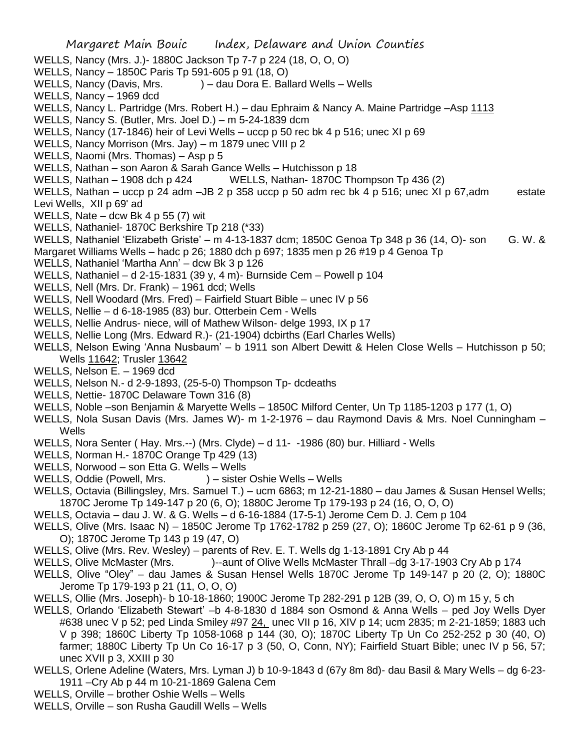- Margaret Main Bouic Index, Delaware and Union Counties WELLS, Nancy (Mrs. J.)- 1880C Jackson Tp 7-7 p 224 (18, O, O, O) WELLS, Nancy – 1850C Paris Tp 591-605 p 91 (18, O) WELLS, Nancy (Davis, Mrs. ) – dau Dora E. Ballard Wells – Wells WELLS, Nancy – 1969 dcd WELLS, Nancy L. Partridge (Mrs. Robert H.) – dau Ephraim & Nancy A. Maine Partridge –Asp 1113 WELLS, Nancy S. (Butler, Mrs. Joel D.) – m 5-24-1839 dcm WELLS, Nancy (17-1846) heir of Levi Wells – uccp p 50 rec bk 4 p 516; unec XI p 69 WELLS, Nancy Morrison (Mrs. Jay) – m 1879 unec VIII p 2 WELLS, Naomi (Mrs. Thomas) – Asp p 5 WELLS, Nathan – son Aaron & Sarah Gance Wells – Hutchisson p 18 WELLS, Nathan – 1908 dch p 424 WELLS, Nathan- 1870C Thompson Tp 436 (2) WELLS, Nathan – uccp p 24 adm –JB 2 p 358 uccp p 50 adm rec bk 4 p 516; unec XI p 67,adm estate Levi Wells, XII p 69' ad WELLS, Nate – dcw Bk 4 p 55 (7) wit WELLS, Nathaniel- 1870C Berkshire Tp 218 (\*33) WELLS, Nathaniel 'Elizabeth Griste' – m 4-13-1837 dcm; 1850C Genoa Tp 348 p 36 (14, O)- son G. W. & Margaret Williams Wells – hadc p 26; 1880 dch p 697; 1835 men p 26 #19 p 4 Genoa Tp WELLS, Nathaniel 'Martha Ann' – dcw Bk 3 p 126 WELLS, Nathaniel – d 2-15-1831 (39 y, 4 m)- Burnside Cem – Powell p 104 WELLS, Nell (Mrs. Dr. Frank) – 1961 dcd; Wells WELLS, Nell Woodard (Mrs. Fred) – Fairfield Stuart Bible – unec IV p 56 WELLS, Nellie – d 6-18-1985 (83) bur. Otterbein Cem - Wells WELLS, Nellie Andrus- niece, will of Mathew Wilson- delge 1993, IX p 17 WELLS, Nellie Long (Mrs. Edward R.)- (21-1904) dcbirths (Earl Charles Wells) WELLS, Nelson Ewing 'Anna Nusbaum' – b 1911 son Albert Dewitt & Helen Close Wells – Hutchisson p 50; Wells 11642; Trusler 13642 WELLS, Nelson E. – 1969 dcd WELLS, Nelson N.- d 2-9-1893, (25-5-0) Thompson Tp- dcdeaths WELLS, Nettie- 1870C Delaware Town 316 (8) WELLS, Noble –son Benjamin & Maryette Wells – 1850C Milford Center, Un Tp 1185-1203 p 177 (1, O) WELLS, Nola Susan Davis (Mrs. James W)- m 1-2-1976 – dau Raymond Davis & Mrs. Noel Cunningham – Wells WELLS, Nora Senter ( Hay. Mrs.--) (Mrs. Clyde) – d 11- -1986 (80) bur. Hilliard - Wells WELLS, Norman H.- 1870C Orange Tp 429 (13) WELLS, Norwood – son Etta G. Wells – Wells WELLS, Oddie (Powell, Mrs. ) – sister Oshie Wells – Wells WELLS, Octavia (Billingsley, Mrs. Samuel T.) – ucm 6863; m 12-21-1880 – dau James & Susan Hensel Wells; 1870C Jerome Tp 149-147 p 20 (6, O); 1880C Jerome Tp 179-193 p 24 (16, O, O, O) WELLS, Octavia – dau J. W. & G. Wells – d 6-16-1884 (17-5-1) Jerome Cem D. J. Cem p 104 WELLS, Olive (Mrs. Isaac N) – 1850C Jerome Tp 1762-1782 p 259 (27, O); 1860C Jerome Tp 62-61 p 9 (36, O); 1870C Jerome Tp 143 p 19 (47, O) WELLS, Olive (Mrs. Rev. Wesley) – parents of Rev. E. T. Wells dg 1-13-1891 Cry Ab p 44 WELLS, Olive McMaster (Mrs. )--aunt of Olive Wells McMaster Thrall –dg 3-17-1903 Cry Ab p 174 WELLS, Olive "Oley" – dau James & Susan Hensel Wells 1870C Jerome Tp 149-147 p 20 (2, O); 1880C Jerome Tp 179-193 p 21 (11, O, O, O) WELLS, Ollie (Mrs. Joseph)- b 10-18-1860; 1900C Jerome Tp 282-291 p 12B (39, O, O, O) m 15 y, 5 ch WELLS, Orlando 'Elizabeth Stewart' –b 4-8-1830 d 1884 son Osmond & Anna Wells – ped Joy Wells Dyer #638 unec V p 52; ped Linda Smiley #97 24, unec VII p 16, XIV p 14; ucm 2835; m 2-21-1859; 1883 uch V p 398; 1860C Liberty Tp 1058-1068 p 144 (30, O); 1870C Liberty Tp Un Co 252-252 p 30 (40, O) farmer; 1880C Liberty Tp Un Co 16-17 p 3 (50, O, Conn, NY); Fairfield Stuart Bible; unec IV p 56, 57; unec XVII p 3, XXIII p 30 WELLS, Orlene Adeline (Waters, Mrs. Lyman J) b 10-9-1843 d (67y 8m 8d)- dau Basil & Mary Wells – dg 6-23- 1911 –Cry Ab p 44 m 10-21-1869 Galena Cem WELLS, Orville – brother Oshie Wells – Wells
- 
- WELLS, Orville son Rusha Gaudill Wells Wells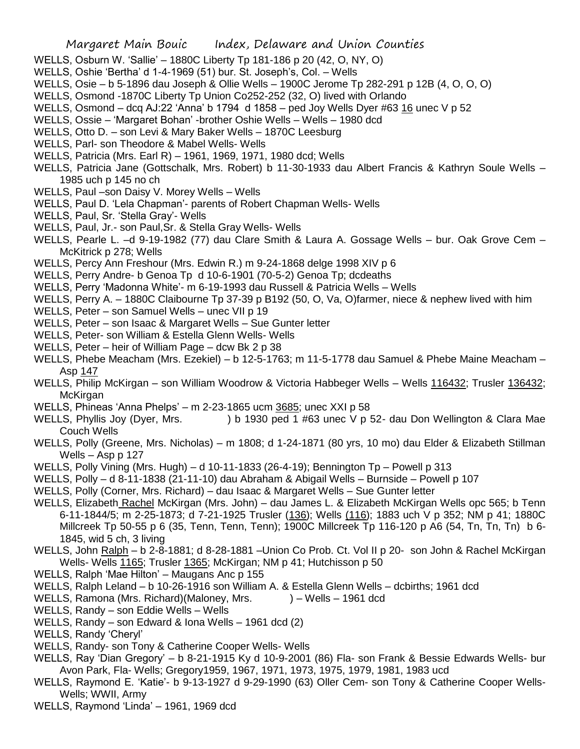- WELLS, Osburn W. 'Sallie' 1880C Liberty Tp 181-186 p 20 (42, O, NY, O)
- WELLS, Oshie 'Bertha' d 1-4-1969 (51) bur. St. Joseph's, Col. Wells
- WELLS, Osie b 5-1896 dau Joseph & Ollie Wells 1900C Jerome Tp 282-291 p 12B (4, O, O, O)
- WELLS, Osmond -1870C Liberty Tp Union Co252-252 (32, O) lived with Orlando
- WELLS, Osmond dcq AJ:22 'Anna' b 1794 d 1858 ped Joy Wells Dyer #63  $16$  unec V p 52
- WELLS, Ossie 'Margaret Bohan' -brother Oshie Wells Wells 1980 dcd
- WELLS, Otto D. son Levi & Mary Baker Wells 1870C Leesburg
- WELLS, Parl- son Theodore & Mabel Wells- Wells
- WELLS, Patricia (Mrs. Earl R) 1961, 1969, 1971, 1980 dcd; Wells
- WELLS, Patricia Jane (Gottschalk, Mrs. Robert) b 11-30-1933 dau Albert Francis & Kathryn Soule Wells 1985 uch p 145 no ch
- WELLS, Paul –son Daisy V. Morey Wells Wells
- WELLS, Paul D. 'Lela Chapman'- parents of Robert Chapman Wells- Wells
- WELLS, Paul, Sr. 'Stella Gray'- Wells
- WELLS, Paul, Jr.- son Paul,Sr. & Stella Gray Wells- Wells
- WELLS, Pearle L. –d 9-19-1982 (77) dau Clare Smith & Laura A. Gossage Wells bur. Oak Grove Cem McKitrick p 278; Wells
- WELLS, Percy Ann Freshour (Mrs. Edwin R.) m 9-24-1868 delge 1998 XIV p 6
- WELLS, Perry Andre- b Genoa Tp d 10-6-1901 (70-5-2) Genoa Tp; dcdeaths
- WELLS, Perry 'Madonna White'- m 6-19-1993 dau Russell & Patricia Wells Wells
- WELLS, Perry A. 1880C Claibourne Tp 37-39 p B192 (50, O, Va, O)farmer, niece & nephew lived with him
- WELLS, Peter son Samuel Wells unec VII p 19
- WELLS, Peter son Isaac & Margaret Wells Sue Gunter letter
- WELLS, Peter- son William & Estella Glenn Wells- Wells
- WELLS, Peter heir of William Page dcw Bk 2 p 38
- WELLS, Phebe Meacham (Mrs. Ezekiel) b 12-5-1763; m 11-5-1778 dau Samuel & Phebe Maine Meacham Asp 147
- WELLS, Philip McKirgan son William Woodrow & Victoria Habbeger Wells Wells 116432; Trusler 136432; **McKirgan**
- WELLS, Phineas 'Anna Phelps' m 2-23-1865 ucm 3685; unec XXI p 58
- WELLS, Phyllis Joy (Dyer, Mrs. ) b 1930 ped 1 #63 unec V p 52- dau Don Wellington & Clara Mae Couch Wells
- WELLS, Polly (Greene, Mrs. Nicholas) m 1808; d 1-24-1871 (80 yrs, 10 mo) dau Elder & Elizabeth Stillman Wells – Asp p 127
- WELLS, Polly Vining (Mrs. Hugh) d 10-11-1833 (26-4-19); Bennington Tp Powell p 313
- WELLS, Polly d 8-11-1838 (21-11-10) dau Abraham & Abigail Wells Burnside Powell p 107
- WELLS, Polly (Corner, Mrs. Richard) dau Isaac & Margaret Wells Sue Gunter letter
- WELLS, Elizabeth Rachel McKirgan (Mrs. John) dau James L. & Elizabeth McKirgan Wells opc 565; b Tenn 6-11-1844/5; m 2-25-1873; d 7-21-1925 Trusler (136); Wells (116); 1883 uch V p 352; NM p 41; 1880C Millcreek Tp 50-55 p 6 (35, Tenn, Tenn, Tenn); 1900C Millcreek Tp 116-120 p A6 (54, Tn, Tn, Tn) b 6- 1845, wid 5 ch, 3 living
- WELLS, John Ralph b 2-8-1881; d 8-28-1881 –Union Co Prob. Ct. Vol II p 20- son John & Rachel McKirgan Wells- Wells 1165; Trusler 1365; McKirgan; NM p 41; Hutchisson p 50
- WELLS, Ralph 'Mae Hilton' Maugans Anc p 155
- WELLS, Ralph Leland b 10-26-1916 son William A. & Estella Glenn Wells dcbirths; 1961 dcd
- WELLS, Ramona (Mrs. Richard) (Maloney, Mrs. ) Wells 1961 dcd
- WELLS, Randy son Eddie Wells Wells
- WELLS, Randy son Edward & Iona Wells 1961 dcd (2)
- WELLS, Randy 'Cheryl'
- WELLS, Randy- son Tony & Catherine Cooper Wells- Wells
- WELLS, Ray 'Dian Gregory' b 8-21-1915 Ky d 10-9-2001 (86) Fla- son Frank & Bessie Edwards Wells- bur Avon Park, Fla- Wells; Gregory1959, 1967, 1971, 1973, 1975, 1979, 1981, 1983 ucd
- WELLS, Raymond E. 'Katie'- b 9-13-1927 d 9-29-1990 (63) Oller Cem- son Tony & Catherine Cooper Wells-Wells; WWII, Army
- WELLS, Raymond 'Linda' 1961, 1969 dcd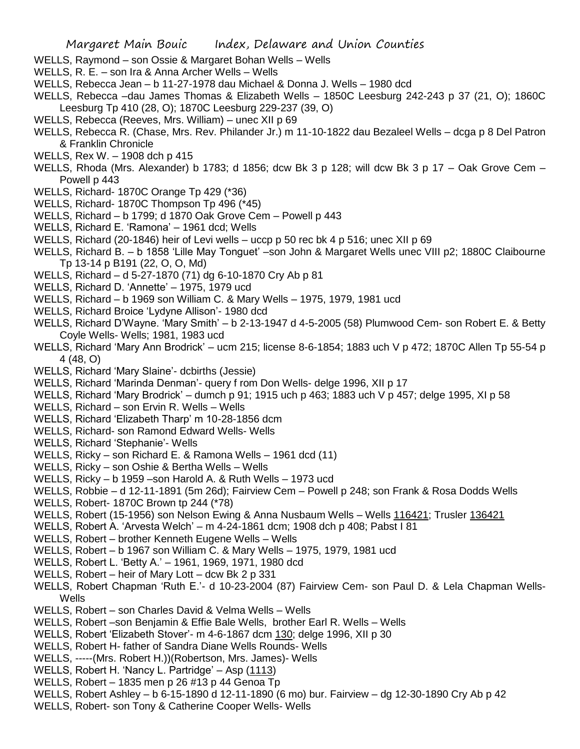- WELLS, Raymond son Ossie & Margaret Bohan Wells Wells
- WELLS, R. E. son Ira & Anna Archer Wells Wells
- WELLS, Rebecca Jean b 11-27-1978 dau Michael & Donna J. Wells 1980 dcd
- WELLS, Rebecca –dau James Thomas & Elizabeth Wells 1850C Leesburg 242-243 p 37 (21, O); 1860C Leesburg Tp 410 (28, O); 1870C Leesburg 229-237 (39, O)
- WELLS, Rebecca (Reeves, Mrs. William) unec XII p 69
- WELLS, Rebecca R. (Chase, Mrs. Rev. Philander Jr.) m 11-10-1822 dau Bezaleel Wells dcga p 8 Del Patron & Franklin Chronicle
- WELLS, Rex W. 1908 dch p 415
- WELLS, Rhoda (Mrs. Alexander) b 1783; d 1856; dcw Bk 3 p 128; will dcw Bk 3 p 17 Oak Grove Cem Powell p 443
- WELLS, Richard- 1870C Orange Tp 429 (\*36)
- WELLS, Richard- 1870C Thompson Tp 496 (\*45)
- WELLS, Richard b 1799; d 1870 Oak Grove Cem Powell p 443
- WELLS, Richard E. 'Ramona' 1961 dcd; Wells
- WELLS, Richard (20-1846) heir of Levi wells uccp p 50 rec bk 4 p 516; unec XII p 69
- WELLS, Richard B. b 1858 'Lille May Tonguet' –son John & Margaret Wells unec VIII p2; 1880C Claibourne Tp 13-14 p B191 (22, O, O, Md)
- WELLS, Richard d 5-27-1870 (71) dg 6-10-1870 Cry Ab p 81
- WELLS, Richard D. 'Annette' 1975, 1979 ucd
- WELLS, Richard b 1969 son William C. & Mary Wells 1975, 1979, 1981 ucd
- WELLS, Richard Broice 'Lydyne Allison'- 1980 dcd
- WELLS, Richard D'Wayne. 'Mary Smith' b 2-13-1947 d 4-5-2005 (58) Plumwood Cem- son Robert E. & Betty Coyle Wells- Wells; 1981, 1983 ucd
- WELLS, Richard 'Mary Ann Brodrick' ucm 215; license 8-6-1854; 1883 uch V p 472; 1870C Allen Tp 55-54 p 4 (48, O)
- WELLS, Richard 'Mary Slaine'- dcbirths (Jessie)
- WELLS, Richard 'Marinda Denman'- query f rom Don Wells- delge 1996, XII p 17
- WELLS, Richard 'Mary Brodrick' dumch p 91; 1915 uch p 463; 1883 uch V p 457; delge 1995, XI p 58
- WELLS, Richard son Ervin R. Wells Wells
- WELLS, Richard 'Elizabeth Tharp' m 10-28-1856 dcm
- WELLS, Richard- son Ramond Edward Wells- Wells
- WELLS, Richard 'Stephanie'- Wells
- WELLS, Ricky son Richard E. & Ramona Wells 1961 dcd (11)
- WELLS, Ricky son Oshie & Bertha Wells Wells
- WELLS, Ricky b 1959 –son Harold A. & Ruth Wells 1973 ucd
- WELLS, Robbie d 12-11-1891 (5m 26d); Fairview Cem Powell p 248; son Frank & Rosa Dodds Wells
- WELLS, Robert- 1870C Brown tp 244 (\*78)
- WELLS, Robert (15-1956) son Nelson Ewing & Anna Nusbaum Wells Wells 116421; Trusler 136421
- WELLS, Robert A. 'Arvesta Welch' m 4-24-1861 dcm; 1908 dch p 408; Pabst I 81
- WELLS, Robert brother Kenneth Eugene Wells Wells
- WELLS, Robert b 1967 son William C. & Mary Wells 1975, 1979, 1981 ucd
- WELLS, Robert L. 'Betty A.' 1961, 1969, 1971, 1980 dcd
- WELLS, Robert heir of Mary Lott dcw Bk 2 p 331
- WELLS, Robert Chapman 'Ruth E.'- d 10-23-2004 (87) Fairview Cem- son Paul D. & Lela Chapman Wells-Wells
- WELLS, Robert son Charles David & Velma Wells Wells
- WELLS, Robert –son Benjamin & Effie Bale Wells, brother Earl R. Wells Wells
- WELLS, Robert 'Elizabeth Stover'- m 4-6-1867 dcm 130; delge 1996, XII p 30
- WELLS, Robert H- father of Sandra Diane Wells Rounds- Wells
- WELLS, -----(Mrs. Robert H.))(Robertson, Mrs. James)- Wells
- WELLS, Robert H. 'Nancy L. Partridge' Asp (1113)
- WELLS, Robert 1835 men p 26 #13 p 44 Genoa Tp
- WELLS, Robert Ashley b 6-15-1890 d 12-11-1890 (6 mo) bur. Fairview dg 12-30-1890 Cry Ab p 42
- WELLS, Robert- son Tony & Catherine Cooper Wells- Wells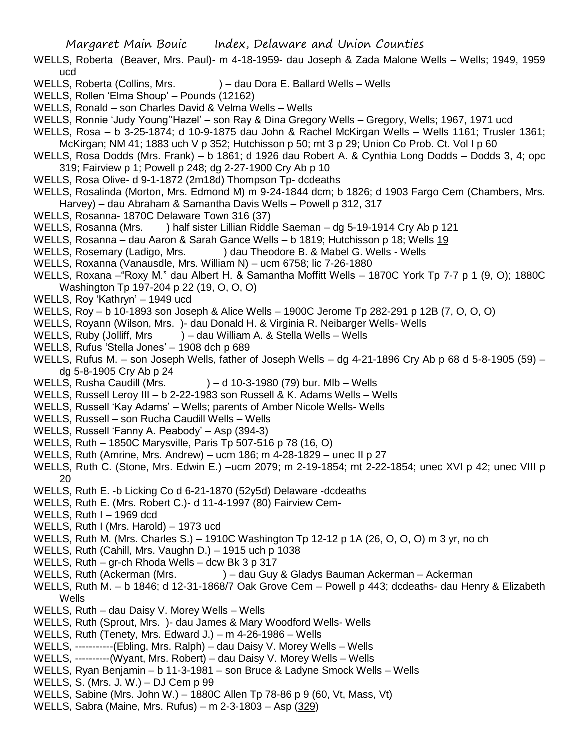- WELLS, Roberta (Beaver, Mrs. Paul)- m 4-18-1959- dau Joseph & Zada Malone Wells Wells; 1949, 1959 ucd
- WELLS, Roberta (Collins, Mrs. ) dau Dora E. Ballard Wells Wells
- WELLS, Rollen 'Elma Shoup' Pounds (12162)
- WELLS, Ronald son Charles David & Velma Wells Wells
- WELLS, Ronnie 'Judy Young''Hazel' son Ray & Dina Gregory Wells Gregory, Wells; 1967, 1971 ucd
- WELLS, Rosa b 3-25-1874; d 10-9-1875 dau John & Rachel McKirgan Wells Wells 1161; Trusler 1361; McKirgan; NM 41; 1883 uch V p 352; Hutchisson p 50; mt 3 p 29; Union Co Prob. Ct. Vol I p 60
- WELLS, Rosa Dodds (Mrs. Frank) b 1861; d 1926 dau Robert A. & Cynthia Long Dodds Dodds 3, 4; opc 319; Fairview p 1; Powell p 248; dg 2-27-1900 Cry Ab p 10
- WELLS, Rosa Olive- d 9-1-1872 (2m18d) Thompson Tp- dcdeaths
- WELLS, Rosalinda (Morton, Mrs. Edmond M) m 9-24-1844 dcm; b 1826; d 1903 Fargo Cem (Chambers, Mrs. Harvey) – dau Abraham & Samantha Davis Wells – Powell p 312, 317
- WELLS, Rosanna- 1870C Delaware Town 316 (37)
- WELLS, Rosanna (Mrs. ) half sister Lillian Riddle Saeman dg 5-19-1914 Cry Ab p 121
- WELLS, Rosanna dau Aaron & Sarah Gance Wells b 1819; Hutchisson p 18; Wells 19
- WELLS, Rosemary (Ladigo, Mrs. ) dau Theodore B. & Mabel G. Wells Wells
- WELLS, Roxanna (Vanausdle, Mrs. William N) ucm 6758; lic 7-26-1880
- WELLS, Roxana –"Roxy M." dau Albert H. & Samantha Moffitt Wells 1870C York Tp 7-7 p 1 (9, O); 1880C Washington Tp 197-204 p 22 (19, O, O, O)
- WELLS, Roy 'Kathryn' 1949 ucd
- WELLS, Roy b 10-1893 son Joseph & Alice Wells 1900C Jerome Tp 282-291 p 12B (7, O, O, O)
- WELLS, Royann (Wilson, Mrs. )- dau Donald H. & Virginia R. Neibarger Wells- Wells
- WELLS, Ruby (Jolliff, Mrs ) dau William A. & Stella Wells Wells
- WELLS, Rufus 'Stella Jones' 1908 dch p 689
- WELLS, Rufus M. son Joseph Wells, father of Joseph Wells dg 4-21-1896 Cry Ab p 68 d 5-8-1905 (59) dg 5-8-1905 Cry Ab p 24
- WELLS, Rusha Caudill (Mrs.  $\longrightarrow$  ) d 10-3-1980 (79) bur. Mlb Wells
- WELLS, Russell Leroy III b 2-22-1983 son Russell & K. Adams Wells Wells
- WELLS, Russell 'Kay Adams' Wells; parents of Amber Nicole Wells- Wells
- WELLS, Russell son Rucha Caudill Wells Wells
- WELLS, Russell 'Fanny A. Peabody' Asp (394-3)
- WELLS, Ruth 1850C Marysville, Paris Tp 507-516 p 78 (16, O)
- WELLS, Ruth (Amrine, Mrs. Andrew) ucm 186; m 4-28-1829 unec II p 27
- WELLS, Ruth C. (Stone, Mrs. Edwin E.) –ucm 2079; m 2-19-1854; mt 2-22-1854; unec XVI p 42; unec VIII p 20
- WELLS, Ruth E. -b Licking Co d 6-21-1870 (52y5d) Delaware -dcdeaths
- WELLS, Ruth E. (Mrs. Robert C.)- d 11-4-1997 (80) Fairview Cem-
- WELLS, Ruth I 1969 dcd
- WELLS, Ruth I (Mrs. Harold) 1973 ucd
- WELLS, Ruth M. (Mrs. Charles S.) 1910C Washington Tp 12-12 p 1A (26, O, O, O) m 3 yr, no ch
- WELLS, Ruth (Cahill, Mrs. Vaughn D.) 1915 uch p 1038
- WELLS, Ruth gr-ch Rhoda Wells dcw Bk 3 p 317
- WELLS, Ruth (Ackerman (Mrs. ) dau Guy & Gladys Bauman Ackerman Ackerman
- WELLS, Ruth M. b 1846; d 12-31-1868/7 Oak Grove Cem Powell p 443; dcdeaths- dau Henry & Elizabeth **Wells**
- WELLS, Ruth dau Daisy V. Morey Wells Wells
- WELLS, Ruth (Sprout, Mrs. )- dau James & Mary Woodford Wells- Wells
- WELLS, Ruth (Tenety, Mrs. Edward J.) m 4-26-1986 Wells
- WELLS, -----------(Ebling, Mrs. Ralph) dau Daisy V. Morey Wells Wells
- WELLS, ----------(Wyant, Mrs. Robert) dau Daisy V. Morey Wells Wells
- WELLS, Ryan Benjamin b 11-3-1981 son Bruce & Ladyne Smock Wells Wells
- WELLS, S. (Mrs. J. W.) DJ Cem p 99
- WELLS, Sabine (Mrs. John W.) 1880C Allen Tp 78-86 p 9 (60, Vt, Mass, Vt)
- WELLS, Sabra (Maine, Mrs. Rufus) m 2-3-1803 Asp (329)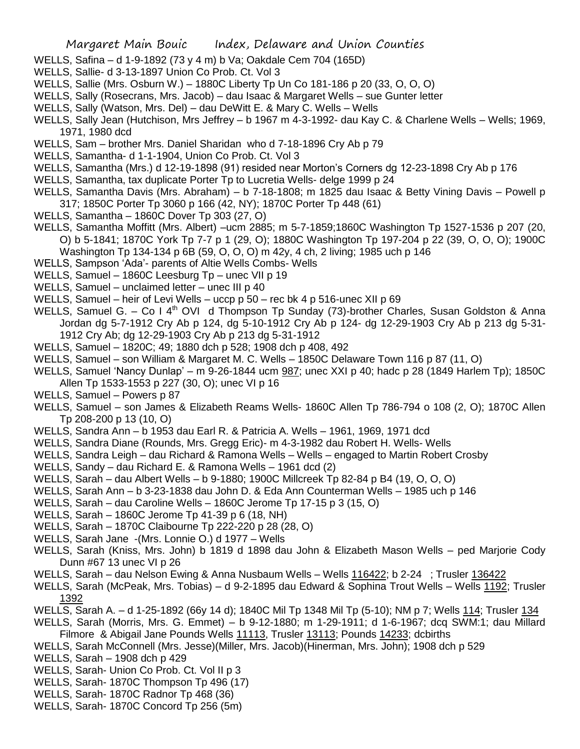- WELLS, Safina d 1-9-1892 (73 y 4 m) b Va; Oakdale Cem 704 (165D)
- WELLS, Sallie- d 3-13-1897 Union Co Prob. Ct. Vol 3
- WELLS, Sallie (Mrs. Osburn W.) 1880C Liberty Tp Un Co 181-186 p 20 (33, O, O, O)
- WELLS, Sally (Rosecrans, Mrs. Jacob) dau Isaac & Margaret Wells sue Gunter letter
- WELLS, Sally (Watson, Mrs. Del) dau DeWitt E. & Mary C. Wells Wells
- WELLS, Sally Jean (Hutchison, Mrs Jeffrey b 1967 m 4-3-1992- dau Kay C. & Charlene Wells Wells; 1969, 1971, 1980 dcd
- WELLS, Sam brother Mrs. Daniel Sharidan who d 7-18-1896 Cry Ab p 79
- WELLS, Samantha- d 1-1-1904, Union Co Prob. Ct. Vol 3
- WELLS, Samantha (Mrs.) d 12-19-1898 (91) resided near Morton's Corners dg 12-23-1898 Cry Ab p 176
- WELLS, Samantha, tax duplicate Porter Tp to Lucretia Wells- delge 1999 p 24
- WELLS, Samantha Davis (Mrs. Abraham) b 7-18-1808; m 1825 dau Isaac & Betty Vining Davis Powell p 317; 1850C Porter Tp 3060 p 166 (42, NY); 1870C Porter Tp 448 (61)
- WELLS, Samantha 1860C Dover Tp 303 (27, O)
- WELLS, Samantha Moffitt (Mrs. Albert) –ucm 2885; m 5-7-1859;1860C Washington Tp 1527-1536 p 207 (20, O) b 5-1841; 1870C York Tp 7-7 p 1 (29, O); 1880C Washington Tp 197-204 p 22 (39, O, O, O); 1900C
- Washington Tp 134-134 p 6B (59, O, O, O) m 42y, 4 ch, 2 living; 1985 uch p 146
- WELLS, Sampson 'Ada'- parents of Altie Wells Combs- Wells
- WELLS, Samuel 1860C Leesburg Tp unec VII p 19
- WELLS, Samuel unclaimed letter unec III p 40
- WELLS, Samuel heir of Levi Wells uccp p 50 rec bk 4 p 516-unec XII p 69
- WELLS, Samuel G. Co I 4<sup>th</sup> OVI d Thompson Tp Sunday (73)-brother Charles, Susan Goldston & Anna Jordan dg 5-7-1912 Cry Ab p 124, dg 5-10-1912 Cry Ab p 124- dg 12-29-1903 Cry Ab p 213 dg 5-31- 1912 Cry Ab; dg 12-29-1903 Cry Ab p 213 dg 5-31-1912
- WELLS, Samuel 1820C; 49; 1880 dch p 528; 1908 dch p 408, 492
- WELLS, Samuel son William & Margaret M. C. Wells 1850C Delaware Town 116 p 87 (11, O)
- WELLS, Samuel 'Nancy Dunlap' m 9-26-1844 ucm 987; unec XXI p 40; hadc p 28 (1849 Harlem Tp); 1850C Allen Tp 1533-1553 p 227 (30, O); unec VI p 16
- WELLS, Samuel Powers p 87
- WELLS, Samuel son James & Elizabeth Reams Wells- 1860C Allen Tp 786-794 o 108 (2, O); 1870C Allen Tp 208-200 p 13 (10, O)
- WELLS, Sandra Ann b 1953 dau Earl R. & Patricia A. Wells 1961, 1969, 1971 dcd
- WELLS, Sandra Diane (Rounds, Mrs. Gregg Eric)- m 4-3-1982 dau Robert H. Wells- Wells
- WELLS, Sandra Leigh dau Richard & Ramona Wells Wells engaged to Martin Robert Crosby
- WELLS, Sandy dau Richard E. & Ramona Wells 1961 dcd (2)
- WELLS, Sarah dau Albert Wells b 9-1880; 1900C Millcreek Tp 82-84 p B4 (19, O, O, O)
- WELLS, Sarah Ann b 3-23-1838 dau John D. & Eda Ann Counterman Wells 1985 uch p 146
- WELLS, Sarah dau Caroline Wells 1860C Jerome Tp 17-15 p 3 (15, O)
- WELLS, Sarah 1860C Jerome Tp 41-39 p 6 (18, NH)
- WELLS, Sarah 1870C Claibourne Tp 222-220 p 28 (28, O)
- WELLS, Sarah Jane -(Mrs. Lonnie O.) d 1977 Wells
- WELLS, Sarah (Kniss, Mrs. John) b 1819 d 1898 dau John & Elizabeth Mason Wells ped Marjorie Cody Dunn #67 13 unec VI p 26
- WELLS, Sarah dau Nelson Ewing & Anna Nusbaum Wells Wells 116422; b 2-24 ; Trusler 136422
- WELLS, Sarah (McPeak, Mrs. Tobias) d 9-2-1895 dau Edward & Sophina Trout Wells Wells 1192; Trusler 1392
- WELLS, Sarah A. d 1-25-1892 (66y 14 d); 1840C Mil Tp 1348 Mil Tp (5-10); NM p 7; Wells 114; Trusler 134
- WELLS, Sarah (Morris, Mrs. G. Emmet) b 9-12-1880; m 1-29-1911; d 1-6-1967; dcq SWM:1; dau Millard Filmore & Abigail Jane Pounds Wells 11113, Trusler 13113; Pounds 14233; dcbirths
- WELLS, Sarah McConnell (Mrs. Jesse)(Miller, Mrs. Jacob)(Hinerman, Mrs. John); 1908 dch p 529
- WELLS, Sarah 1908 dch p 429
- WELLS, Sarah- Union Co Prob. Ct. Vol II p 3
- WELLS, Sarah- 1870C Thompson Tp 496 (17)
- WELLS, Sarah- 1870C Radnor Tp 468 (36)
- WELLS, Sarah- 1870C Concord Tp 256 (5m)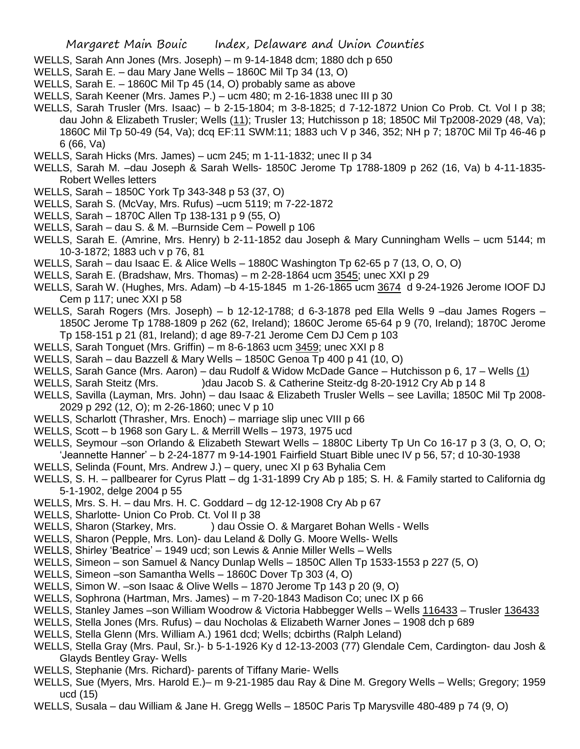- WELLS, Sarah Ann Jones (Mrs. Joseph) m 9-14-1848 dcm; 1880 dch p 650
- WELLS, Sarah E. dau Mary Jane Wells 1860C Mil Tp 34 (13, O)
- WELLS, Sarah E. 1860C Mil Tp 45 (14, O) probably same as above
- WELLS, Sarah Keener (Mrs. James P.) ucm 480; m 2-16-1838 unec III p 30
- WELLS, Sarah Trusler (Mrs. Isaac) b 2-15-1804; m 3-8-1825; d 7-12-1872 Union Co Prob. Ct. Vol I p 38; dau John & Elizabeth Trusler; Wells (11); Trusler 13; Hutchisson p 18; 1850C Mil Tp2008-2029 (48, Va); 1860C Mil Tp 50-49 (54, Va); dcq EF:11 SWM:11; 1883 uch V p 346, 352; NH p 7; 1870C Mil Tp 46-46 p 6 (66, Va)
- WELLS, Sarah Hicks (Mrs. James) ucm 245; m 1-11-1832; unec II p 34
- WELLS, Sarah M. –dau Joseph & Sarah Wells- 1850C Jerome Tp 1788-1809 p 262 (16, Va) b 4-11-1835- Robert Welles letters
- WELLS, Sarah 1850C York Tp 343-348 p 53 (37, O)
- WELLS, Sarah S. (McVay, Mrs. Rufus) –ucm 5119; m 7-22-1872
- WELLS, Sarah 1870C Allen Tp 138-131 p 9 (55, O)
- WELLS, Sarah dau S. & M. –Burnside Cem Powell p 106
- WELLS, Sarah E. (Amrine, Mrs. Henry) b 2-11-1852 dau Joseph & Mary Cunningham Wells ucm 5144; m 10-3-1872; 1883 uch v p 76, 81
- WELLS, Sarah dau Isaac E. & Alice Wells 1880C Washington Tp 62-65 p 7 (13, O, O, O)
- WELLS, Sarah E. (Bradshaw, Mrs. Thomas) m 2-28-1864 ucm 3545; unec XXI p 29
- WELLS, Sarah W. (Hughes, Mrs. Adam) –b 4-15-1845 m 1-26-1865 ucm 3674 d 9-24-1926 Jerome IOOF DJ Cem p 117; unec XXI p 58
- WELLS, Sarah Rogers (Mrs. Joseph) b 12-12-1788; d 6-3-1878 ped Ella Wells 9 –dau James Rogers 1850C Jerome Tp 1788-1809 p 262 (62, Ireland); 1860C Jerome 65-64 p 9 (70, Ireland); 1870C Jerome Tp 158-151 p 21 (81, Ireland); d age 89-7-21 Jerome Cem DJ Cem p 103
- WELLS, Sarah Tonguet (Mrs. Griffin) m 8-6-1863 ucm 3459; unec XXI p 8
- WELLS, Sarah dau Bazzell & Mary Wells 1850C Genoa Tp 400 p 41 (10, O)
- WELLS, Sarah Gance (Mrs. Aaron) dau Rudolf & Widow McDade Gance Hutchisson p 6, 17 Wells (1)
- WELLS, Sarah Steitz (Mrs. )dau Jacob S. & Catherine Steitz-dg 8-20-1912 Cry Ab p 14 8
- WELLS, Savilla (Layman, Mrs. John) dau Isaac & Elizabeth Trusler Wells see Lavilla; 1850C Mil Tp 2008- 2029 p 292 (12, O); m 2-26-1860; unec V p 10
- WELLS, Scharlott (Thrasher, Mrs. Enoch) marriage slip unec VIII p 66
- WELLS, Scott b 1968 son Gary L. & Merrill Wells 1973, 1975 ucd
- WELLS, Seymour –son Orlando & Elizabeth Stewart Wells 1880C Liberty Tp Un Co 16-17 p 3 (3, O, O, O; 'Jeannette Hanner' – b 2-24-1877 m 9-14-1901 Fairfield Stuart Bible unec IV p 56, 57; d 10-30-1938
- WELLS, Selinda (Fount, Mrs. Andrew J.) query, unec XI p 63 Byhalia Cem
- WELLS, S. H. pallbearer for Cyrus Platt dg 1-31-1899 Cry Ab p 185; S. H. & Family started to California dg 5-1-1902, delge 2004 p 55
- WELLS, Mrs. S. H. dau Mrs. H. C. Goddard dg 12-12-1908 Cry Ab p 67
- WELLS, Sharlotte- Union Co Prob. Ct. Vol II p 38
- WELLS, Sharon (Starkey, Mrs. ) dau Ossie O. & Margaret Bohan Wells Wells
- WELLS, Sharon (Pepple, Mrs. Lon)- dau Leland & Dolly G. Moore Wells- Wells
- WELLS, Shirley 'Beatrice' 1949 ucd; son Lewis & Annie Miller Wells Wells
- WELLS, Simeon son Samuel & Nancy Dunlap Wells 1850C Allen Tp 1533-1553 p 227 (5, O)
- WELLS, Simeon –son Samantha Wells 1860C Dover Tp 303 (4, O)
- WELLS, Simon W. –son Isaac & Olive Wells 1870 Jerome Tp 143 p 20 (9, O)
- WELLS, Sophrona (Hartman, Mrs. James) m 7-20-1843 Madison Co; unec IX p 66
- WELLS, Stanley James –son William Woodrow & Victoria Habbegger Wells Wells 116433 Trusler 136433
- WELLS, Stella Jones (Mrs. Rufus) dau Nocholas & Elizabeth Warner Jones 1908 dch p 689
- WELLS, Stella Glenn (Mrs. William A.) 1961 dcd; Wells; dcbirths (Ralph Leland)
- WELLS, Stella Gray (Mrs. Paul, Sr.)- b 5-1-1926 Ky d 12-13-2003 (77) Glendale Cem, Cardington- dau Josh & Glayds Bentley Gray- Wells
- WELLS, Stephanie (Mrs. Richard)- parents of Tiffany Marie- Wells
- WELLS, Sue (Myers, Mrs. Harold E.)– m 9-21-1985 dau Ray & Dine M. Gregory Wells Wells; Gregory; 1959 ucd (15)
- WELLS, Susala dau William & Jane H. Gregg Wells 1850C Paris Tp Marysville 480-489 p 74 (9, O)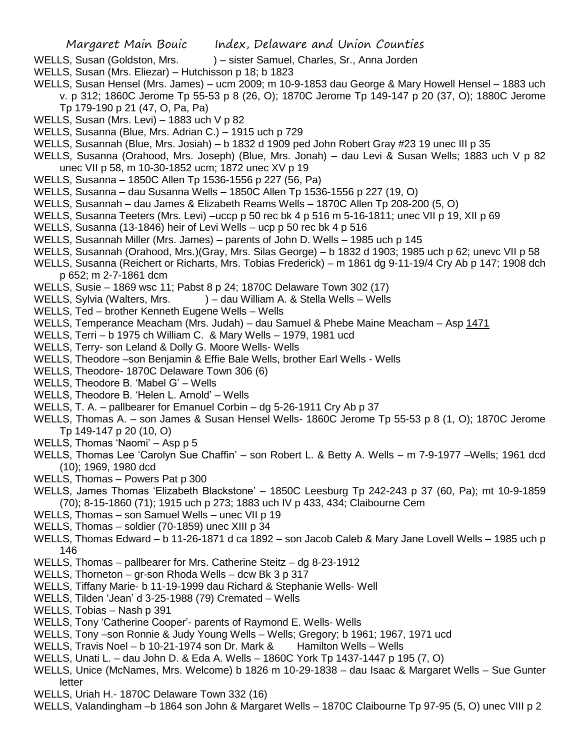- WELLS, Susan (Goldston, Mrs. ) sister Samuel, Charles, Sr., Anna Jorden
- WELLS, Susan (Mrs. Eliezar) Hutchisson p 18; b 1823
- WELLS, Susan Hensel (Mrs. James) ucm 2009; m 10-9-1853 dau George & Mary Howell Hensel 1883 uch v. p 312; 1860C Jerome Tp 55-53 p 8 (26, O); 1870C Jerome Tp 149-147 p 20 (37, O); 1880C Jerome Tp 179-190 p 21 (47, O, Pa, Pa)
- WELLS, Susan (Mrs. Levi) 1883 uch V p 82
- WELLS, Susanna (Blue, Mrs. Adrian C.) 1915 uch p 729
- WELLS, Susannah (Blue, Mrs. Josiah) b 1832 d 1909 ped John Robert Gray #23 19 unec III p 35
- WELLS, Susanna (Orahood, Mrs. Joseph) (Blue, Mrs. Jonah) dau Levi & Susan Wells; 1883 uch V p 82 unec VII p 58, m 10-30-1852 ucm; 1872 unec XV p 19
- WELLS, Susanna 1850C Allen Tp 1536-1556 p 227 (56, Pa)
- WELLS, Susanna dau Susanna Wells 1850C Allen Tp 1536-1556 p 227 (19, O)
- WELLS, Susannah dau James & Elizabeth Reams Wells 1870C Allen Tp 208-200 (5, O)
- WELLS, Susanna Teeters (Mrs. Levi) –uccp p 50 rec bk 4 p 516 m 5-16-1811; unec VII p 19, XII p 69
- WELLS, Susanna (13-1846) heir of Levi Wells ucp p 50 rec bk 4 p 516
- WELLS, Susannah Miller (Mrs. James) parents of John D. Wells 1985 uch p 145
- WELLS, Susannah (Orahood, Mrs.)(Gray, Mrs. Silas George) b 1832 d 1903; 1985 uch p 62; unevc VII p 58
- WELLS, Susanna (Reichert or Richarts, Mrs. Tobias Frederick) m 1861 dg 9-11-19/4 Cry Ab p 147; 1908 dch p 652; m 2-7-1861 dcm
- WELLS, Susie 1869 wsc 11; Pabst 8 p 24; 1870C Delaware Town 302 (17)
- WELLS, Sylvia (Walters, Mrs. ) dau William A. & Stella Wells Wells
- WELLS, Ted brother Kenneth Eugene Wells Wells
- WELLS, Temperance Meacham (Mrs. Judah) dau Samuel & Phebe Maine Meacham Asp 1471
- WELLS, Terri b 1975 ch William C. & Mary Wells 1979, 1981 ucd
- WELLS, Terry- son Leland & Dolly G. Moore Wells- Wells
- WELLS, Theodore –son Benjamin & Effie Bale Wells, brother Earl Wells Wells
- WELLS, Theodore- 1870C Delaware Town 306 (6)
- WELLS, Theodore B. 'Mabel G' Wells
- WELLS, Theodore B. 'Helen L. Arnold' Wells
- WELLS, T. A. pallbearer for Emanuel Corbin dg 5-26-1911 Cry Ab p 37
- WELLS, Thomas A. son James & Susan Hensel Wells- 1860C Jerome Tp 55-53 p 8 (1, O); 1870C Jerome Tp 149-147 p 20 (10, O)
- WELLS, Thomas 'Naomi' Asp p 5
- WELLS, Thomas Lee 'Carolyn Sue Chaffin' son Robert L. & Betty A. Wells m 7-9-1977 –Wells; 1961 dcd (10); 1969, 1980 dcd
- WELLS, Thomas Powers Pat p 300
- WELLS, James Thomas 'Elizabeth Blackstone' 1850C Leesburg Tp 242-243 p 37 (60, Pa); mt 10-9-1859 (70); 8-15-1860 (71); 1915 uch p 273; 1883 uch IV p 433, 434; Claibourne Cem
- WELLS, Thomas son Samuel Wells unec VII p 19
- WELLS, Thomas soldier (70-1859) unec XIII p 34
- WELLS, Thomas Edward b 11-26-1871 d ca 1892 son Jacob Caleb & Mary Jane Lovell Wells 1985 uch p 146
- WELLS, Thomas pallbearer for Mrs. Catherine Steitz dg 8-23-1912
- WELLS, Thorneton gr-son Rhoda Wells dcw Bk 3 p 317
- WELLS, Tiffany Marie- b 11-19-1999 dau Richard & Stephanie Wells- Well
- WELLS, Tilden 'Jean' d 3-25-1988 (79) Cremated Wells
- WELLS, Tobias Nash p 391
- WELLS, Tony 'Catherine Cooper'- parents of Raymond E. Wells- Wells
- WELLS, Tony –son Ronnie & Judy Young Wells Wells; Gregory; b 1961; 1967, 1971 ucd
- WELLS, Travis Noel b 10-21-1974 son Dr. Mark & Hamilton Wells Wells
- WELLS, Unati L. dau John D. & Eda A. Wells 1860C York Tp 1437-1447 p 195 (7, O)
- WELLS, Unice (McNames, Mrs. Welcome) b 1826 m 10-29-1838 dau Isaac & Margaret Wells Sue Gunter letter
- WELLS, Uriah H.- 1870C Delaware Town 332 (16)
- WELLS, Valandingham –b 1864 son John & Margaret Wells 1870C Claibourne Tp 97-95 (5, O) unec VIII p 2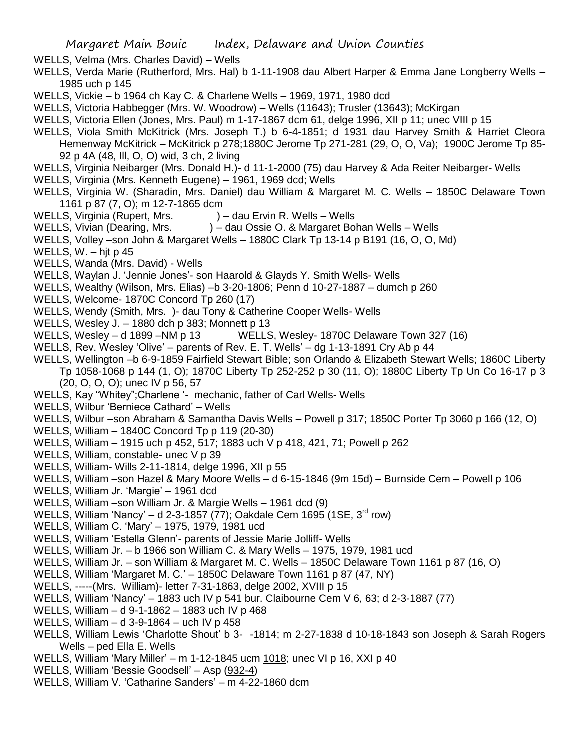WELLS, Velma (Mrs. Charles David) – Wells

WELLS, Verda Marie (Rutherford, Mrs. Hal) b 1-11-1908 dau Albert Harper & Emma Jane Longberry Wells – 1985 uch p 145

WELLS, Vickie – b 1964 ch Kay C. & Charlene Wells – 1969, 1971, 1980 dcd

- WELLS, Victoria Habbegger (Mrs. W. Woodrow) Wells (11643); Trusler (13643); McKirgan
- WELLS, Victoria Ellen (Jones, Mrs. Paul) m 1-17-1867 dcm 61, delge 1996, XII p 11; unec VIII p 15
- WELLS, Viola Smith McKitrick (Mrs. Joseph T.) b 6-4-1851; d 1931 dau Harvey Smith & Harriet Cleora Hemenway McKitrick – McKitrick p 278;1880C Jerome Tp 271-281 (29, O, O, Va); 1900C Jerome Tp 85- 92 p 4A (48, Ill, O, O) wid, 3 ch, 2 living
- WELLS, Virginia Neibarger (Mrs. Donald H.)- d 11-1-2000 (75) dau Harvey & Ada Reiter Neibarger- Wells
- WELLS, Virginia (Mrs. Kenneth Eugene) 1961, 1969 dcd; Wells
- WELLS, Virginia W. (Sharadin, Mrs. Daniel) dau William & Margaret M. C. Wells 1850C Delaware Town 1161 p 87 (7, O); m 12-7-1865 dcm
- WELLS, Virginia (Rupert, Mrs. ) dau Ervin R. Wells Wells
- WELLS, Vivian (Dearing, Mrs. ) dau Ossie O. & Margaret Bohan Wells Wells
- WELLS, Volley –son John & Margaret Wells 1880C Clark Tp 13-14 p B191 (16, O, O, Md)
- WELLS,  $W h$  it p 45
- WELLS, Wanda (Mrs. David) Wells
- WELLS, Waylan J. 'Jennie Jones'- son Haarold & Glayds Y. Smith Wells- Wells
- WELLS, Wealthy (Wilson, Mrs. Elias) –b 3-20-1806; Penn d 10-27-1887 dumch p 260
- WELLS, Welcome- 1870C Concord Tp 260 (17)
- WELLS, Wendy (Smith, Mrs. )- dau Tony & Catherine Cooper Wells- Wells
- WELLS, Wesley J. 1880 dch p 383; Monnett p 13
- WELLS, Wesley d 1899 –NM p 13 WELLS, Wesley- 1870C Delaware Town 327 (16)
- WELLS, Rev. Wesley 'Olive' parents of Rev. E. T. Wells' dg 1-13-1891 Cry Ab p 44
- WELLS, Wellington –b 6-9-1859 Fairfield Stewart Bible; son Orlando & Elizabeth Stewart Wells; 1860C Liberty Tp 1058-1068 p 144 (1, O); 1870C Liberty Tp 252-252 p 30 (11, O); 1880C Liberty Tp Un Co 16-17 p 3 (20, O, O, O); unec IV p 56, 57
- WELLS, Kay "Whitey";Charlene '- mechanic, father of Carl Wells- Wells
- WELLS, Wilbur 'Berniece Cathard' Wells
- WELLS, Wilbur –son Abraham & Samantha Davis Wells Powell p 317; 1850C Porter Tp 3060 p 166 (12, O)
- WELLS, William 1840C Concord Tp p 119 (20-30)
- WELLS, William 1915 uch p 452, 517; 1883 uch V p 418, 421, 71; Powell p 262
- WELLS, William, constable- unec V p 39
- WELLS, William- Wills 2-11-1814, delge 1996, XII p 55
- WELLS, William –son Hazel & Mary Moore Wells d 6-15-1846 (9m 15d) Burnside Cem Powell p 106
- WELLS, William Jr. 'Margie' 1961 dcd
- WELLS, William –son William Jr. & Margie Wells 1961 dcd (9)
- WELLS, William 'Nancy' d 2-3-1857 (77); Oakdale Cem 1695 (1SE,  $3<sup>rd</sup>$  row)
- WELLS, William C. 'Mary' 1975, 1979, 1981 ucd
- WELLS, William 'Estella Glenn'- parents of Jessie Marie Jolliff- Wells
- WELLS, William Jr. b 1966 son William C. & Mary Wells 1975, 1979, 1981 ucd
- WELLS, William Jr. son William & Margaret M. C. Wells 1850C Delaware Town 1161 p 87 (16, O)
- WELLS, William 'Margaret M. C.' 1850C Delaware Town 1161 p 87 (47, NY)
- WELLS, -----(Mrs. William)- letter 7-31-1863, delge 2002, XVIII p 15
- WELLS, William 'Nancy' 1883 uch IV p 541 bur. Claibourne Cem V 6, 63; d 2-3-1887 (77)
- WELLS, William d 9-1-1862 1883 uch IV p 468
- WELLS, William d 3-9-1864 uch IV p 458
- WELLS, William Lewis 'Charlotte Shout' b 3- -1814; m 2-27-1838 d 10-18-1843 son Joseph & Sarah Rogers Wells – ped Ella E. Wells
- WELLS, William 'Mary Miller' m 1-12-1845 ucm 1018; unec VI p 16, XXI p 40
- WELLS, William 'Bessie Goodsell' Asp (932-4)
- WELLS, William V. 'Catharine Sanders' m 4-22-1860 dcm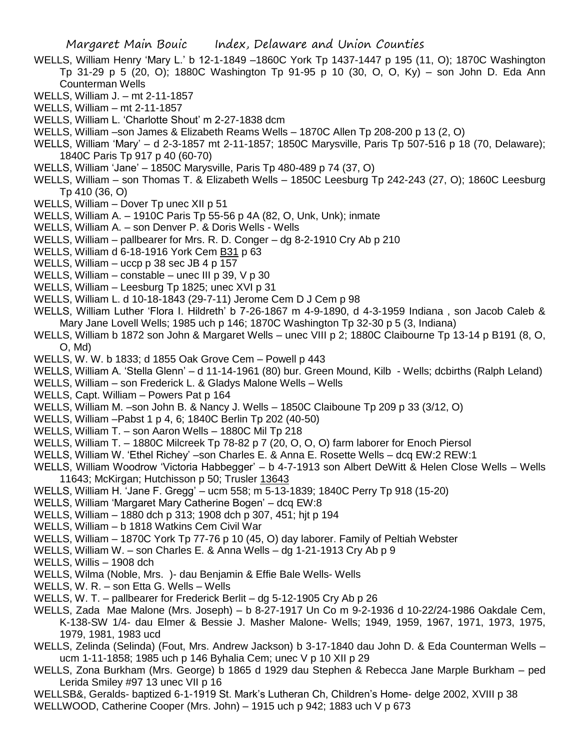- WELLS, William Henry 'Mary L.' b 12-1-1849 –1860C York Tp 1437-1447 p 195 (11, O); 1870C Washington Tp 31-29 p 5 (20, O); 1880C Washington Tp 91-95 p 10 (30, O, O, Ky) – son John D. Eda Ann Counterman Wells
- WELLS, William J. mt 2-11-1857
- WELLS, William mt 2-11-1857
- WELLS, William L. 'Charlotte Shout' m 2-27-1838 dcm
- WELLS, William –son James & Elizabeth Reams Wells 1870C Allen Tp 208-200 p 13 (2, O)
- WELLS, William 'Mary' d 2-3-1857 mt 2-11-1857; 1850C Marysville, Paris Tp 507-516 p 18 (70, Delaware); 1840C Paris Tp 917 p 40 (60-70)
- WELLS, William 'Jane' 1850C Marysville, Paris Tp 480-489 p 74 (37, O)
- WELLS, William son Thomas T. & Elizabeth Wells 1850C Leesburg Tp 242-243 (27, O); 1860C Leesburg Tp 410 (36, O)
- WELLS, William Dover Tp unec XII p 51
- WELLS, William A. 1910C Paris Tp 55-56 p 4A (82, O, Unk, Unk); inmate
- WELLS, William A. son Denver P. & Doris Wells Wells
- WELLS, William pallbearer for Mrs. R. D. Conger dg 8-2-1910 Cry Ab p 210
- WELLS, William d 6-18-1916 York Cem B31 p 63
- WELLS, William uccp p 38 sec JB 4 p 157
- WELLS, William constable unec III p 39, V p 30
- WELLS, William Leesburg Tp 1825; unec XVI p 31
- WELLS, William L. d 10-18-1843 (29-7-11) Jerome Cem D J Cem p 98
- WELLS, William Luther 'Flora I. Hildreth' b 7-26-1867 m 4-9-1890, d 4-3-1959 Indiana , son Jacob Caleb & Mary Jane Lovell Wells; 1985 uch p 146; 1870C Washington Tp 32-30 p 5 (3, Indiana)
- WELLS, William b 1872 son John & Margaret Wells unec VIII p 2; 1880C Claibourne Tp 13-14 p B191 (8, O, O, Md)
- WELLS, W. W. b 1833; d 1855 Oak Grove Cem Powell p 443
- WELLS, William A. 'Stella Glenn' d 11-14-1961 (80) bur. Green Mound, Kilb Wells; dcbirths (Ralph Leland)
- WELLS, William son Frederick L. & Gladys Malone Wells Wells
- WELLS, Capt. William Powers Pat p 164
- WELLS, William M. –son John B. & Nancy J. Wells 1850C Claiboune Tp 209 p 33 (3/12, O)
- WELLS, William –Pabst 1 p 4, 6; 1840C Berlin Tp 202 (40-50)
- WELLS, William T. son Aaron Wells 1880C Mil Tp 218
- WELLS, William T. 1880C Milcreek Tp 78-82 p 7 (20, O, O, O) farm laborer for Enoch Piersol
- WELLS, William W. 'Ethel Richey' –son Charles E. & Anna E. Rosette Wells dcq EW:2 REW:1
- WELLS, William Woodrow 'Victoria Habbegger' b 4-7-1913 son Albert DeWitt & Helen Close Wells Wells 11643; McKirgan; Hutchisson p 50; Trusler 13643
- WELLS, William H. 'Jane F. Gregg' ucm 558; m 5-13-1839; 1840C Perry Tp 918 (15-20)
- WELLS, William 'Margaret Mary Catherine Bogen' dcq EW:8
- WELLS, William 1880 dch p 313; 1908 dch p 307, 451; hjt p 194
- WELLS, William b 1818 Watkins Cem Civil War
- WELLS, William 1870C York Tp 77-76 p 10 (45, O) day laborer. Family of Peltiah Webster
- WELLS, William W. son Charles E. & Anna Wells dg 1-21-1913 Cry Ab p 9
- WELLS, Willis 1908 dch
- WELLS, Wilma (Noble, Mrs. )- dau Benjamin & Effie Bale Wells- Wells
- WELLS, W. R. son Etta G. Wells Wells
- WELLS, W. T. pallbearer for Frederick Berlit dg 5-12-1905 Cry Ab p 26
- WELLS, Zada Mae Malone (Mrs. Joseph) b 8-27-1917 Un Co m 9-2-1936 d 10-22/24-1986 Oakdale Cem, K-138-SW 1/4- dau Elmer & Bessie J. Masher Malone- Wells; 1949, 1959, 1967, 1971, 1973, 1975, 1979, 1981, 1983 ucd
- WELLS, Zelinda (Selinda) (Fout, Mrs. Andrew Jackson) b 3-17-1840 dau John D. & Eda Counterman Wells ucm 1-11-1858; 1985 uch p 146 Byhalia Cem; unec V p 10 XII p 29
- WELLS, Zona Burkham (Mrs. George) b 1865 d 1929 dau Stephen & Rebecca Jane Marple Burkham ped Lerida Smiley #97 13 unec VII p 16
- WELLSB&, Geralds- baptized 6-1-1919 St. Mark's Lutheran Ch, Children's Home- delge 2002, XVIII p 38 WELLWOOD, Catherine Cooper (Mrs. John) – 1915 uch p 942; 1883 uch V p 673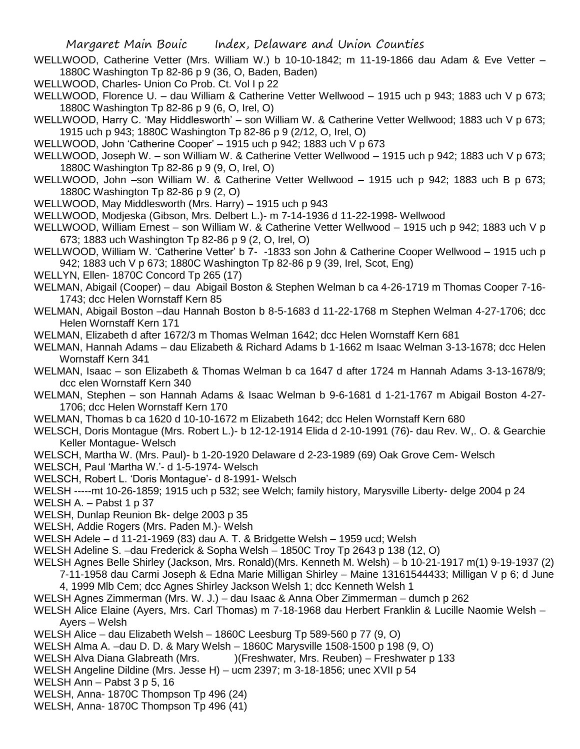- WELLWOOD, Catherine Vetter (Mrs. William W.) b 10-10-1842; m 11-19-1866 dau Adam & Eve Vetter 1880C Washington Tp 82-86 p 9 (36, O, Baden, Baden)
- WELLWOOD, Charles- Union Co Prob. Ct. Vol I p 22
- WELLWOOD, Florence U. dau William & Catherine Vetter Wellwood 1915 uch p 943; 1883 uch V p 673; 1880C Washington Tp 82-86 p 9 (6, O, Irel, O)
- WELLWOOD, Harry C. 'May Hiddlesworth' son William W. & Catherine Vetter Wellwood; 1883 uch V p 673; 1915 uch p 943; 1880C Washington Tp 82-86 p 9 (2/12, O, Irel, O)
- WELLWOOD, John 'Catherine Cooper' 1915 uch p 942; 1883 uch V p 673
- WELLWOOD, Joseph W. son William W. & Catherine Vetter Wellwood 1915 uch p 942; 1883 uch V p 673; 1880C Washington Tp 82-86 p 9 (9, O, Irel, O)
- WELLWOOD, John –son William W. & Catherine Vetter Wellwood 1915 uch p 942; 1883 uch B p 673; 1880C Washington Tp 82-86 p 9 (2, O)
- WELLWOOD, May Middlesworth (Mrs. Harry) 1915 uch p 943
- WELLWOOD, Modjeska (Gibson, Mrs. Delbert L.)- m 7-14-1936 d 11-22-1998- Wellwood
- WELLWOOD, William Ernest son William W. & Catherine Vetter Wellwood 1915 uch p 942; 1883 uch V p 673; 1883 uch Washington Tp 82-86 p 9 (2, O, Irel, O)
- WELLWOOD, William W. 'Catherine Vetter' b 7- -1833 son John & Catherine Cooper Wellwood 1915 uch p 942; 1883 uch V p 673; 1880C Washington Tp 82-86 p 9 (39, Irel, Scot, Eng)
- WELLYN, Ellen- 1870C Concord Tp 265 (17)
- WELMAN, Abigail (Cooper) dau Abigail Boston & Stephen Welman b ca 4-26-1719 m Thomas Cooper 7-16- 1743; dcc Helen Wornstaff Kern 85
- WELMAN, Abigail Boston –dau Hannah Boston b 8-5-1683 d 11-22-1768 m Stephen Welman 4-27-1706; dcc Helen Wornstaff Kern 171
- WELMAN, Elizabeth d after 1672/3 m Thomas Welman 1642; dcc Helen Wornstaff Kern 681
- WELMAN, Hannah Adams dau Elizabeth & Richard Adams b 1-1662 m Isaac Welman 3-13-1678; dcc Helen Wornstaff Kern 341
- WELMAN, Isaac son Elizabeth & Thomas Welman b ca 1647 d after 1724 m Hannah Adams 3-13-1678/9; dcc elen Wornstaff Kern 340
- WELMAN, Stephen son Hannah Adams & Isaac Welman b 9-6-1681 d 1-21-1767 m Abigail Boston 4-27- 1706; dcc Helen Wornstaff Kern 170
- WELMAN, Thomas b ca 1620 d 10-10-1672 m Elizabeth 1642; dcc Helen Wornstaff Kern 680
- WELSCH, Doris Montague (Mrs. Robert L.)- b 12-12-1914 Elida d 2-10-1991 (76)- dau Rev. W,. O. & Gearchie Keller Montague- Welsch
- WELSCH, Martha W. (Mrs. Paul)- b 1-20-1920 Delaware d 2-23-1989 (69) Oak Grove Cem- Welsch
- WELSCH, Paul 'Martha W.'- d 1-5-1974- Welsch
- WELSCH, Robert L. 'Doris Montague'- d 8-1991- Welsch
- WELSH -----mt 10-26-1859; 1915 uch p 532; see Welch; family history, Marysville Liberty- delge 2004 p 24
- WELSH A. Pabst 1 p 37
- WELSH, Dunlap Reunion Bk- delge 2003 p 35
- WELSH, Addie Rogers (Mrs. Paden M.)- Welsh
- WELSH Adele d 11-21-1969 (83) dau A. T. & Bridgette Welsh 1959 ucd; Welsh
- WELSH Adeline S. –dau Frederick & Sopha Welsh 1850C Troy Tp 2643 p 138 (12, O)
- WELSH Agnes Belle Shirley (Jackson, Mrs. Ronald)(Mrs. Kenneth M. Welsh) b 10-21-1917 m(1) 9-19-1937 (2)
	- 7-11-1958 dau Carmi Joseph & Edna Marie Milligan Shirley Maine 13161544433; Milligan V p 6; d June 4, 1999 Mlb Cem; dcc Agnes Shirley Jackson Welsh 1; dcc Kenneth Welsh 1
- WELSH Agnes Zimmerman (Mrs. W. J.) dau Isaac & Anna Ober Zimmerman dumch p 262
- WELSH Alice Elaine (Ayers, Mrs. Carl Thomas) m 7-18-1968 dau Herbert Franklin & Lucille Naomie Welsh Ayers – Welsh
- WELSH Alice dau Elizabeth Welsh 1860C Leesburg Tp 589-560 p 77 (9, O)
- WELSH Alma A. –dau D. D. & Mary Welsh 1860C Marysville 1508-1500 p 198 (9, O)
- WELSH Alva Diana Glabreath (Mrs. )(Freshwater, Mrs. Reuben) Freshwater p 133
- WELSH Angeline Dildine (Mrs. Jesse H) ucm 2397; m 3-18-1856; unec XVII p 54
- WELSH Ann Pabst 3 p 5, 16
- WELSH, Anna- 1870C Thompson Tp 496 (24)
- WELSH, Anna- 1870C Thompson Tp 496 (41)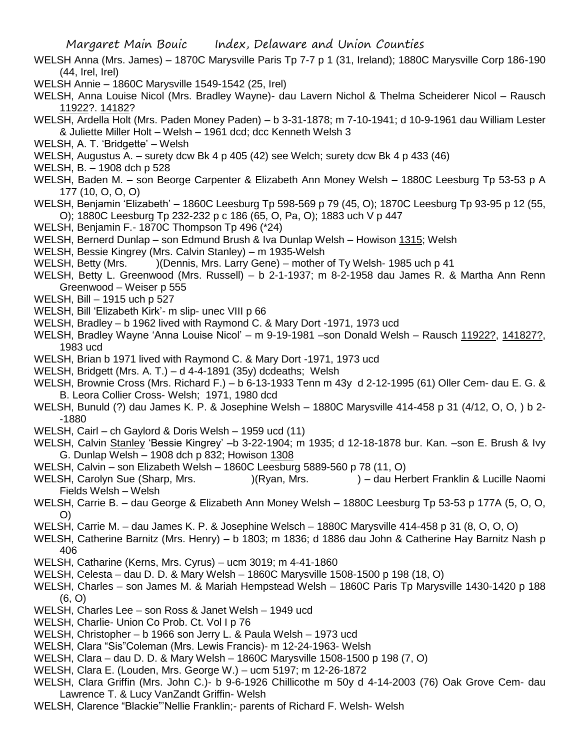- WELSH Anna (Mrs. James) 1870C Marysville Paris Tp 7-7 p 1 (31, Ireland); 1880C Marysville Corp 186-190 (44, Irel, Irel)
- WELSH Annie 1860C Marysville 1549-1542 (25, Irel)
- WELSH, Anna Louise Nicol (Mrs. Bradley Wayne)- dau Lavern Nichol & Thelma Scheiderer Nicol Rausch 11922?. 14182?
- WELSH, Ardella Holt (Mrs. Paden Money Paden) b 3-31-1878; m 7-10-1941; d 10-9-1961 dau William Lester & Juliette Miller Holt – Welsh – 1961 dcd; dcc Kenneth Welsh 3
- WELSH, A. T. 'Bridgette' Welsh
- WELSH, Augustus A. surety dcw Bk 4 p 405 (42) see Welch; surety dcw Bk 4 p 433 (46)
- WELSH, B. 1908 dch p 528
- WELSH, Baden M. son Beorge Carpenter & Elizabeth Ann Money Welsh 1880C Leesburg Tp 53-53 p A 177 (10, O, O, O)
- WELSH, Benjamin 'Elizabeth' 1860C Leesburg Tp 598-569 p 79 (45, O); 1870C Leesburg Tp 93-95 p 12 (55, O); 1880C Leesburg Tp 232-232 p c 186 (65, O, Pa, O); 1883 uch V p 447
- WELSH, Benjamin F.- 1870C Thompson Tp 496 (\*24)
- WELSH, Bernerd Dunlap son Edmund Brush & Iva Dunlap Welsh Howison 1315; Welsh
- WELSH, Bessie Kingrey (Mrs. Calvin Stanley) m 1935-Welsh
- WELSH, Betty (Mrs. )(Dennis, Mrs. Larry Gene) mother of Ty Welsh- 1985 uch p 41
- WELSH, Betty L. Greenwood (Mrs. Russell) b 2-1-1937; m 8-2-1958 dau James R. & Martha Ann Renn Greenwood – Weiser p 555
- WELSH, Bill 1915 uch p 527
- WELSH, Bill 'Elizabeth Kirk'- m slip- unec VIII p 66
- WELSH, Bradley b 1962 lived with Raymond C. & Mary Dort -1971, 1973 ucd
- WELSH, Bradley Wayne 'Anna Louise Nicol' m 9-19-1981 –son Donald Welsh Rausch 11922?, 141827?, 1983 ucd
- WELSH, Brian b 1971 lived with Raymond C. & Mary Dort -1971, 1973 ucd
- WELSH, Bridgett (Mrs. A. T.) d 4-4-1891 (35y) dcdeaths; Welsh
- WELSH, Brownie Cross (Mrs. Richard F.) b 6-13-1933 Tenn m 43y d 2-12-1995 (61) Oller Cem- dau E. G. & B. Leora Collier Cross- Welsh; 1971, 1980 dcd
- WELSH, Bunuld (?) dau James K. P. & Josephine Welsh 1880C Marysville 414-458 p 31 (4/12, O, O, ) b 2- -1880
- WELSH, Cairl ch Gaylord & Doris Welsh 1959 ucd (11)
- WELSH, Calvin Stanley 'Bessie Kingrey' –b 3-22-1904; m 1935; d 12-18-1878 bur. Kan. –son E. Brush & Ivy G. Dunlap Welsh – 1908 dch p 832; Howison 1308
- WELSH, Calvin son Elizabeth Welsh 1860C Leesburg 5889-560 p 78 (11, O)
- WELSH, Carolyn Sue (Sharp, Mrs. )(Ryan, Mrs. ) dau Herbert Franklin & Lucille Naomi Fields Welsh – Welsh
- WELSH, Carrie B. dau George & Elizabeth Ann Money Welsh 1880C Leesburg Tp 53-53 p 177A (5, O, O, O)
- WELSH, Carrie M. dau James K. P. & Josephine Welsch 1880C Marysville 414-458 p 31 (8, O, O, O)
- WELSH, Catherine Barnitz (Mrs. Henry) b 1803; m 1836; d 1886 dau John & Catherine Hay Barnitz Nash p 406
- WELSH, Catharine (Kerns, Mrs. Cyrus) ucm 3019; m 4-41-1860
- WELSH, Celesta dau D. D. & Mary Welsh 1860C Marysville 1508-1500 p 198 (18, O)
- WELSH, Charles son James M. & Mariah Hempstead Welsh 1860C Paris Tp Marysville 1430-1420 p 188 (6, O)
- WELSH, Charles Lee son Ross & Janet Welsh 1949 ucd
- WELSH, Charlie- Union Co Prob. Ct. Vol I p 76
- WELSH, Christopher b 1966 son Jerry L. & Paula Welsh 1973 ucd
- WELSH, Clara "Sis"Coleman (Mrs. Lewis Francis)- m 12-24-1963- Welsh
- WELSH, Clara dau D. D. & Mary Welsh 1860C Marysville 1508-1500 p 198 (7, O)
- WELSH, Clara E. (Louden, Mrs. George W.) ucm 5197; m 12-26-1872
- WELSH, Clara Griffin (Mrs. John C.)- b 9-6-1926 Chillicothe m 50y d 4-14-2003 (76) Oak Grove Cem- dau Lawrence T. & Lucy VanZandt Griffin- Welsh
- WELSH, Clarence "Blackie"'Nellie Franklin;- parents of Richard F. Welsh- Welsh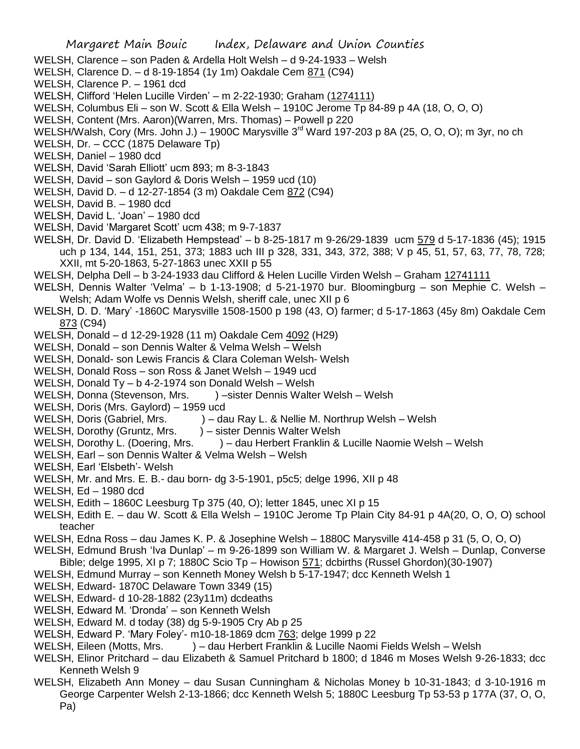- WELSH, Clarence son Paden & Ardella Holt Welsh d 9-24-1933 Welsh
- WELSH, Clarence D. d 8-19-1854 (1y 1m) Oakdale Cem 871 (C94)
- WELSH, Clarence P. 1961 dcd
- WELSH, Clifford 'Helen Lucille Virden' m 2-22-1930; Graham (1274111)
- WELSH, Columbus Eli son W. Scott & Ella Welsh 1910C Jerome Tp 84-89 p 4A (18, O, O, O)
- WELSH, Content (Mrs. Aaron)(Warren, Mrs. Thomas) Powell p 220
- WELSH/Walsh, Cory (Mrs. John J.) 1900C Marysville 3<sup>rd</sup> Ward 197-203 p 8A (25, O, O, O); m 3yr, no ch
- WELSH, Dr. CCC (1875 Delaware Tp)
- WELSH, Daniel 1980 dcd
- WELSH, David 'Sarah Elliott' ucm 893; m 8-3-1843
- WELSH, David son Gaylord & Doris Welsh 1959 ucd (10)
- WELSH, David D. d 12-27-1854 (3 m) Oakdale Cem 872 (C94)
- WELSH, David B. 1980 dcd
- WELSH, David L. 'Joan' 1980 dcd
- WELSH, David 'Margaret Scott' ucm 438; m 9-7-1837
- WELSH, Dr. David D. 'Elizabeth Hempstead' b 8-25-1817 m 9-26/29-1839 ucm 579 d 5-17-1836 (45); 1915 uch p 134, 144, 151, 251, 373; 1883 uch III p 328, 331, 343, 372, 388; V p 45, 51, 57, 63, 77, 78, 728; XXII, mt 5-20-1863, 5-27-1863 unec XXII p 55
- WELSH, Delpha Dell b 3-24-1933 dau Clifford & Helen Lucille Virden Welsh Graham 12741111
- WELSH, Dennis Walter 'Velma' b 1-13-1908; d 5-21-1970 bur. Bloomingburg son Mephie C. Welsh Welsh; Adam Wolfe vs Dennis Welsh, sheriff cale, unec XII p 6
- WELSH, D. D. 'Mary' -1860C Marysville 1508-1500 p 198 (43, O) farmer; d 5-17-1863 (45y 8m) Oakdale Cem 873 (C94)
- WELSH, Donald d 12-29-1928 (11 m) Oakdale Cem 4092 (H29)
- WELSH, Donald son Dennis Walter & Velma Welsh Welsh
- WELSH, Donald- son Lewis Francis & Clara Coleman Welsh- Welsh
- WELSH, Donald Ross son Ross & Janet Welsh 1949 ucd
- WELSH, Donald Ty b 4-2-1974 son Donald Welsh Welsh
- WELSH, Donna (Stevenson, Mrs. ) sister Dennis Walter Welsh Welsh
- WELSH, Doris (Mrs. Gaylord) 1959 ucd
- WELSH, Doris (Gabriel, Mrs. ) dau Ray L. & Nellie M. Northrup Welsh Welsh
- WELSH, Dorothy (Gruntz, Mrs. ) sister Dennis Walter Welsh
- WELSH, Dorothy L. (Doering, Mrs. ) dau Herbert Franklin & Lucille Naomie Welsh Welsh
- WELSH, Earl son Dennis Walter & Velma Welsh Welsh
- WELSH, Earl 'Elsbeth'- Welsh
- WELSH, Mr. and Mrs. E. B.- dau born- dg 3-5-1901, p5c5; delge 1996, XII p 48
- WELSH, Ed 1980 dcd
- WELSH, Edith 1860C Leesburg Tp 375 (40, O); letter 1845, unec XI p 15
- WELSH, Edith E. dau W. Scott & Ella Welsh 1910C Jerome Tp Plain City 84-91 p 4A(20, O, O, O) school teacher
- WELSH, Edna Ross dau James K. P. & Josephine Welsh 1880C Marysville 414-458 p 31 (5, O, O, O)
- WELSH, Edmund Brush 'Iva Dunlap' m 9-26-1899 son William W. & Margaret J. Welsh Dunlap, Converse
- Bible; delge 1995, XI p 7; 1880C Scio Tp Howison 571; dcbirths (Russel Ghordon)(30-1907)
- WELSH, Edmund Murray son Kenneth Money Welsh b 5-17-1947; dcc Kenneth Welsh 1
- WELSH, Edward- 1870C Delaware Town 3349 (15)
- WELSH, Edward- d 10-28-1882 (23y11m) dcdeaths
- WELSH, Edward M. 'Dronda' son Kenneth Welsh
- WELSH, Edward M. d today (38) dg 5-9-1905 Cry Ab p 25
- WELSH, Edward P. 'Mary Foley'- m10-18-1869 dcm 763; delge 1999 p 22
- WELSH, Eileen (Motts, Mrs. ) dau Herbert Franklin & Lucille Naomi Fields Welsh Welsh
- WELSH, Elinor Pritchard dau Elizabeth & Samuel Pritchard b 1800; d 1846 m Moses Welsh 9-26-1833; dcc Kenneth Welsh 9
- WELSH, Elizabeth Ann Money dau Susan Cunningham & Nicholas Money b 10-31-1843; d 3-10-1916 m George Carpenter Welsh 2-13-1866; dcc Kenneth Welsh 5; 1880C Leesburg Tp 53-53 p 177A (37, O, O, Pa)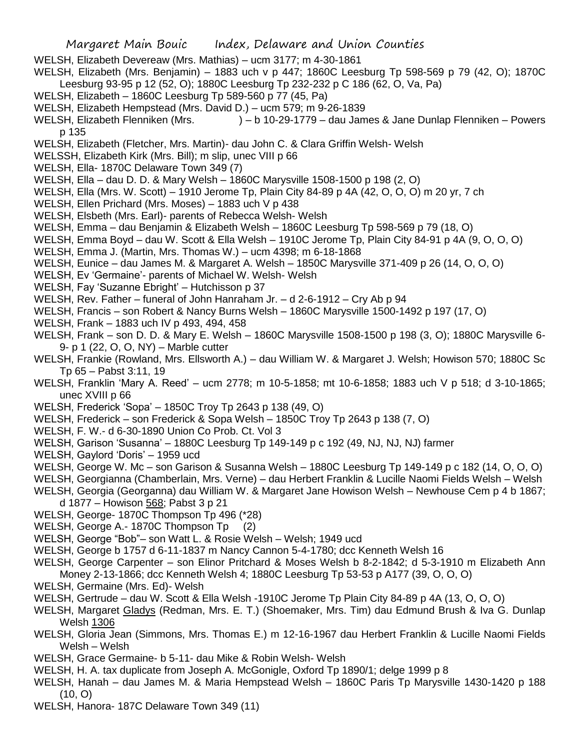- Margaret Main Bouic Index, Delaware and Union Counties
- WELSH, Elizabeth Devereaw (Mrs. Mathias) ucm 3177; m 4-30-1861

WELSH, Elizabeth (Mrs. Benjamin) – 1883 uch v p 447; 1860C Leesburg Tp 598-569 p 79 (42, O); 1870C Leesburg 93-95 p 12 (52, O); 1880C Leesburg Tp 232-232 p C 186 (62, O, Va, Pa)

- WELSH, Elizabeth 1860C Leesburg Tp 589-560 p 77 (45, Pa)
- WELSH, Elizabeth Hempstead (Mrs. David D.) ucm 579; m 9-26-1839
- WELSH, Elizabeth Flenniken (Mrs. ) b 10-29-1779 dau James & Jane Dunlap Flenniken Powers p 135
- WELSH, Elizabeth (Fletcher, Mrs. Martin)- dau John C. & Clara Griffin Welsh- Welsh
- WELSSH, Elizabeth Kirk (Mrs. Bill); m slip, unec VIII p 66
- WELSH, Ella- 1870C Delaware Town 349 (7)
- WELSH, Ella dau D. D. & Mary Welsh 1860C Marysville 1508-1500 p 198 (2, O)
- WELSH, Ella (Mrs. W. Scott) 1910 Jerome Tp, Plain City 84-89 p 4A (42, O, O, O) m 20 yr, 7 ch
- WELSH, Ellen Prichard (Mrs. Moses) 1883 uch V p 438
- WELSH, Elsbeth (Mrs. Earl)- parents of Rebecca Welsh- Welsh
- WELSH, Emma dau Benjamin & Elizabeth Welsh 1860C Leesburg Tp 598-569 p 79 (18, O)
- WELSH, Emma Boyd dau W. Scott & Ella Welsh 1910C Jerome Tp, Plain City 84-91 p 4A (9, O, O, O)
- WELSH, Emma J. (Martin, Mrs. Thomas W.) ucm 4398; m 6-18-1868
- WELSH, Eunice dau James M. & Margaret A. Welsh 1850C Marysville 371-409 p 26 (14, O, O, O)
- WELSH, Ev 'Germaine'- parents of Michael W. Welsh- Welsh
- WELSH, Fay 'Suzanne Ebright' Hutchisson p 37
- WELSH, Rev. Father funeral of John Hanraham Jr. d 2-6-1912 Cry Ab p 94
- WELSH, Francis son Robert & Nancy Burns Welsh 1860C Marysville 1500-1492 p 197 (17, O)
- WELSH, Frank 1883 uch IV p 493, 494, 458
- WELSH, Frank son D. D. & Mary E. Welsh 1860C Marysville 1508-1500 p 198 (3, O); 1880C Marysville 6- 9- p 1 (22, O, O, NY) – Marble cutter
- WELSH, Frankie (Rowland, Mrs. Ellsworth A.) dau William W. & Margaret J. Welsh; Howison 570; 1880C Sc Tp 65 – Pabst 3:11, 19
- WELSH, Franklin 'Mary A. Reed' ucm 2778; m 10-5-1858; mt 10-6-1858; 1883 uch V p 518; d 3-10-1865; unec XVIII p 66
- WELSH, Frederick 'Sopa' 1850C Troy Tp 2643 p 138 (49, O)
- WELSH, Frederick son Frederick & Sopa Welsh 1850C Troy Tp 2643 p 138 (7, O)
- WELSH, F. W.- d 6-30-1890 Union Co Prob. Ct. Vol 3
- WELSH, Garison 'Susanna' 1880C Leesburg Tp 149-149 p c 192 (49, NJ, NJ, NJ) farmer
- WELSH, Gaylord 'Doris' 1959 ucd
- WELSH, George W. Mc son Garison & Susanna Welsh 1880C Leesburg Tp 149-149 p c 182 (14, O, O, O)
- WELSH, Georgianna (Chamberlain, Mrs. Verne) dau Herbert Franklin & Lucille Naomi Fields Welsh Welsh
- WELSH, Georgia (Georganna) dau William W. & Margaret Jane Howison Welsh Newhouse Cem p 4 b 1867; d 1877 – Howison 568; Pabst 3 p 21
- WELSH, George- 1870C Thompson Tp 496 (\*28)
- WELSH, George A.- 1870C Thompson Tp (2)
- WELSH, George "Bob"– son Watt L. & Rosie Welsh Welsh; 1949 ucd
- WELSH, George b 1757 d 6-11-1837 m Nancy Cannon 5-4-1780; dcc Kenneth Welsh 16
- WELSH, George Carpenter son Elinor Pritchard & Moses Welsh b 8-2-1842; d 5-3-1910 m Elizabeth Ann Money 2-13-1866; dcc Kenneth Welsh 4; 1880C Leesburg Tp 53-53 p A177 (39, O, O, O)
- WELSH, Germaine (Mrs. Ed)- Welsh
- WELSH, Gertrude dau W. Scott & Ella Welsh -1910C Jerome Tp Plain City 84-89 p 4A (13, O, O, O)
- WELSH, Margaret Gladys (Redman, Mrs. E. T.) (Shoemaker, Mrs. Tim) dau Edmund Brush & Iva G. Dunlap Welsh 1306
- WELSH, Gloria Jean (Simmons, Mrs. Thomas E.) m 12-16-1967 dau Herbert Franklin & Lucille Naomi Fields Welsh – Welsh
- WELSH, Grace Germaine- b 5-11- dau Mike & Robin Welsh- Welsh
- WELSH, H. A. tax duplicate from Joseph A. McGonigle, Oxford Tp 1890/1; delge 1999 p 8
- WELSH, Hanah dau James M. & Maria Hempstead Welsh 1860C Paris Tp Marysville 1430-1420 p 188 (10, O)
- WELSH, Hanora- 187C Delaware Town 349 (11)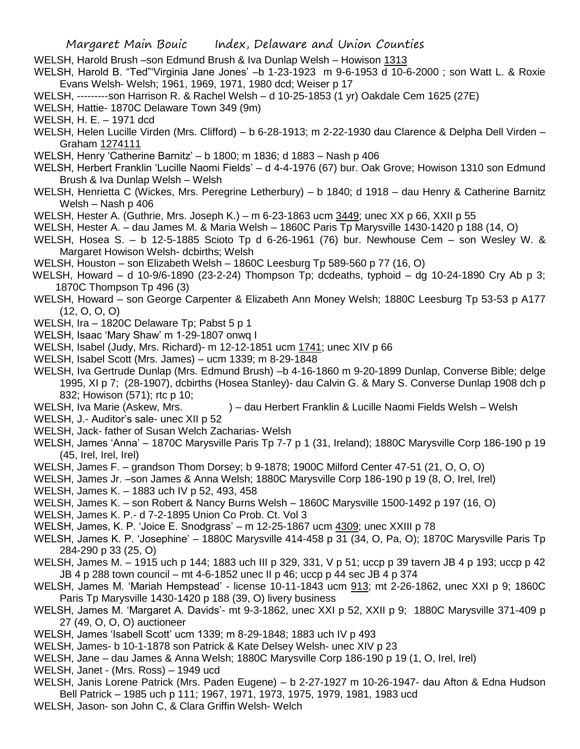WELSH, Harold Brush –son Edmund Brush & Iva Dunlap Welsh – Howison 1313

WELSH, Harold B. "Ted"'Virginia Jane Jones' –b 1-23-1923 m 9-6-1953 d 10-6-2000 ; son Watt L. & Roxie Evans Welsh- Welsh; 1961, 1969, 1971, 1980 dcd; Weiser p 17

- WELSH, ---------son Harrison R. & Rachel Welsh d 10-25-1853 (1 yr) Oakdale Cem 1625 (27E)
- WELSH, Hattie- 1870C Delaware Town 349 (9m)
- WELSH, H. E. 1971 dcd
- WELSH, Helen Lucille Virden (Mrs. Clifford) b 6-28-1913; m 2-22-1930 dau Clarence & Delpha Dell Virden Graham 1274111
- WELSH, Henry 'Catherine Barnitz' b 1800; m 1836; d 1883 Nash p 406
- WELSH, Herbert Franklin 'Lucille Naomi Fields' d 4-4-1976 (67) bur. Oak Grove; Howison 1310 son Edmund Brush & Iva Dunlap Welsh – Welsh
- WELSH, Henrietta C (Wickes, Mrs. Peregrine Letherbury) b 1840; d 1918 dau Henry & Catherine Barnitz Welsh – Nash p 406
- WELSH, Hester A. (Guthrie, Mrs. Joseph K.) m 6-23-1863 ucm 3449; unec XX p 66, XXII p 55
- WELSH, Hester A. dau James M. & Maria Welsh 1860C Paris Tp Marysville 1430-1420 p 188 (14, O)
- WELSH, Hosea S. b 12-5-1885 Scioto Tp d 6-26-1961 (76) bur. Newhouse Cem son Wesley W. & Margaret Howison Welsh- dcbirths; Welsh
- WELSH, Houston son Elizabeth Welsh 1860C Leesburg Tp 589-560 p 77 (16, O)
- WELSH, Howard d 10-9/6-1890 (23-2-24) Thompson Tp; dcdeaths, typhoid dg 10-24-1890 Cry Ab p 3; 1870C Thompson Tp 496 (3)
- WELSH, Howard son George Carpenter & Elizabeth Ann Money Welsh; 1880C Leesburg Tp 53-53 p A177 (12, O, O, O)
- WELSH, Ira 1820C Delaware Tp; Pabst 5 p 1
- WELSH, Isaac 'Mary Shaw' m 1-29-1807 onwq I
- WELSH, Isabel (Judy, Mrs. Richard)- m 12-12-1851 ucm 1741; unec XIV p 66
- WELSH, Isabel Scott (Mrs. James) ucm 1339; m 8-29-1848
- WELSH, Iva Gertrude Dunlap (Mrs. Edmund Brush) –b 4-16-1860 m 9-20-1899 Dunlap, Converse Bible; delge 1995, XI p 7; (28-1907), dcbirths (Hosea Stanley)- dau Calvin G. & Mary S. Converse Dunlap 1908 dch p 832; Howison (571); rtc p 10;
- WELSH, Iva Marie (Askew, Mrs. ) dau Herbert Franklin & Lucille Naomi Fields Welsh Welsh
- WELSH, J.- Auditor's sale- unec XII p 52
- WELSH, Jack- father of Susan Welch Zacharias- Welsh
- WELSH, James 'Anna' 1870C Marysville Paris Tp 7-7 p 1 (31, Ireland); 1880C Marysville Corp 186-190 p 19 (45, Irel, Irel, Irel)
- WELSH, James F. grandson Thom Dorsey; b 9-1878; 1900C Milford Center 47-51 (21, O, O, O)
- WELSH, James Jr. –son James & Anna Welsh; 1880C Marysville Corp 186-190 p 19 (8, O, Irel, Irel)
- WELSH, James K. 1883 uch IV p 52, 493, 458
- WELSH, James K. son Robert & Nancy Burns Welsh 1860C Marysville 1500-1492 p 197 (16, O)
- WELSH, James K. P.- d 7-2-1895 Union Co Prob. Ct. Vol 3
- WELSH, James, K. P. 'Joice E. Snodgrass' m 12-25-1867 ucm 4309; unec XXIII p 78
- WELSH, James K. P. 'Josephine' 1880C Marysville 414-458 p 31 (34, O, Pa, O); 1870C Marysville Paris Tp 284-290 p 33 (25, O)
- WELSH, James M. 1915 uch p 144; 1883 uch III p 329, 331, V p 51; uccp p 39 tavern JB 4 p 193; uccp p 42 JB 4 p 288 town council – mt 4-6-1852 unec II p 46; uccp p 44 sec JB 4 p 374
- WELSH, James M. 'Mariah Hempstead' license 10-11-1843 ucm 913; mt 2-26-1862, unec XXI p 9; 1860C Paris Tp Marysville 1430-1420 p 188 (39, O) livery business
- WELSH, James M. 'Margaret A. Davids'- mt 9-3-1862, unec XXI p 52, XXII p 9; 1880C Marysville 371-409 p 27 (49, O, O, O) auctioneer
- WELSH, James 'Isabell Scott' ucm 1339; m 8-29-1848; 1883 uch IV p 493
- WELSH, James- b 10-1-1878 son Patrick & Kate Delsey Welsh- unec XIV p 23
- WELSH, Jane dau James & Anna Welsh; 1880C Marysville Corp 186-190 p 19 (1, O, Irel, Irel)
- WELSH, Janet (Mrs. Ross) 1949 ucd
- WELSH, Janis Lorene Patrick (Mrs. Paden Eugene) b 2-27-1927 m 10-26-1947- dau Afton & Edna Hudson Bell Patrick – 1985 uch p 111; 1967, 1971, 1973, 1975, 1979, 1981, 1983 ucd
- WELSH, Jason- son John C, & Clara Griffin Welsh- Welch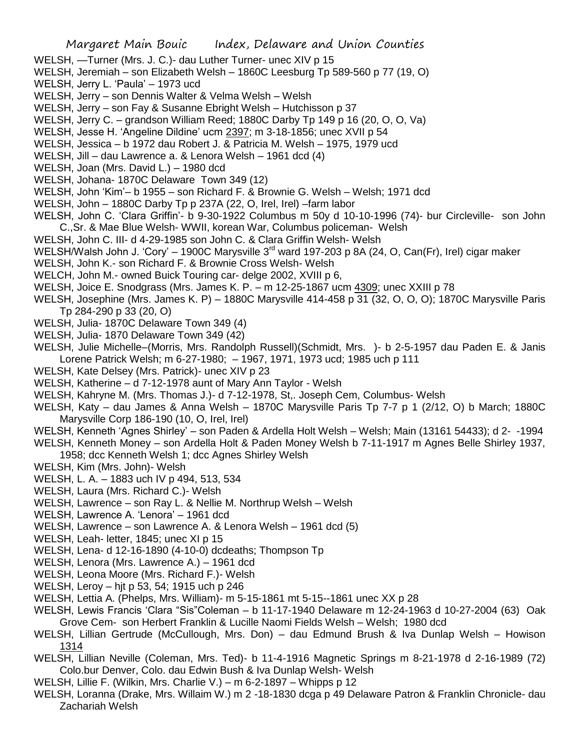- WELSH, —Turner (Mrs. J. C.)- dau Luther Turner- unec XIV p 15
- WELSH, Jeremiah son Elizabeth Welsh 1860C Leesburg Tp 589-560 p 77 (19, O)
- WELSH, Jerry L. 'Paula' 1973 ucd
- WELSH, Jerry son Dennis Walter & Velma Welsh Welsh
- WELSH, Jerry son Fay & Susanne Ebright Welsh Hutchisson p 37
- WELSH, Jerry C. grandson William Reed; 1880C Darby Tp 149 p 16 (20, O, O, Va)
- WELSH, Jesse H. 'Angeline Dildine' ucm 2397; m 3-18-1856; unec XVII p 54
- WELSH, Jessica b 1972 dau Robert J. & Patricia M. Welsh 1975, 1979 ucd
- WELSH, Jill dau Lawrence a. & Lenora Welsh 1961 dcd (4)
- WELSH, Joan (Mrs. David L.) 1980 dcd
- WELSH, Johana- 1870C Delaware Town 349 (12)
- WELSH, John 'Kim'– b 1955 son Richard F. & Brownie G. Welsh Welsh; 1971 dcd
- WELSH, John 1880C Darby Tp p 237A (22, O, Irel, Irel) –farm labor
- WELSH, John C. 'Clara Griffin'- b 9-30-1922 Columbus m 50y d 10-10-1996 (74)- bur Circleville- son John C.,Sr. & Mae Blue Welsh- WWII, korean War, Columbus policeman- Welsh
- WELSH, John C. III- d 4-29-1985 son John C. & Clara Griffin Welsh- Welsh
- WELSH/Walsh John J. 'Cory' 1900C Marysville 3<sup>rd</sup> ward 197-203 p 8A (24, O, Can(Fr), Irel) cigar maker
- WELSH, John K.- son Richard F. & Brownie Cross Welsh- Welsh
- WELCH, John M.- owned Buick Touring car- delge 2002, XVIII p 6,
- WELSH, Joice E. Snodgrass (Mrs. James K. P. m 12-25-1867 ucm 4309; unec XXIII p 78
- WELSH, Josephine (Mrs. James K. P) 1880C Marysville 414-458 p 31 (32, O, O, O); 1870C Marysville Paris Tp 284-290 p 33 (20, O)
- WELSH, Julia- 1870C Delaware Town 349 (4)
- WELSH, Julia- 1870 Delaware Town 349 (42)
- WELSH, Julie Michelle–(Morris, Mrs. Randolph Russell)(Schmidt, Mrs. )- b 2-5-1957 dau Paden E. & Janis Lorene Patrick Welsh; m 6-27-1980; – 1967, 1971, 1973 ucd; 1985 uch p 111
- WELSH, Kate Delsey (Mrs. Patrick)- unec XIV p 23
- WELSH, Katherine d 7-12-1978 aunt of Mary Ann Taylor Welsh
- WELSH, Kahryne M. (Mrs. Thomas J.)- d 7-12-1978, St,. Joseph Cem, Columbus- Welsh
- WELSH, Katy dau James & Anna Welsh 1870C Marysville Paris Tp 7-7 p 1 (2/12, O) b March; 1880C Marysville Corp 186-190 (10, O, Irel, Irel)
- WELSH, Kenneth 'Agnes Shirley' son Paden & Ardella Holt Welsh Welsh; Main (13161 54433); d 2- -1994
- WELSH, Kenneth Money son Ardella Holt & Paden Money Welsh b 7-11-1917 m Agnes Belle Shirley 1937, 1958; dcc Kenneth Welsh 1; dcc Agnes Shirley Welsh
- WELSH, Kim (Mrs. John)- Welsh
- WELSH, L. A. 1883 uch IV p 494, 513, 534
- WELSH, Laura (Mrs. Richard C.)- Welsh
- WELSH, Lawrence son Ray L. & Nellie M. Northrup Welsh Welsh
- WELSH, Lawrence A. 'Lenora' 1961 dcd
- WELSH, Lawrence son Lawrence A. & Lenora Welsh 1961 dcd (5)
- WELSH, Leah- letter, 1845; unec XI p 15
- WELSH, Lena- d 12-16-1890 (4-10-0) dcdeaths; Thompson Tp
- WELSH, Lenora (Mrs. Lawrence A.) 1961 dcd
- WELSH, Leona Moore (Mrs. Richard F.)- Welsh
- WELSH, Leroy hjt p 53, 54; 1915 uch p 246
- WELSH, Lettia A. (Phelps, Mrs. William)- m 5-15-1861 mt 5-15--1861 unec XX p 28
- WELSH, Lewis Francis 'Clara "Sis"Coleman b 11-17-1940 Delaware m 12-24-1963 d 10-27-2004 (63) Oak Grove Cem- son Herbert Franklin & Lucille Naomi Fields Welsh – Welsh; 1980 dcd
- WELSH, Lillian Gertrude (McCullough, Mrs. Don) dau Edmund Brush & Iva Dunlap Welsh Howison 1314
- WELSH, Lillian Neville (Coleman, Mrs. Ted)- b 11-4-1916 Magnetic Springs m 8-21-1978 d 2-16-1989 (72) Colo.bur Denver, Colo. dau Edwin Bush & Iva Dunlap Welsh- Welsh
- WELSH, Lillie F. (Wilkin, Mrs. Charlie V.) m 6-2-1897 Whipps p 12
- WELSH, Loranna (Drake, Mrs. Willaim W.) m 2 -18-1830 dcga p 49 Delaware Patron & Franklin Chronicle- dau Zachariah Welsh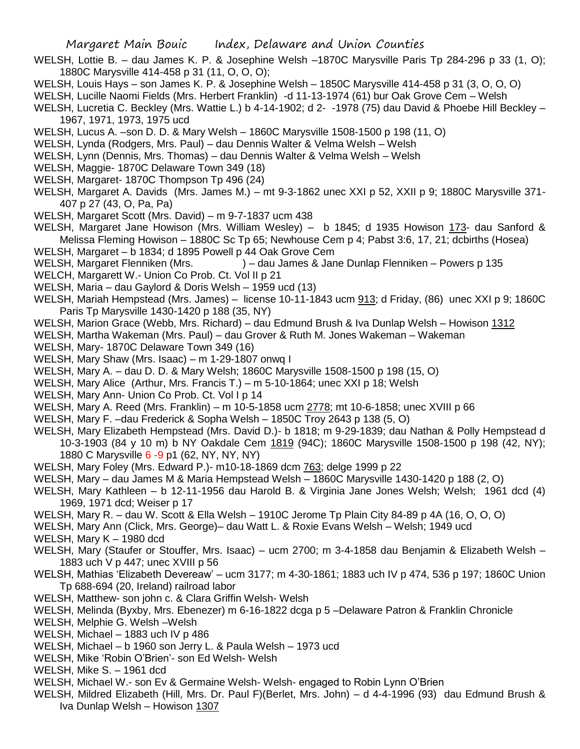- WELSH, Lottie B. dau James K. P. & Josephine Welsh –1870C Marysville Paris Tp 284-296 p 33 (1, O); 1880C Marysville 414-458 p 31 (11, O, O, O);
- WELSH, Louis Hays son James K. P. & Josephine Welsh 1850C Marysville 414-458 p 31 (3, O, O, O)
- WELSH, Lucille Naomi Fields (Mrs. Herbert Franklin) -d 11-13-1974 (61) bur Oak Grove Cem Welsh
- WELSH, Lucretia C. Beckley (Mrs. Wattie L.) b 4-14-1902; d 2- -1978 (75) dau David & Phoebe Hill Beckley 1967, 1971, 1973, 1975 ucd
- WELSH, Lucus A. –son D. D. & Mary Welsh 1860C Marysville 1508-1500 p 198 (11, O)
- WELSH, Lynda (Rodgers, Mrs. Paul) dau Dennis Walter & Velma Welsh Welsh
- WELSH, Lynn (Dennis, Mrs. Thomas) dau Dennis Walter & Velma Welsh Welsh
- WELSH, Maggie- 1870C Delaware Town 349 (18)
- WELSH, Margaret- 1870C Thompson Tp 496 (24)
- WELSH, Margaret A. Davids (Mrs. James M.) mt 9-3-1862 unec XXI p 52, XXII p 9; 1880C Marysville 371- 407 p 27 (43, O, Pa, Pa)
- WELSH, Margaret Scott (Mrs. David) m 9-7-1837 ucm 438
- WELSH, Margaret Jane Howison (Mrs. William Wesley) b 1845; d 1935 Howison 173- dau Sanford & Melissa Fleming Howison – 1880C Sc Tp 65; Newhouse Cem p 4; Pabst 3:6, 17, 21; dcbirths (Hosea)
- WELSH, Margaret b 1834; d 1895 Powell p 44 Oak Grove Cem
- WELSH, Margaret Flenniken (Mrs. ) dau James & Jane Dunlap Flenniken Powers p 135
- WELCH, Margarett W.- Union Co Prob. Ct. Vol II p 21
- WELSH, Maria dau Gaylord & Doris Welsh 1959 ucd (13)
- WELSH, Mariah Hempstead (Mrs. James) license 10-11-1843 ucm 913; d Friday, (86) unec XXI p 9; 1860C Paris Tp Marysville 1430-1420 p 188 (35, NY)
- WELSH, Marion Grace (Webb, Mrs. Richard) dau Edmund Brush & Iva Dunlap Welsh Howison 1312
- WELSH, Martha Wakeman (Mrs. Paul) dau Grover & Ruth M. Jones Wakeman Wakeman
- WELSH, Mary- 1870C Delaware Town 349 (16)
- WELSH, Mary Shaw (Mrs. Isaac) m 1-29-1807 onwq I
- WELSH, Mary A. dau D. D. & Mary Welsh; 1860C Marysville 1508-1500 p 198 (15, O)
- WELSH, Mary Alice (Arthur, Mrs. Francis T.) m 5-10-1864; unec XXI p 18; Welsh
- WELSH, Mary Ann- Union Co Prob. Ct. Vol I p 14
- WELSH, Mary A. Reed (Mrs. Franklin) m 10-5-1858 ucm 2778; mt 10-6-1858; unec XVIII p 66
- WELSH, Mary F. –dau Frederick & Sopha Welsh 1850C Troy 2643 p 138 (5, O)
- WELSH, Mary Elizabeth Hempstead (Mrs. David D.)- b 1818; m 9-29-1839; dau Nathan & Polly Hempstead d 10-3-1903 (84 y 10 m) b NY Oakdale Cem 1819 (94C); 1860C Marysville 1508-1500 p 198 (42, NY); 1880 C Marysville 6 -9 p1 (62, NY, NY, NY)
- WELSH, Mary Foley (Mrs. Edward P.)- m10-18-1869 dcm 763; delge 1999 p 22
- WELSH, Mary dau James M & Maria Hempstead Welsh 1860C Marysville 1430-1420 p 188 (2, O)
- WELSH, Mary Kathleen b 12-11-1956 dau Harold B. & Virginia Jane Jones Welsh; Welsh; 1961 dcd (4) 1969, 1971 dcd; Weiser p 17
- WELSH, Mary R. dau W. Scott & Ella Welsh 1910C Jerome Tp Plain City 84-89 p 4A (16, O, O, O)
- WELSH, Mary Ann (Click, Mrs. George)– dau Watt L. & Roxie Evans Welsh Welsh; 1949 ucd
- WELSH, Mary K 1980 dcd
- WELSH, Mary (Staufer or Stouffer, Mrs. Isaac) ucm 2700; m 3-4-1858 dau Benjamin & Elizabeth Welsh 1883 uch V p 447; unec XVIII p 56
- WELSH, Mathias 'Elizabeth Devereaw' ucm 3177; m 4-30-1861; 1883 uch IV p 474, 536 p 197; 1860C Union Tp 688-694 (20, Ireland) railroad labor
- WELSH, Matthew- son john c. & Clara Griffin Welsh- Welsh
- WELSH, Melinda (Byxby, Mrs. Ebenezer) m 6-16-1822 dcga p 5 –Delaware Patron & Franklin Chronicle
- WELSH, Melphie G. Welsh –Welsh
- WELSH, Michael 1883 uch IV p 486
- WELSH, Michael b 1960 son Jerry L. & Paula Welsh 1973 ucd
- WELSH, Mike 'Robin O'Brien'- son Ed Welsh- Welsh
- WELSH, Mike S. 1961 dcd
- WELSH, Michael W.- son Ev & Germaine Welsh- Welsh- engaged to Robin Lynn O'Brien
- WELSH, Mildred Elizabeth (Hill, Mrs. Dr. Paul F)(Berlet, Mrs. John) d 4-4-1996 (93) dau Edmund Brush & Iva Dunlap Welsh – Howison 1307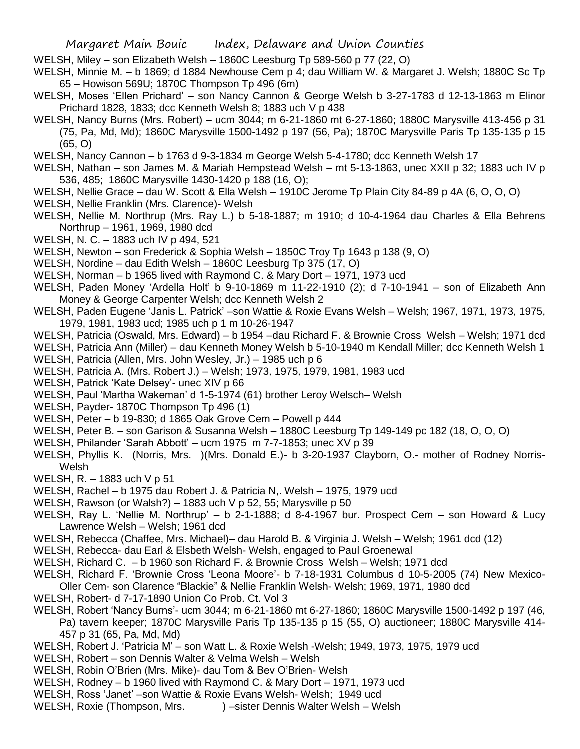WELSH, Miley – son Elizabeth Welsh – 1860C Leesburg Tp 589-560 p 77 (22, O)

WELSH, Minnie M. – b 1869; d 1884 Newhouse Cem p 4; dau William W. & Margaret J. Welsh; 1880C Sc Tp 65 – Howison 569U; 1870C Thompson Tp 496 (6m)

- WELSH, Moses 'Ellen Prichard' son Nancy Cannon & George Welsh b 3-27-1783 d 12-13-1863 m Elinor Prichard 1828, 1833; dcc Kenneth Welsh 8; 1883 uch V p 438
- WELSH, Nancy Burns (Mrs. Robert) ucm 3044; m 6-21-1860 mt 6-27-1860; 1880C Marysville 413-456 p 31 (75, Pa, Md, Md); 1860C Marysville 1500-1492 p 197 (56, Pa); 1870C Marysville Paris Tp 135-135 p 15 (65, O)
- WELSH, Nancy Cannon b 1763 d 9-3-1834 m George Welsh 5-4-1780; dcc Kenneth Welsh 17
- WELSH, Nathan son James M. & Mariah Hempstead Welsh mt 5-13-1863, unec XXII p 32; 1883 uch IV p 536, 485; 1860C Marysville 1430-1420 p 188 (16, O);
- WELSH, Nellie Grace dau W. Scott & Ella Welsh 1910C Jerome Tp Plain City 84-89 p 4A (6, O, O, O)
- WELSH, Nellie Franklin (Mrs. Clarence)- Welsh
- WELSH, Nellie M. Northrup (Mrs. Ray L.) b 5-18-1887; m 1910; d 10-4-1964 dau Charles & Ella Behrens Northrup – 1961, 1969, 1980 dcd
- WELSH, N. C. 1883 uch IV p 494, 521
- WELSH, Newton son Frederick & Sophia Welsh 1850C Troy Tp 1643 p 138 (9, O)
- WELSH, Nordine dau Edith Welsh 1860C Leesburg Tp 375 (17, O)
- WELSH, Norman b 1965 lived with Raymond C. & Mary Dort 1971, 1973 ucd
- WELSH, Paden Money 'Ardella Holt' b 9-10-1869 m 11-22-1910 (2); d 7-10-1941 son of Elizabeth Ann Money & George Carpenter Welsh; dcc Kenneth Welsh 2
- WELSH, Paden Eugene 'Janis L. Patrick' –son Wattie & Roxie Evans Welsh Welsh; 1967, 1971, 1973, 1975, 1979, 1981, 1983 ucd; 1985 uch p 1 m 10-26-1947
- WELSH, Patricia (Oswald, Mrs. Edward) b 1954 –dau Richard F. & Brownie Cross Welsh Welsh; 1971 dcd
- WELSH, Patricia Ann (Miller) dau Kenneth Money Welsh b 5-10-1940 m Kendall Miller; dcc Kenneth Welsh 1
- WELSH, Patricia (Allen, Mrs. John Wesley, Jr.) 1985 uch p 6
- WELSH, Patricia A. (Mrs. Robert J.) Welsh; 1973, 1975, 1979, 1981, 1983 ucd
- WELSH, Patrick 'Kate Delsey'- unec XIV p 66
- WELSH, Paul 'Martha Wakeman' d 1-5-1974 (61) brother Leroy Welsch– Welsh
- WELSH, Payder- 1870C Thompson Tp 496 (1)
- WELSH, Peter b 19-830; d 1865 Oak Grove Cem Powell p 444
- WELSH, Peter B. son Garison & Susanna Welsh 1880C Leesburg Tp 149-149 pc 182 (18, O, O, O)
- WELSH, Philander 'Sarah Abbott' ucm 1975 m 7-7-1853; unec XV p 39
- WELSH, Phyllis K. (Norris, Mrs. )(Mrs. Donald E.)- b 3-20-1937 Clayborn, O.- mother of Rodney Norris-Welsh
- WELSH, R. 1883 uch V p 51
- WELSH, Rachel b 1975 dau Robert J. & Patricia N,. Welsh 1975, 1979 ucd
- WELSH, Rawson (or Walsh?) 1883 uch V p 52, 55; Marysville p 50
- WELSH, Ray L. 'Nellie M. Northrup' b 2-1-1888; d 8-4-1967 bur. Prospect Cem son Howard & Lucy Lawrence Welsh – Welsh; 1961 dcd
- WELSH, Rebecca (Chaffee, Mrs. Michael)– dau Harold B. & Virginia J. Welsh Welsh; 1961 dcd (12)
- WELSH, Rebecca- dau Earl & Elsbeth Welsh- Welsh, engaged to Paul Groenewal
- WELSH, Richard C. b 1960 son Richard F. & Brownie Cross Welsh Welsh; 1971 dcd
- WELSH, Richard F. 'Brownie Cross 'Leona Moore'- b 7-18-1931 Columbus d 10-5-2005 (74) New Mexico-
- Oller Cem- son Clarence "Blackie" & Nellie Franklin Welsh- Welsh; 1969, 1971, 1980 dcd
	- WELSH, Robert- d 7-17-1890 Union Co Prob. Ct. Vol 3
	- WELSH, Robert 'Nancy Burns'- ucm 3044; m 6-21-1860 mt 6-27-1860; 1860C Marysville 1500-1492 p 197 (46, Pa) tavern keeper; 1870C Marysville Paris Tp 135-135 p 15 (55, O) auctioneer; 1880C Marysville 414- 457 p 31 (65, Pa, Md, Md)
	- WELSH, Robert J. 'Patricia M' son Watt L. & Roxie Welsh -Welsh; 1949, 1973, 1975, 1979 ucd
	- WELSH, Robert son Dennis Walter & Velma Welsh Welsh
	- WELSH, Robin O'Brien (Mrs. Mike)- dau Tom & Bev O'Brien- Welsh
	- WELSH, Rodney b 1960 lived with Raymond C. & Mary Dort 1971, 1973 ucd
	- WELSH, Ross 'Janet' –son Wattie & Roxie Evans Welsh- Welsh; 1949 ucd
	- WELSH, Roxie (Thompson, Mrs. ) sister Dennis Walter Welsh Welsh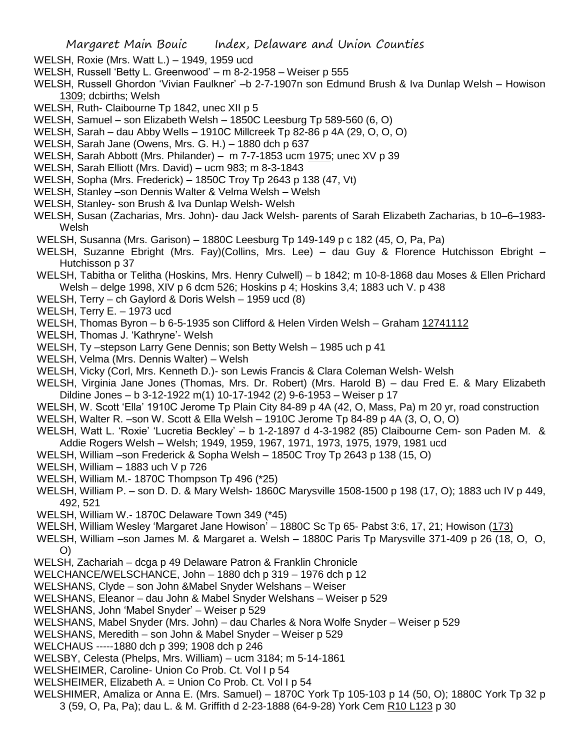- WELSH, Roxie (Mrs. Watt L.) 1949, 1959 ucd
- WELSH, Russell 'Betty L. Greenwood' m 8-2-1958 Weiser p 555
- WELSH, Russell Ghordon 'Vivian Faulkner' –b 2-7-1907n son Edmund Brush & Iva Dunlap Welsh Howison 1309; dcbirths; Welsh
- WELSH, Ruth- Claibourne Tp 1842, unec XII p 5
- WELSH, Samuel son Elizabeth Welsh 1850C Leesburg Tp 589-560 (6, O)
- WELSH, Sarah dau Abby Wells 1910C Millcreek Tp 82-86 p 4A (29, O, O, O)
- WELSH, Sarah Jane (Owens, Mrs. G. H.) 1880 dch p 637
- WELSH, Sarah Abbott (Mrs. Philander) m 7-7-1853 ucm 1975; unec XV p 39
- WELSH, Sarah Elliott (Mrs. David) ucm 983; m 8-3-1843
- WELSH, Sopha (Mrs. Frederick) 1850C Troy Tp 2643 p 138 (47, Vt)
- WELSH, Stanley –son Dennis Walter & Velma Welsh Welsh
- WELSH, Stanley- son Brush & Iva Dunlap Welsh- Welsh
- WELSH, Susan (Zacharias, Mrs. John)- dau Jack Welsh- parents of Sarah Elizabeth Zacharias, b 10–6–1983- Welsh
- WELSH, Susanna (Mrs. Garison) 1880C Leesburg Tp 149-149 p c 182 (45, O, Pa, Pa)
- WELSH, Suzanne Ebright (Mrs. Fay)(Collins, Mrs. Lee) dau Guy & Florence Hutchisson Ebright Hutchisson p 37
- WELSH, Tabitha or Telitha (Hoskins, Mrs. Henry Culwell) b 1842; m 10-8-1868 dau Moses & Ellen Prichard Welsh – delge 1998, XIV p 6 dcm 526; Hoskins p 4; Hoskins 3,4; 1883 uch V. p 438
- WELSH, Terry ch Gaylord & Doris Welsh 1959 ucd (8)
- WELSH, Terry E. 1973 ucd
- WELSH, Thomas Byron b 6-5-1935 son Clifford & Helen Virden Welsh Graham 12741112
- WELSH, Thomas J. 'Kathryne'- Welsh
- WELSH, Ty –stepson Larry Gene Dennis; son Betty Welsh 1985 uch p 41
- WELSH, Velma (Mrs. Dennis Walter) Welsh
- WELSH, Vicky (Corl, Mrs. Kenneth D.)- son Lewis Francis & Clara Coleman Welsh- Welsh
- WELSH, Virginia Jane Jones (Thomas, Mrs. Dr. Robert) (Mrs. Harold B) dau Fred E. & Mary Elizabeth Dildine Jones – b 3-12-1922 m(1) 10-17-1942 (2) 9-6-1953 – Weiser p 17
- WELSH, W. Scott 'Ella' 1910C Jerome Tp Plain City 84-89 p 4A (42, O, Mass, Pa) m 20 yr, road construction
- WELSH, Walter R. –son W. Scott & Ella Welsh 1910C Jerome Tp 84-89 p 4A (3, O, O, O)
- WELSH, Watt L. 'Roxie' 'Lucretia Beckley' b 1-2-1897 d 4-3-1982 (85) Claibourne Cem- son Paden M. & Addie Rogers Welsh – Welsh; 1949, 1959, 1967, 1971, 1973, 1975, 1979, 1981 ucd
- WELSH, William –son Frederick & Sopha Welsh 1850C Troy Tp 2643 p 138 (15, O)
- WELSH, William 1883 uch V p 726
- WELSH, William M.- 1870C Thompson Tp 496 (\*25)
- WELSH, William P. son D. D. & Mary Welsh- 1860C Marysville 1508-1500 p 198 (17, O); 1883 uch IV p 449, 492, 521
- WELSH, William W.- 1870C Delaware Town 349 (\*45)
- WELSH, William Wesley 'Margaret Jane Howison' 1880C Sc Tp 65- Pabst 3:6, 17, 21; Howison (173)
- WELSH, William –son James M. & Margaret a. Welsh 1880C Paris Tp Marysville 371-409 p 26 (18, O, O, O)
- WELSH, Zachariah dcga p 49 Delaware Patron & Franklin Chronicle
- WELCHANCE/WELSCHANCE, John 1880 dch p 319 1976 dch p 12
- WELSHANS, Clyde son John &Mabel Snyder Welshans Weiser
- WELSHANS, Eleanor dau John & Mabel Snyder Welshans Weiser p 529
- WELSHANS, John 'Mabel Snyder' Weiser p 529
- WELSHANS, Mabel Snyder (Mrs. John) dau Charles & Nora Wolfe Snyder Weiser p 529
- WELSHANS, Meredith son John & Mabel Snyder Weiser p 529
- WELCHAUS -----1880 dch p 399; 1908 dch p 246
- WELSBY, Celesta (Phelps, Mrs. William) ucm 3184; m 5-14-1861
- WELSHEIMER, Caroline- Union Co Prob. Ct. Vol I p 54
- WELSHEIMER, Elizabeth A. = Union Co Prob. Ct. Vol I p 54
- WELSHIMER, Amaliza or Anna E. (Mrs. Samuel) 1870C York Tp 105-103 p 14 (50, O); 1880C York Tp 32 p
	- 3 (59, O, Pa, Pa); dau L. & M. Griffith d 2-23-1888 (64-9-28) York Cem R10 L123 p 30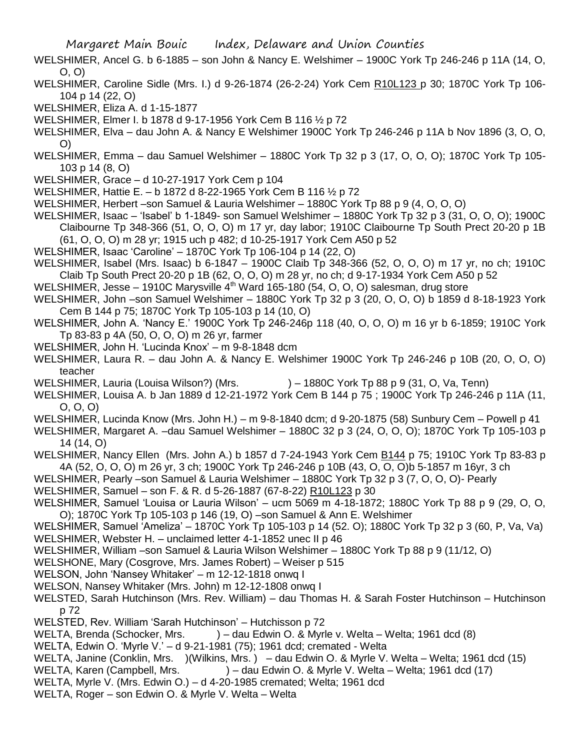- WELSHIMER, Ancel G. b 6-1885 son John & Nancy E. Welshimer 1900C York Tp 246-246 p 11A (14, O, O, O)
- WELSHIMER, Caroline Sidle (Mrs. I.) d 9-26-1874 (26-2-24) York Cem R10L123 p 30; 1870C York Tp 106- 104 p 14 (22, O)
- WELSHIMER, Eliza A. d 1-15-1877
- WELSHIMER, Elmer I. b 1878 d 9-17-1956 York Cem B 116 ½ p 72
- WELSHIMER, Elva dau John A. & Nancy E Welshimer 1900C York Tp 246-246 p 11A b Nov 1896 (3, O, O, O)
- WELSHIMER, Emma dau Samuel Welshimer 1880C York Tp 32 p 3 (17, O, O, O); 1870C York Tp 105- 103 p 14 (8, O)
- WELSHIMER, Grace d 10-27-1917 York Cem p 104
- WELSHIMER, Hattie E. b 1872 d 8-22-1965 York Cem B 116 ½ p 72
- WELSHIMER, Herbert –son Samuel & Lauria Welshimer 1880C York Tp 88 p 9 (4, O, O, O)
- WELSHIMER, Isaac 'Isabel' b 1-1849- son Samuel Welshimer 1880C York Tp 32 p 3 (31, O, O, O); 1900C Claibourne Tp 348-366 (51, O, O, O) m 17 yr, day labor; 1910C Claibourne Tp South Prect 20-20 p 1B (61, O, O, O) m 28 yr; 1915 uch p 482; d 10-25-1917 York Cem A50 p 52
- WELSHIMER, Isaac 'Caroline' 1870C York Tp 106-104 p 14 (22, O)
- WELSHIMER, Isabel (Mrs. Isaac) b 6-1847 1900C Claib Tp 348-366 (52, O, O, O) m 17 yr, no ch; 1910C Claib Tp South Prect 20-20 p 1B (62, O, O, O) m 28 yr, no ch; d 9-17-1934 York Cem A50 p 52
- WELSHIMER, Jesse 1910C Marysville  $4<sup>th</sup>$  Ward 165-180 (54, O, O, O) salesman, drug store
- WELSHIMER, John –son Samuel Welshimer 1880C York Tp 32 p 3 (20, O, O, O) b 1859 d 8-18-1923 York Cem B 144 p 75; 1870C York Tp 105-103 p 14 (10, O)
- WELSHIMER, John A. 'Nancy E.' 1900C York Tp 246-246p 118 (40, O, O, O) m 16 yr b 6-1859; 1910C York Tp 83-83 p 4A (50, O, O, O) m 26 yr, farmer
- WELSHIMER, John H. 'Lucinda Knox' m 9-8-1848 dcm
- WELSHIMER, Laura R. dau John A. & Nancy E. Welshimer 1900C York Tp 246-246 p 10B (20, O, O, O) teacher
- WELSHIMER, Lauria (Louisa Wilson?) (Mrs.  $) 1880C$  York Tp 88 p 9 (31, O, Va, Tenn)
- WELSHIMER, Louisa A. b Jan 1889 d 12-21-1972 York Cem B 144 p 75 ; 1900C York Tp 246-246 p 11A (11, O, O, O)
- WELSHIMER, Lucinda Know (Mrs. John H.) m 9-8-1840 dcm; d 9-20-1875 (58) Sunbury Cem Powell p 41
- WELSHIMER, Margaret A. –dau Samuel Welshimer 1880C 32 p 3 (24, O, O, O); 1870C York Tp 105-103 p 14 (14, O)
- WELSHIMER, Nancy Ellen (Mrs. John A.) b 1857 d 7-24-1943 York Cem B144 p 75; 1910C York Tp 83-83 p 4A (52, O, O, O) m 26 yr, 3 ch; 1900C York Tp 246-246 p 10B (43, O, O, O)b 5-1857 m 16yr, 3 ch
- WELSHIMER, Pearly –son Samuel & Lauria Welshimer 1880C York Tp 32 p 3 (7, O, O, O)- Pearly
- WELSHIMER, Samuel son F. & R. d 5-26-1887 (67-8-22) R10L123 p 30
- WELSHIMER, Samuel 'Louisa or Lauria Wilson' ucm 5069 m 4-18-1872; 1880C York Tp 88 p 9 (29, O, O, O); 1870C York Tp 105-103 p 146 (19, O) –son Samuel & Ann E. Welshimer
- WELSHIMER, Samuel 'Ameliza' 1870C York Tp 105-103 p 14 (52. O); 1880C York Tp 32 p 3 (60, P, Va, Va) WELSHIMER, Webster H. – unclaimed letter 4-1-1852 unec II p 46
- WELSHIMER, William –son Samuel & Lauria Wilson Welshimer 1880C York Tp 88 p 9 (11/12, O)
- WELSHONE, Mary (Cosgrove, Mrs. James Robert) Weiser p 515
- WELSON, John 'Nansey Whitaker' m 12-12-1818 onwq I
- WELSON, Nansey Whitaker (Mrs. John) m 12-12-1808 onwq I
- WELSTED, Sarah Hutchinson (Mrs. Rev. William) dau Thomas H. & Sarah Foster Hutchinson Hutchinson p 72
- WELSTED, Rev. William 'Sarah Hutchinson' Hutchisson p 72
- WELTA, Brenda (Schocker, Mrs. ) dau Edwin O. & Myrle v. Welta Welta; 1961 dcd (8)
- WELTA, Edwin O. 'Myrle V.' d 9-21-1981 (75); 1961 dcd; cremated Welta
- WELTA, Janine (Conklin, Mrs. )(Wilkins, Mrs.) dau Edwin O. & Myrle V. Welta Welta; 1961 dcd (15)
- WELTA, Karen (Campbell, Mrs. ) dau Edwin O. & Myrle V. Welta Welta; 1961 dcd (17)
- WELTA, Myrle V. (Mrs. Edwin O.) d 4-20-1985 cremated; Welta; 1961 dcd
- WELTA, Roger son Edwin O. & Myrle V. Welta Welta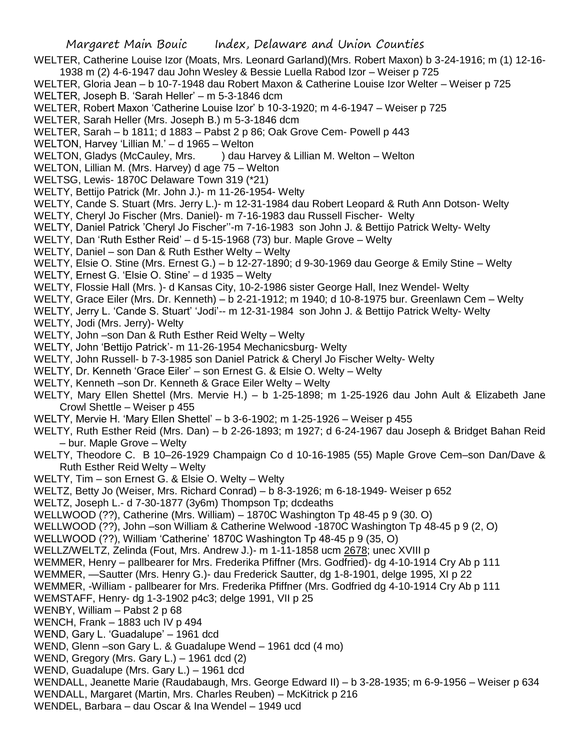WELTER, Catherine Louise Izor (Moats, Mrs. Leonard Garland)(Mrs. Robert Maxon) b 3-24-1916; m (1) 12-16- 1938 m (2) 4-6-1947 dau John Wesley & Bessie Luella Rabod Izor – Weiser p 725

WELTER, Gloria Jean – b 10-7-1948 dau Robert Maxon & Catherine Louise Izor Welter – Weiser p 725

- WELTER, Joseph B. 'Sarah Heller' m 5-3-1846 dcm
- WELTER, Robert Maxon 'Catherine Louise Izor' b 10-3-1920; m 4-6-1947 Weiser p 725

WELTER, Sarah Heller (Mrs. Joseph B.) m 5-3-1846 dcm

- WELTER, Sarah b 1811; d 1883 Pabst 2 p 86; Oak Grove Cem- Powell p 443
- WELTON, Harvey 'Lillian M.' d 1965 Welton
- WELTON, Gladys (McCauley, Mrs. ) dau Harvey & Lillian M. Welton Welton
- WELTON, Lillian M. (Mrs. Harvey) d age 75 Welton
- WELTSG, Lewis- 1870C Delaware Town 319 (\*21)
- WELTY, Bettijo Patrick (Mr. John J.)- m 11-26-1954- Welty
- WELTY, Cande S. Stuart (Mrs. Jerry L.)- m 12-31-1984 dau Robert Leopard & Ruth Ann Dotson- Welty
- WELTY, Cheryl Jo Fischer (Mrs. Daniel)- m 7-16-1983 dau Russell Fischer- Welty
- WELTY, Daniel Patrick 'Cheryl Jo Fischer''-m 7-16-1983 son John J. & Bettijo Patrick Welty- Welty
- WELTY, Dan 'Ruth Esther Reid' d 5-15-1968 (73) bur. Maple Grove Welty
- WELTY, Daniel son Dan & Ruth Esther Welty Welty
- WELTY, Elsie O. Stine (Mrs. Ernest G.) b 12-27-1890; d 9-30-1969 dau George & Emily Stine Welty
- WELTY, Ernest G. 'Elsie O. Stine' d 1935 Welty
- WELTY, Flossie Hall (Mrs. )- d Kansas City, 10-2-1986 sister George Hall, Inez Wendel- Welty
- WELTY, Grace Eiler (Mrs. Dr. Kenneth) b 2-21-1912; m 1940; d 10-8-1975 bur. Greenlawn Cem Welty
- WELTY, Jerry L. 'Cande S. Stuart' 'Jodi'-- m 12-31-1984 son John J. & Bettijo Patrick Welty- Welty
- WELTY, Jodi (Mrs. Jerry)- Welty
- WELTY, John –son Dan & Ruth Esther Reid Welty Welty
- WELTY, John 'Bettijo Patrick'- m 11-26-1954 Mechanicsburg- Welty
- WELTY, John Russell- b 7-3-1985 son Daniel Patrick & Cheryl Jo Fischer Welty- Welty
- WELTY, Dr. Kenneth 'Grace Eiler' son Ernest G. & Elsie O. Welty Welty
- WELTY, Kenneth –son Dr. Kenneth & Grace Eiler Welty Welty
- WELTY, Mary Ellen Shettel (Mrs. Mervie H.) b 1-25-1898; m 1-25-1926 dau John Ault & Elizabeth Jane Crowl Shettle – Weiser p 455
- WELTY, Mervie H. 'Mary Ellen Shettel' b 3-6-1902; m 1-25-1926 Weiser p 455
- WELTY, Ruth Esther Reid (Mrs. Dan) b 2-26-1893; m 1927; d 6-24-1967 dau Joseph & Bridget Bahan Reid – bur. Maple Grove – Welty
- WELTY, Theodore C. B 10–26-1929 Champaign Co d 10-16-1985 (55) Maple Grove Cem–son Dan/Dave & Ruth Esther Reid Welty – Welty
- WELTY, Tim son Ernest G. & Elsie O. Welty Welty
- WELTZ, Betty Jo (Weiser, Mrs. Richard Conrad) b 8-3-1926; m 6-18-1949- Weiser p 652
- WELTZ, Joseph L.- d 7-30-1877 (3y6m) Thompson Tp; dcdeaths
- WELLWOOD (??), Catherine (Mrs. William) 1870C Washington Tp 48-45 p 9 (30. O)
- WELLWOOD (??), John –son William & Catherine Welwood -1870C Washington Tp 48-45 p 9 (2, O)
- WELLWOOD (??), William 'Catherine' 1870C Washington Tp 48-45 p 9 (35, O)
- WELLZ/WELTZ, Zelinda (Fout, Mrs. Andrew J.)- m 1-11-1858 ucm 2678; unec XVIII p
- WEMMER, Henry pallbearer for Mrs. Frederika Pfiffner (Mrs. Godfried)- dg 4-10-1914 Cry Ab p 111
- WEMMER, —Sautter (Mrs. Henry G.)- dau Frederick Sautter, dg 1-8-1901, delge 1995, XI p 22
- WEMMER, -William pallbearer for Mrs. Frederika Pfiffner (Mrs. Godfried dg 4-10-1914 Cry Ab p 111
- WEMSTAFF, Henry- dg 1-3-1902 p4c3; delge 1991, VII p 25
- WENBY, William Pabst 2 p 68
- WENCH, Frank 1883 uch IV p 494
- WEND, Gary L. 'Guadalupe' 1961 dcd
- WEND, Glenn –son Gary L. & Guadalupe Wend 1961 dcd (4 mo)
- WEND, Gregory (Mrs. Gary L.) 1961 dcd (2)
- WEND, Guadalupe (Mrs. Gary L.) 1961 dcd
- WENDALL, Jeanette Marie (Raudabaugh, Mrs. George Edward II) b 3-28-1935; m 6-9-1956 Weiser p 634
- WENDALL, Margaret (Martin, Mrs. Charles Reuben) McKitrick p 216
- WENDEL, Barbara dau Oscar & Ina Wendel 1949 ucd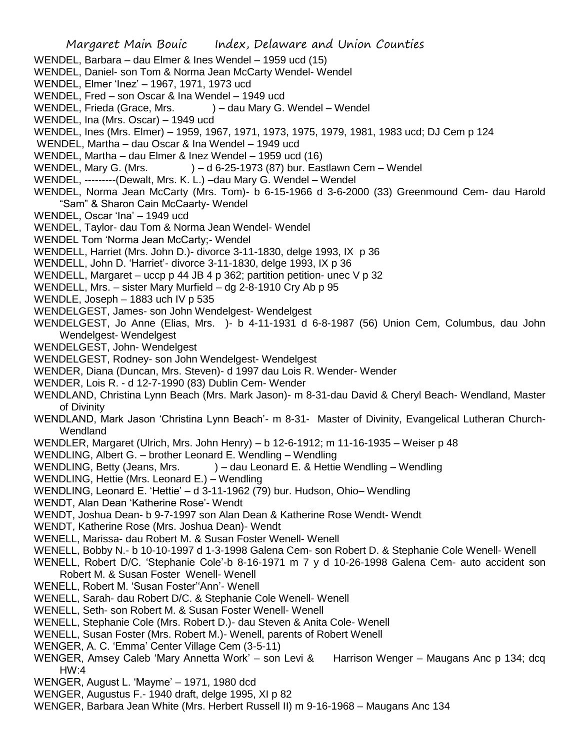- WENDEL, Barbara dau Elmer & Ines Wendel 1959 ucd (15)
- WENDEL, Daniel- son Tom & Norma Jean McCarty Wendel- Wendel
- WENDEL, Elmer 'Inez' 1967, 1971, 1973 ucd
- WENDEL, Fred son Oscar & Ina Wendel 1949 ucd
- WENDEL, Frieda (Grace, Mrs. ) dau Mary G. Wendel Wendel
- WENDEL, Ina (Mrs. Oscar) 1949 ucd
- WENDEL, Ines (Mrs. Elmer) 1959, 1967, 1971, 1973, 1975, 1979, 1981, 1983 ucd; DJ Cem p 124
- WENDEL, Martha dau Oscar & Ina Wendel 1949 ucd
- WENDEL, Martha dau Elmer & Inez Wendel 1959 ucd (16)
- WENDEL, Mary G. (Mrs.  $-$  ) d 6-25-1973 (87) bur. Eastlawn Cem Wendel
- WENDEL, ---------(Dewalt, Mrs. K. L.) –dau Mary G. Wendel Wendel
- WENDEL, Norma Jean McCarty (Mrs. Tom)- b 6-15-1966 d 3-6-2000 (33) Greenmound Cem- dau Harold "Sam" & Sharon Cain McCaarty- Wendel
- WENDEL, Oscar 'Ina' 1949 ucd
- WENDEL, Taylor- dau Tom & Norma Jean Wendel- Wendel
- WENDEL Tom 'Norma Jean McCarty; Wendel
- WENDELL, Harriet (Mrs. John D.)- divorce 3-11-1830, delge 1993, IX p 36
- WENDELL, John D. 'Harriet'- divorce 3-11-1830, delge 1993, IX p 36
- WENDELL, Margaret uccp p 44 JB 4 p 362; partition petition- unec V p 32
- WENDELL, Mrs. sister Mary Murfield dg 2-8-1910 Cry Ab p 95
- WENDLE, Joseph 1883 uch IV p 535
- WENDELGEST, James- son John Wendelgest- Wendelgest
- WENDELGEST, Jo Anne (Elias, Mrs. )- b 4-11-1931 d 6-8-1987 (56) Union Cem, Columbus, dau John Wendelgest- Wendelgest
- WENDELGEST, John- Wendelgest
- WENDELGEST, Rodney- son John Wendelgest- Wendelgest
- WENDER, Diana (Duncan, Mrs. Steven)- d 1997 dau Lois R. Wender- Wender
- WENDER, Lois R. d 12-7-1990 (83) Dublin Cem- Wender
- WENDLAND, Christina Lynn Beach (Mrs. Mark Jason)- m 8-31-dau David & Cheryl Beach- Wendland, Master of Divinity
- WENDLAND, Mark Jason 'Christina Lynn Beach'- m 8-31- Master of Divinity, Evangelical Lutheran Church-**Wendland**
- WENDLER, Margaret (Ulrich, Mrs. John Henry) b 12-6-1912; m 11-16-1935 Weiser p 48
- WENDLING, Albert G. brother Leonard E. Wendling Wendling
- WENDLING, Betty (Jeans, Mrs. ) dau Leonard E. & Hettie Wendling Wendling
- WENDLING, Hettie (Mrs. Leonard E.) Wendling
- WENDLING, Leonard E. 'Hettie' d 3-11-1962 (79) bur. Hudson, Ohio– Wendling
- WENDT, Alan Dean 'Katherine Rose'- Wendt
- WENDT, Joshua Dean- b 9-7-1997 son Alan Dean & Katherine Rose Wendt- Wendt
- WENDT, Katherine Rose (Mrs. Joshua Dean)- Wendt
- WENELL, Marissa- dau Robert M. & Susan Foster Wenell- Wenell
- WENELL, Bobby N.- b 10-10-1997 d 1-3-1998 Galena Cem- son Robert D. & Stephanie Cole Wenell- Wenell
- WENELL, Robert D/C. 'Stephanie Cole'-b 8-16-1971 m 7 y d 10-26-1998 Galena Cem- auto accident son Robert M. & Susan Foster Wenell- Wenell
- WENELL, Robert M. 'Susan Foster''Ann'- Wenell
- WENELL, Sarah- dau Robert D/C. & Stephanie Cole Wenell- Wenell
- WENELL, Seth- son Robert M. & Susan Foster Wenell- Wenell
- WENELL, Stephanie Cole (Mrs. Robert D.)- dau Steven & Anita Cole- Wenell
- WENELL, Susan Foster (Mrs. Robert M.)- Wenell, parents of Robert Wenell
- WENGER, A. C. 'Emma' Center Village Cem (3-5-11)
- WENGER, Amsey Caleb 'Mary Annetta Work' son Levi & Harrison Wenger Maugans Anc p 134; dcq HW:4
- WENGER, August L. 'Mayme' 1971, 1980 dcd
- WENGER, Augustus F.- 1940 draft, delge 1995, XI p 82
- WENGER, Barbara Jean White (Mrs. Herbert Russell II) m 9-16-1968 Maugans Anc 134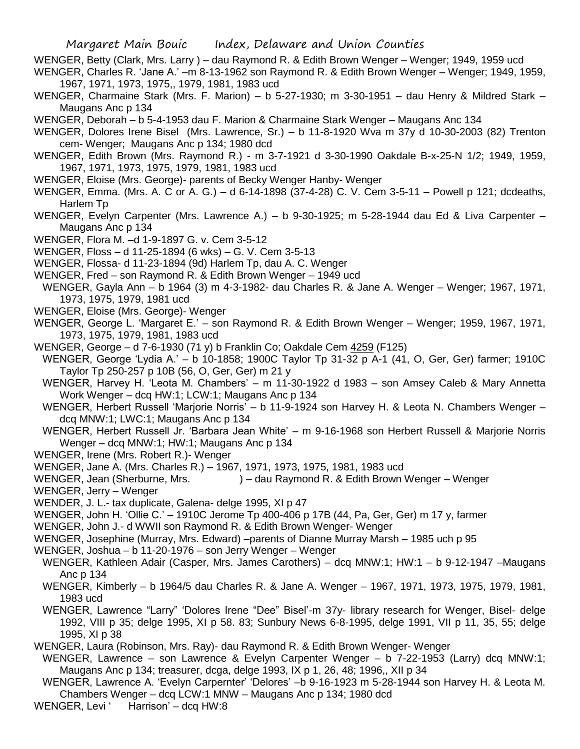WENGER, Betty (Clark, Mrs. Larry ) – dau Raymond R. & Edith Brown Wenger – Wenger; 1949, 1959 ucd

- WENGER, Charles R. 'Jane A.' –m 8-13-1962 son Raymond R. & Edith Brown Wenger Wenger; 1949, 1959, 1967, 1971, 1973, 1975,, 1979, 1981, 1983 ucd
- WENGER, Charmaine Stark (Mrs. F. Marion) b 5-27-1930; m 3-30-1951 dau Henry & Mildred Stark Maugans Anc p 134
- WENGER, Deborah b 5-4-1953 dau F. Marion & Charmaine Stark Wenger Maugans Anc 134
- WENGER, Dolores Irene Bisel (Mrs. Lawrence, Sr.) b 11-8-1920 Wva m 37y d 10-30-2003 (82) Trenton cem- Wenger; Maugans Anc p 134; 1980 dcd
- WENGER, Edith Brown (Mrs. Raymond R.) m 3-7-1921 d 3-30-1990 Oakdale B-x-25-N 1/2; 1949, 1959, 1967, 1971, 1973, 1975, 1979, 1981, 1983 ucd
- WENGER, Eloise (Mrs. George)- parents of Becky Wenger Hanby- Wenger
- WENGER, Emma. (Mrs. A. C or A. G.) d 6-14-1898 (37-4-28) C. V. Cem 3-5-11 Powell p 121; dcdeaths, Harlem Tp
- WENGER, Evelyn Carpenter (Mrs. Lawrence A.) b 9-30-1925; m 5-28-1944 dau Ed & Liva Carpenter Maugans Anc p 134
- WENGER, Flora M. –d 1-9-1897 G. v. Cem 3-5-12
- WENGER, Floss d 11-25-1894 (6 wks) G. V. Cem 3-5-13
- WENGER, Flossa- d 11-23-1894 (9d) Harlem Tp, dau A. C. Wenger
- WENGER, Fred son Raymond R. & Edith Brown Wenger 1949 ucd
- WENGER, Gayla Ann b 1964 (3) m 4-3-1982- dau Charles R. & Jane A. Wenger Wenger; 1967, 1971, 1973, 1975, 1979, 1981 ucd
- WENGER, Eloise (Mrs. George)- Wenger
- WENGER, George L. 'Margaret E.' son Raymond R. & Edith Brown Wenger Wenger; 1959, 1967, 1971, 1973, 1975, 1979, 1981, 1983 ucd
- WENGER, George d 7-6-1930 (71 y) b Franklin Co; Oakdale Cem 4259 (F125)
- WENGER, George 'Lydia A.' b 10-1858; 1900C Taylor Tp 31-32 p A-1 (41, O, Ger, Ger) farmer; 1910C Taylor Tp 250-257 p 10B (56, O, Ger, Ger) m 21 y
- WENGER, Harvey H. 'Leota M. Chambers' m 11-30-1922 d 1983 son Amsey Caleb & Mary Annetta Work Wenger – dcq HW:1; LCW:1; Maugans Anc p 134
- WENGER, Herbert Russell 'Marjorie Norris' b 11-9-1924 son Harvey H. & Leota N. Chambers Wenger dcq MNW:1; LWC:1; Maugans Anc p 134
- WENGER, Herbert Russell Jr. 'Barbara Jean White' m 9-16-1968 son Herbert Russell & Marjorie Norris Wenger – dcq MNW:1; HW:1; Maugans Anc p 134
- WENGER, Irene (Mrs. Robert R.)- Wenger
- WENGER, Jane A. (Mrs. Charles R.) 1967, 1971, 1973, 1975, 1981, 1983 ucd
- WENGER, Jean (Sherburne, Mrs. ) dau Raymond R. & Edith Brown Wenger Wenger
- WENGER, Jerry Wenger
- WENDER, J. L.- tax duplicate, Galena- delge 1995, XI p 47
- WENGER, John H. 'Ollie C.' 1910C Jerome Tp 400-406 p 17B (44, Pa, Ger, Ger) m 17 y, farmer
- WENGER, John J.- d WWII son Raymond R. & Edith Brown Wenger- Wenger
- WENGER, Josephine (Murray, Mrs. Edward) –parents of Dianne Murray Marsh 1985 uch p 95
- WENGER, Joshua b 11-20-1976 son Jerry Wenger Wenger
- WENGER, Kathleen Adair (Casper, Mrs. James Carothers) dcq MNW:1; HW:1 b 9-12-1947 –Maugans Anc p 134
- WENGER, Kimberly b 1964/5 dau Charles R. & Jane A. Wenger 1967, 1971, 1973, 1975, 1979, 1981, 1983 ucd
- WENGER, Lawrence "Larry" 'Dolores Irene "Dee" Bisel'-m 37y- library research for Wenger, Bisel- delge 1992, VIII p 35; delge 1995, XI p 58. 83; Sunbury News 6-8-1995, delge 1991, VII p 11, 35, 55; delge 1995, XI p 38
- WENGER, Laura (Robinson, Mrs. Ray)- dau Raymond R. & Edith Brown Wenger- Wenger
- WENGER, Lawrence son Lawrence & Evelyn Carpenter Wenger b 7-22-1953 (Larry) dcq MNW:1; Maugans Anc p 134; treasurer, dcga, delge 1993, IX p 1, 26, 48; 1996,, XII p 34
- WENGER, Lawrence A. 'Evelyn Carpernter' 'Delores' –b 9-16-1923 m 5-28-1944 son Harvey H. & Leota M. Chambers Wenger – dcq LCW:1 MNW – Maugans Anc p 134; 1980 dcd
- WENGER, Levi ' Harrison' dcq HW:8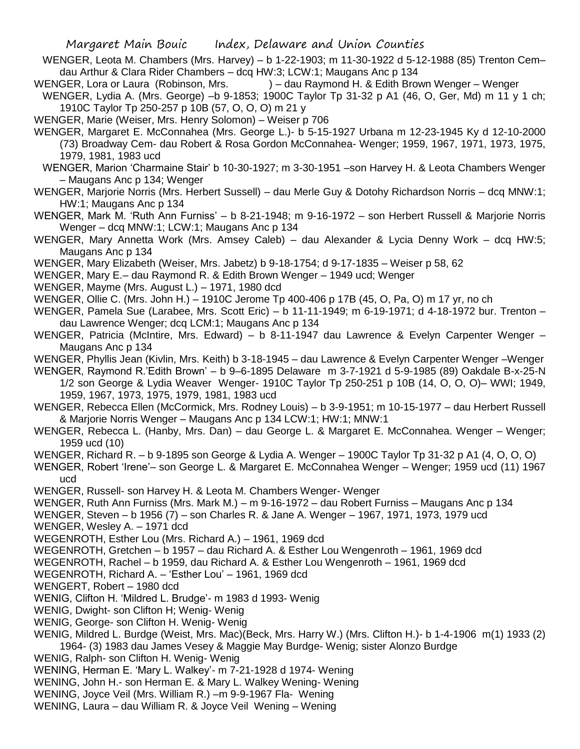- WENGER, Leota M. Chambers (Mrs. Harvey) b 1-22-1903; m 11-30-1922 d 5-12-1988 (85) Trenton Cem– dau Arthur & Clara Rider Chambers – dcq HW:3; LCW:1; Maugans Anc p 134
- WENGER, Lora or Laura (Robinson, Mrs. ) dau Raymond H. & Edith Brown Wenger Wenger
- WENGER, Lydia A. (Mrs. George) –b 9-1853; 1900C Taylor Tp 31-32 p A1 (46, O, Ger, Md) m 11 y 1 ch; 1910C Taylor Tp 250-257 p 10B (57, O, O, O) m 21 y
- WENGER, Marie (Weiser, Mrs. Henry Solomon) Weiser p 706
- WENGER, Margaret E. McConnahea (Mrs. George L.)- b 5-15-1927 Urbana m 12-23-1945 Ky d 12-10-2000 (73) Broadway Cem- dau Robert & Rosa Gordon McConnahea- Wenger; 1959, 1967, 1971, 1973, 1975, 1979, 1981, 1983 ucd
- WENGER, Marion 'Charmaine Stair' b 10-30-1927; m 3-30-1951 –son Harvey H. & Leota Chambers Wenger – Maugans Anc p 134; Wenger
- WENGER, Marjorie Norris (Mrs. Herbert Sussell) dau Merle Guy & Dotohy Richardson Norris dcq MNW:1; HW:1; Maugans Anc p 134
- WENGER, Mark M. 'Ruth Ann Furniss' b 8-21-1948; m 9-16-1972 son Herbert Russell & Marjorie Norris Wenger – dcq MNW:1; LCW:1; Maugans Anc p 134
- WENGER, Mary Annetta Work (Mrs. Amsey Caleb) dau Alexander & Lycia Denny Work dcq HW:5; Maugans Anc p 134
- WENGER, Mary Elizabeth (Weiser, Mrs. Jabetz) b 9-18-1754; d 9-17-1835 Weiser p 58, 62
- WENGER, Mary E.– dau Raymond R. & Edith Brown Wenger 1949 ucd; Wenger
- WENGER, Mayme (Mrs. August L.) 1971, 1980 dcd
- WENGER, Ollie C. (Mrs. John H.) 1910C Jerome Tp 400-406 p 17B (45, O, Pa, O) m 17 yr, no ch
- WENGER, Pamela Sue (Larabee, Mrs. Scott Eric) b 11-11-1949; m 6-19-1971; d 4-18-1972 bur. Trenton dau Lawrence Wenger; dcq LCM:1; Maugans Anc p 134
- WENGER, Patricia (McIntire, Mrs. Edward) b 8-11-1947 dau Lawrence & Evelyn Carpenter Wenger Maugans Anc p 134
- WENGER, Phyllis Jean (Kivlin, Mrs. Keith) b 3-18-1945 dau Lawrence & Evelyn Carpenter Wenger –Wenger
- WENGER, Raymond R.'Edith Brown' b 9–6-1895 Delaware m 3-7-1921 d 5-9-1985 (89) Oakdale B-x-25-N 1/2 son George & Lydia Weaver Wenger- 1910C Taylor Tp 250-251 p 10B (14, O, O, O)– WWI; 1949,
	- 1959, 1967, 1973, 1975, 1979, 1981, 1983 ucd
- WENGER, Rebecca Ellen (McCormick, Mrs. Rodney Louis) b 3-9-1951; m 10-15-1977 dau Herbert Russell & Marjorie Norris Wenger – Maugans Anc p 134 LCW:1; HW:1; MNW:1
- WENGER, Rebecca L. (Hanby, Mrs. Dan) dau George L. & Margaret E. McConnahea. Wenger Wenger; 1959 ucd (10)
- WENGER, Richard R. b 9-1895 son George & Lydia A. Wenger 1900C Taylor Tp 31-32 p A1 (4, O, O, O)
- WENGER, Robert 'Irene'– son George L. & Margaret E. McConnahea Wenger Wenger; 1959 ucd (11) 1967 ucd
- WENGER, Russell- son Harvey H. & Leota M. Chambers Wenger- Wenger
- WENGER, Ruth Ann Furniss (Mrs. Mark M.) m 9-16-1972 dau Robert Furniss Maugans Anc p 134
- WENGER, Steven b 1956 (7) son Charles R. & Jane A. Wenger 1967, 1971, 1973, 1979 ucd WENGER, Wesley A. – 1971 dcd
- WEGENROTH, Esther Lou (Mrs. Richard A.) 1961, 1969 dcd
- WEGENROTH, Gretchen b 1957 dau Richard A. & Esther Lou Wengenroth 1961, 1969 dcd
- WEGENROTH, Rachel b 1959, dau Richard A. & Esther Lou Wengenroth 1961, 1969 dcd
- WEGENROTH, Richard A. 'Esther Lou' 1961, 1969 dcd
- WENGERT, Robert 1980 dcd
- WENIG, Clifton H. 'Mildred L. Brudge'- m 1983 d 1993- Wenig
- WENIG, Dwight- son Clifton H; Wenig- Wenig
- WENIG, George- son Clifton H. Wenig- Wenig
- WENIG, Mildred L. Burdge (Weist, Mrs. Mac)(Beck, Mrs. Harry W.) (Mrs. Clifton H.)- b 1-4-1906 m(1) 1933 (2)
- 1964- (3) 1983 dau James Vesey & Maggie May Burdge- Wenig; sister Alonzo Burdge
- WENIG, Ralph- son Clifton H. Wenig- Wenig
- WENING, Herman E. 'Mary L. Walkey'- m 7-21-1928 d 1974- Wening
- WENING, John H.- son Herman E. & Mary L. Walkey Wening- Wening
- WENING, Joyce Veil (Mrs. William R.) –m 9-9-1967 Fla- Wening
- WENING, Laura dau William R. & Joyce Veil Wening Wening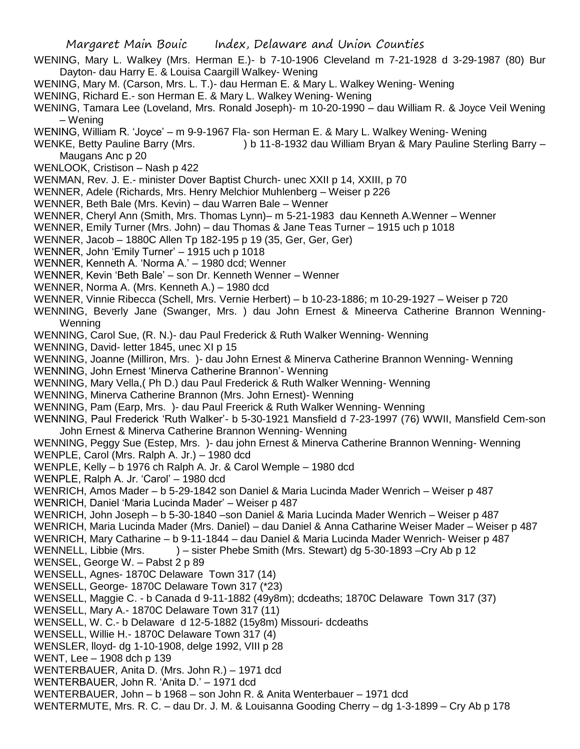- WENING, Mary L. Walkey (Mrs. Herman E.)- b 7-10-1906 Cleveland m 7-21-1928 d 3-29-1987 (80) Bur Dayton- dau Harry E. & Louisa Caargill Walkey- Wening
- WENING, Mary M. (Carson, Mrs. L. T.)- dau Herman E. & Mary L. Walkey Wening- Wening
- WENING, Richard E.- son Herman E. & Mary L. Walkey Wening- Wening
- WENING, Tamara Lee (Loveland, Mrs. Ronald Joseph)- m 10-20-1990 dau William R. & Joyce Veil Wening – Wening
- WENING, William R. 'Joyce' m 9-9-1967 Fla- son Herman E. & Mary L. Walkey Wening- Wening

WENKE, Betty Pauline Barry (Mrs. ) b 11-8-1932 dau William Bryan & Mary Pauline Sterling Barry –

- Maugans Anc p 20
- WENLOOK, Cristison Nash p 422
- WENMAN, Rev. J. E.- minister Dover Baptist Church- unec XXII p 14, XXIII, p 70
- WENNER, Adele (Richards, Mrs. Henry Melchior Muhlenberg Weiser p 226
- WENNER, Beth Bale (Mrs. Kevin) dau Warren Bale Wenner
- WENNER, Cheryl Ann (Smith, Mrs. Thomas Lynn)– m 5-21-1983 dau Kenneth A.Wenner Wenner
- WENNER, Emily Turner (Mrs. John) dau Thomas & Jane Teas Turner 1915 uch p 1018
- WENNER, Jacob 1880C Allen Tp 182-195 p 19 (35, Ger, Ger, Ger)
- WENNER, John 'Emily Turner' 1915 uch p 1018
- WENNER, Kenneth A. 'Norma A.' 1980 dcd; Wenner
- WENNER, Kevin 'Beth Bale' son Dr. Kenneth Wenner Wenner
- WENNER, Norma A. (Mrs. Kenneth A.) 1980 dcd
- WENNER, Vinnie Ribecca (Schell, Mrs. Vernie Herbert) b 10-23-1886; m 10-29-1927 Weiser p 720
- WENNING, Beverly Jane (Swanger, Mrs. ) dau John Ernest & Mineerva Catherine Brannon Wenning-**Wenning**
- WENNING, Carol Sue, (R. N.)- dau Paul Frederick & Ruth Walker Wenning- Wenning
- WENNING, David- letter 1845, unec XI p 15
- WENNING, Joanne (Milliron, Mrs. )- dau John Ernest & Minerva Catherine Brannon Wenning- Wenning
- WENNING, John Ernest 'Minerva Catherine Brannon'- Wenning
- WENNING, Mary Vella,( Ph D.) dau Paul Frederick & Ruth Walker Wenning- Wenning
- WENNING, Minerva Catherine Brannon (Mrs. John Ernest)- Wenning
- WENNING, Pam (Earp, Mrs. )- dau Paul Freerick & Ruth Walker Wenning- Wenning
- WENNING, Paul Frederick 'Ruth Walker'- b 5-30-1921 Mansfield d 7-23-1997 (76) WWII, Mansfield Cem-son John Ernest & Minerva Catherine Brannon Wenning- Wenning
- WENNING, Peggy Sue (Estep, Mrs. )- dau john Ernest & Minerva Catherine Brannon Wenning- Wenning WENPLE, Carol (Mrs. Ralph A. Jr.) – 1980 dcd
- WENPLE, Kelly b 1976 ch Ralph A. Jr. & Carol Wemple 1980 dcd
- WENPLE, Ralph A. Jr. 'Carol' 1980 dcd
- WENRICH, Amos Mader b 5-29-1842 son Daniel & Maria Lucinda Mader Wenrich Weiser p 487
- WENRICH, Daniel 'Maria Lucinda Mader' Weiser p 487
- WENRICH, John Joseph b 5-30-1840 –son Daniel & Maria Lucinda Mader Wenrich Weiser p 487
- WENRICH, Maria Lucinda Mader (Mrs. Daniel) dau Daniel & Anna Catharine Weiser Mader Weiser p 487
- WENRICH, Mary Catharine b 9-11-1844 dau Daniel & Maria Lucinda Mader Wenrich- Weiser p 487
- WENNELL, Libbie (Mrs. ) sister Phebe Smith (Mrs. Stewart) dg 5-30-1893 –Cry Ab p 12 WENSEL, George W. – Pabst 2 p 89
- WENSELL, Agnes- 1870C Delaware Town 317 (14)
- WENSELL, George- 1870C Delaware Town 317 (\*23)
- WENSELL, Maggie C. b Canada d 9-11-1882 (49y8m); dcdeaths; 1870C Delaware Town 317 (37)
- WENSELL, Mary A.- 1870C Delaware Town 317 (11)
- WENSELL, W. C.- b Delaware d 12-5-1882 (15y8m) Missouri- dcdeaths
- WENSELL, Willie H.- 1870C Delaware Town 317 (4)
- WENSLER, lloyd- dg 1-10-1908, delge 1992, VIII p 28
- WENT, Lee 1908 dch p 139
- WENTERBAUER, Anita D. (Mrs. John R.) 1971 dcd
- WENTERBAUER, John R. 'Anita D.' 1971 dcd
- WENTERBAUER, John b 1968 son John R. & Anita Wenterbauer 1971 dcd
- WENTERMUTE, Mrs. R. C. dau Dr. J. M. & Louisanna Gooding Cherry dg 1-3-1899 Cry Ab p 178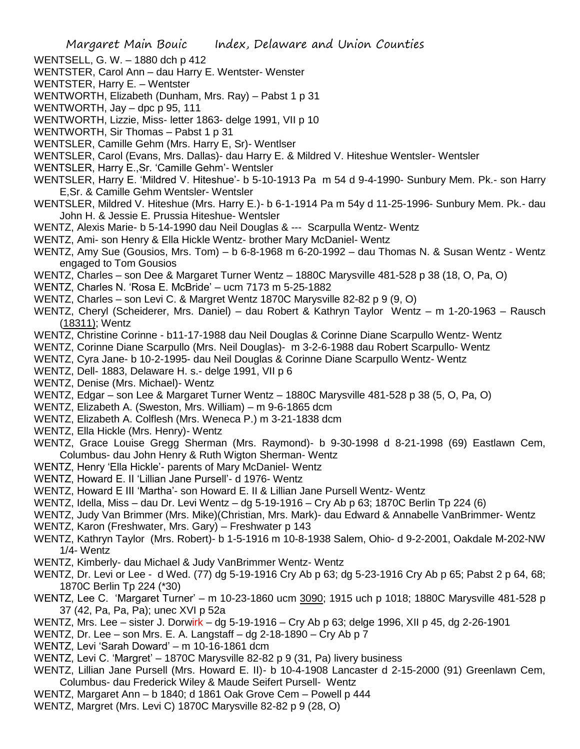WENTSELL, G. W. – 1880 dch p 412

WENTSTER, Carol Ann – dau Harry E. Wentster- Wenster

WENTSTER, Harry E. – Wentster

WENTWORTH, Elizabeth (Dunham, Mrs. Ray) – Pabst 1 p 31

WENTWORTH, Jay – dpc p 95, 111

WENTWORTH, Lizzie, Miss- letter 1863- delge 1991, VII p 10

WENTWORTH, Sir Thomas – Pabst 1 p 31

WENTSLER, Camille Gehm (Mrs. Harry E, Sr)- Wentlser

WENTSLER, Carol (Evans, Mrs. Dallas)- dau Harry E. & Mildred V. Hiteshue Wentsler- Wentsler

WENTSLER, Harry E.,Sr. 'Camille Gehm'- Wentsler

WENTSLER, Harry E. 'Mildred V. Hiteshue'- b 5-10-1913 Pa m 54 d 9-4-1990- Sunbury Mem. Pk.- son Harry E,Sr. & Camille Gehm Wentsler- Wentsler

WENTSLER, Mildred V. Hiteshue (Mrs. Harry E.)- b 6-1-1914 Pa m 54y d 11-25-1996- Sunbury Mem. Pk.- dau John H. & Jessie E. Prussia Hiteshue- Wentsler

WENTZ, Alexis Marie- b 5-14-1990 dau Neil Douglas & --- Scarpulla Wentz- Wentz

WENTZ, Ami- son Henry & Ella Hickle Wentz- brother Mary McDaniel- Wentz

WENTZ, Amy Sue (Gousios, Mrs. Tom) – b 6-8-1968 m 6-20-1992 – dau Thomas N. & Susan Wentz - Wentz engaged to Tom Gousios

WENTZ, Charles – son Dee & Margaret Turner Wentz – 1880C Marysville 481-528 p 38 (18, O, Pa, O)

WENTZ, Charles N. 'Rosa E. McBride' – ucm 7173 m 5-25-1882

WENTZ, Charles – son Levi C. & Margret Wentz 1870C Marysville 82-82 p 9 (9, O)

WENTZ, Cheryl (Scheiderer, Mrs. Daniel) – dau Robert & Kathryn Taylor Wentz – m 1-20-1963 – Rausch (18311); Wentz

WENTZ, Christine Corinne - b11-17-1988 dau Neil Douglas & Corinne Diane Scarpullo Wentz- Wentz

WENTZ, Corinne Diane Scarpullo (Mrs. Neil Douglas)- m 3-2-6-1988 dau Robert Scarpullo- Wentz

WENTZ, Cyra Jane- b 10-2-1995- dau Neil Douglas & Corinne Diane Scarpullo Wentz- Wentz

WENTZ, Dell- 1883, Delaware H. s.- delge 1991, VII p 6

WENTZ, Denise (Mrs. Michael)- Wentz

WENTZ, Edgar – son Lee & Margaret Turner Wentz – 1880C Marysville 481-528 p 38 (5, O, Pa, O)

WENTZ, Elizabeth A. (Sweston, Mrs. William) – m 9-6-1865 dcm

WENTZ, Elizabeth A. Colflesh (Mrs. Weneca P.) m 3-21-1838 dcm

WENTZ, Ella Hickle (Mrs. Henry)- Wentz

WENTZ, Grace Louise Gregg Sherman (Mrs. Raymond)- b 9-30-1998 d 8-21-1998 (69) Eastlawn Cem, Columbus- dau John Henry & Ruth Wigton Sherman- Wentz

WENTZ, Henry 'Ella Hickle'- parents of Mary McDaniel- Wentz

WENTZ, Howard E. II 'Lillian Jane Pursell'- d 1976- Wentz

WENTZ, Howard E III 'Martha'- son Howard E. II & Lillian Jane Pursell Wentz- Wentz

WENTZ, Idella, Miss – dau Dr. Levi Wentz – dg 5-19-1916 – Cry Ab p 63; 1870C Berlin Tp 224 (6)

WENTZ, Judy Van Brimmer (Mrs. Mike)(Christian, Mrs. Mark)- dau Edward & Annabelle VanBrimmer- Wentz

WENTZ, Karon (Freshwater, Mrs. Gary) – Freshwater p 143

WENTZ, Kathryn Taylor (Mrs. Robert)- b 1-5-1916 m 10-8-1938 Salem, Ohio- d 9-2-2001, Oakdale M-202-NW 1/4- Wentz

WENTZ, Kimberly- dau Michael & Judy VanBrimmer Wentz- Wentz

WENTZ, Dr. Levi or Lee - d Wed. (77) dg 5-19-1916 Cry Ab p 63; dg 5-23-1916 Cry Ab p 65; Pabst 2 p 64, 68; 1870C Berlin Tp 224 (\*30)

WENTZ, Lee C. 'Margaret Turner' – m 10-23-1860 ucm 3090; 1915 uch p 1018; 1880C Marysville 481-528 p 37 (42, Pa, Pa, Pa); unec XVI p 52a

WENTZ, Mrs. Lee – sister J. Dorwirk – dg 5-19-1916 – Cry Ab p 63; delge 1996, XII p 45, dg 2-26-1901

WENTZ, Dr. Lee – son Mrs. E. A. Langstaff – dg 2-18-1890 – Cry Ab p 7

WENTZ, Levi 'Sarah Doward' – m 10-16-1861 dcm

WENTZ, Levi C. 'Margret' – 1870C Marysville 82-82 p 9 (31, Pa) livery business

WENTZ, Lillian Jane Pursell (Mrs. Howard E. II)- b 10-4-1908 Lancaster d 2-15-2000 (91) Greenlawn Cem, Columbus- dau Frederick Wiley & Maude Seifert Pursell- Wentz

WENTZ, Margaret Ann – b 1840; d 1861 Oak Grove Cem – Powell p 444

WENTZ, Margret (Mrs. Levi C) 1870C Marysville 82-82 p 9 (28, O)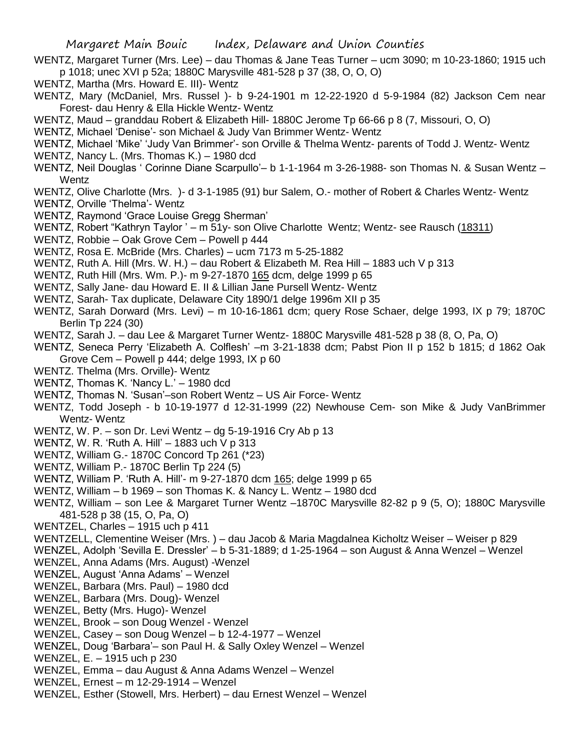- WENTZ, Margaret Turner (Mrs. Lee) dau Thomas & Jane Teas Turner ucm 3090; m 10-23-1860; 1915 uch p 1018; unec XVI p 52a; 1880C Marysville 481-528 p 37 (38, O, O, O)
- WENTZ, Martha (Mrs. Howard E. III)- Wentz
- WENTZ, Mary (McDaniel, Mrs. Russel )- b 9-24-1901 m 12-22-1920 d 5-9-1984 (82) Jackson Cem near Forest- dau Henry & Ella Hickle Wentz- Wentz
- WENTZ, Maud granddau Robert & Elizabeth Hill- 1880C Jerome Tp 66-66 p 8 (7, Missouri, O, O)
- WENTZ, Michael 'Denise'- son Michael & Judy Van Brimmer Wentz- Wentz
- WENTZ, Michael 'Mike' 'Judy Van Brimmer'- son Orville & Thelma Wentz- parents of Todd J. Wentz- Wentz
- WENTZ, Nancy L. (Mrs. Thomas K.) 1980 dcd
- WENTZ, Neil Douglas ' Corinne Diane Scarpullo'– b 1-1-1964 m 3-26-1988- son Thomas N. & Susan Wentz Wentz
- WENTZ, Olive Charlotte (Mrs. )- d 3-1-1985 (91) bur Salem, O.- mother of Robert & Charles Wentz- Wentz
- WENTZ, Orville 'Thelma'- Wentz
- WENTZ, Raymond 'Grace Louise Gregg Sherman'
- WENTZ, Robert "Kathryn Taylor ' m 51y- son Olive Charlotte Wentz; Wentz- see Rausch (18311)
- WENTZ, Robbie Oak Grove Cem Powell p 444
- WENTZ, Rosa E. McBride (Mrs. Charles) ucm 7173 m 5-25-1882
- WENTZ, Ruth A. Hill (Mrs. W. H.) dau Robert & Elizabeth M. Rea Hill 1883 uch V p 313
- WENTZ, Ruth Hill (Mrs. Wm. P.)- m 9-27-1870 165 dcm, delge 1999 p 65
- WENTZ, Sally Jane- dau Howard E. II & Lillian Jane Pursell Wentz- Wentz
- WENTZ, Sarah- Tax duplicate, Delaware City 1890/1 delge 1996m XII p 35
- WENTZ, Sarah Dorward (Mrs. Levi) m 10-16-1861 dcm; query Rose Schaer, delge 1993, IX p 79; 1870C Berlin Tp 224 (30)
- WENTZ, Sarah J. dau Lee & Margaret Turner Wentz- 1880C Marysville 481-528 p 38 (8, O, Pa, O)
- WENTZ, Seneca Perry 'Elizabeth A. Colflesh' –m 3-21-1838 dcm; Pabst Pion II p 152 b 1815; d 1862 Oak Grove Cem – Powell p 444; delge 1993, IX p 60
- WENTZ. Thelma (Mrs. Orville)- Wentz
- WENTZ, Thomas K. 'Nancy L.' 1980 dcd
- WENTZ, Thomas N. 'Susan'–son Robert Wentz US Air Force- Wentz
- WENTZ, Todd Joseph b 10-19-1977 d 12-31-1999 (22) Newhouse Cem- son Mike & Judy VanBrimmer Wentz- Wentz
- WENTZ, W. P. son Dr. Levi Wentz dg 5-19-1916 Cry Ab p 13
- WENTZ, W. R. 'Ruth A. Hill' 1883 uch V p 313
- WENTZ, William G.- 1870C Concord Tp 261 (\*23)
- WENTZ, William P.- 1870C Berlin Tp 224 (5)
- WENTZ, William P. 'Ruth A. Hill'- m 9-27-1870 dcm 165; delge 1999 p 65
- WENTZ, William b 1969 son Thomas K. & Nancy L. Wentz 1980 dcd
- WENTZ, William son Lee & Margaret Turner Wentz –1870C Marysville 82-82 p 9 (5, O); 1880C Marysville 481-528 p 38 (15, O, Pa, O)
- WENTZEL, Charles 1915 uch p 411
- WENTZELL, Clementine Weiser (Mrs. ) dau Jacob & Maria Magdalnea Kicholtz Weiser Weiser p 829
- WENZEL, Adolph 'Sevilla E. Dressler' b 5-31-1889; d 1-25-1964 son August & Anna Wenzel Wenzel
- WENZEL, Anna Adams (Mrs. August) -Wenzel
- WENZEL, August 'Anna Adams' Wenzel
- WENZEL, Barbara (Mrs. Paul) 1980 dcd
- WENZEL, Barbara (Mrs. Doug)- Wenzel
- WENZEL, Betty (Mrs. Hugo)- Wenzel
- WENZEL, Brook son Doug Wenzel Wenzel
- WENZEL, Casey son Doug Wenzel b 12-4-1977 Wenzel
- WENZEL, Doug 'Barbara'– son Paul H. & Sally Oxley Wenzel Wenzel
- WENZEL, E. 1915 uch p 230
- WENZEL, Emma dau August & Anna Adams Wenzel Wenzel
- WENZEL, Ernest m 12-29-1914 Wenzel
- WENZEL, Esther (Stowell, Mrs. Herbert) dau Ernest Wenzel Wenzel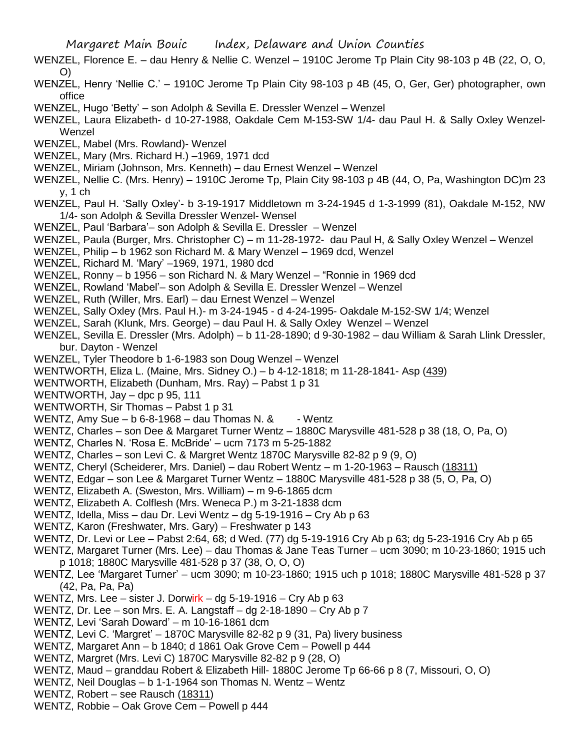- WENZEL, Florence E. dau Henry & Nellie C. Wenzel 1910C Jerome Tp Plain City 98-103 p 4B (22, O, O, O)
- WENZEL, Henry 'Nellie C.' 1910C Jerome Tp Plain City 98-103 p 4B (45, O, Ger, Ger) photographer, own office
- WENZEL, Hugo 'Betty' son Adolph & Sevilla E. Dressler Wenzel Wenzel
- WENZEL, Laura Elizabeth- d 10-27-1988, Oakdale Cem M-153-SW 1/4- dau Paul H. & Sally Oxley Wenzel-Wenzel
- WENZEL, Mabel (Mrs. Rowland)- Wenzel
- WENZEL, Mary (Mrs. Richard H.) –1969, 1971 dcd
- WENZEL, Miriam (Johnson, Mrs. Kenneth) dau Ernest Wenzel Wenzel
- WENZEL, Nellie C. (Mrs. Henry) 1910C Jerome Tp, Plain City 98-103 p 4B (44, O, Pa, Washington DC)m 23 y, 1 ch
- WENZEL, Paul H. 'Sally Oxley'- b 3-19-1917 Middletown m 3-24-1945 d 1-3-1999 (81), Oakdale M-152, NW 1/4- son Adolph & Sevilla Dressler Wenzel- Wensel
- WENZEL, Paul 'Barbara'– son Adolph & Sevilla E. Dressler Wenzel
- WENZEL, Paula (Burger, Mrs. Christopher C) m 11-28-1972- dau Paul H, & Sally Oxley Wenzel Wenzel
- WENZEL, Philip b 1962 son Richard M. & Mary Wenzel 1969 dcd, Wenzel
- WENZEL, Richard M. 'Mary' –1969, 1971, 1980 dcd
- WENZEL, Ronny b 1956 son Richard N. & Mary Wenzel "Ronnie in 1969 dcd
- WENZEL, Rowland 'Mabel'– son Adolph & Sevilla E. Dressler Wenzel Wenzel
- WENZEL, Ruth (Willer, Mrs. Earl) dau Ernest Wenzel Wenzel
- WENZEL, Sally Oxley (Mrs. Paul H.)- m 3-24-1945 d 4-24-1995- Oakdale M-152-SW 1/4; Wenzel
- WENZEL, Sarah (Klunk, Mrs. George) dau Paul H. & Sally Oxley Wenzel Wenzel
- WENZEL, Sevilla E. Dressler (Mrs. Adolph) b 11-28-1890; d 9-30-1982 dau William & Sarah Llink Dressler, bur. Dayton - Wenzel
- WENZEL, Tyler Theodore b 1-6-1983 son Doug Wenzel Wenzel
- WENTWORTH, Eliza L. (Maine, Mrs. Sidney O.) b 4-12-1818; m 11-28-1841- Asp (439)
- WENTWORTH, Elizabeth (Dunham, Mrs. Ray) Pabst 1 p 31
- WENTWORTH, Jay dpc p 95, 111
- WENTWORTH, Sir Thomas Pabst 1 p 31
- WENTZ, Amy Sue  $-$  b 6-8-1968  $-$  dau Thomas N. &  $-$  Wentz
- WENTZ, Charles son Dee & Margaret Turner Wentz 1880C Marysville 481-528 p 38 (18, O, Pa, O)
- WENTZ, Charles N. 'Rosa E. McBride' ucm 7173 m 5-25-1882
- WENTZ, Charles son Levi C. & Margret Wentz 1870C Marysville 82-82 p 9 (9, O)
- WENTZ, Cheryl (Scheiderer, Mrs. Daniel) dau Robert Wentz m 1-20-1963 Rausch (18311)
- WENTZ, Edgar son Lee & Margaret Turner Wentz 1880C Marysville 481-528 p 38 (5, O, Pa, O)
- WENTZ, Elizabeth A. (Sweston, Mrs. William) m 9-6-1865 dcm
- WENTZ, Elizabeth A. Colflesh (Mrs. Weneca P.) m 3-21-1838 dcm
- WENTZ, Idella, Miss dau Dr. Levi Wentz dg 5-19-1916 Cry Ab p 63
- WENTZ, Karon (Freshwater, Mrs. Gary) Freshwater p 143
- WENTZ, Dr. Levi or Lee Pabst 2:64, 68; d Wed. (77) dg 5-19-1916 Cry Ab p 63; dg 5-23-1916 Cry Ab p 65
- WENTZ, Margaret Turner (Mrs. Lee) dau Thomas & Jane Teas Turner ucm 3090; m 10-23-1860; 1915 uch p 1018; 1880C Marysville 481-528 p 37 (38, O, O, O)
- WENTZ, Lee 'Margaret Turner' ucm 3090; m 10-23-1860; 1915 uch p 1018; 1880C Marysville 481-528 p 37 (42, Pa, Pa, Pa)
- WENTZ, Mrs. Lee sister J. Dorwirk dg 5-19-1916 Cry Ab p 63
- WENTZ, Dr. Lee son Mrs. E. A. Langstaff dg 2-18-1890 Cry Ab p 7
- WENTZ, Levi 'Sarah Doward' m 10-16-1861 dcm
- WENTZ, Levi C. 'Margret' 1870C Marysville 82-82 p 9 (31, Pa) livery business
- WENTZ, Margaret Ann b 1840; d 1861 Oak Grove Cem Powell p 444
- WENTZ, Margret (Mrs. Levi C) 1870C Marysville 82-82 p 9 (28, O)
- WENTZ, Maud granddau Robert & Elizabeth Hill- 1880C Jerome Tp 66-66 p 8 (7, Missouri, O, O)
- WENTZ, Neil Douglas b 1-1-1964 son Thomas N. Wentz Wentz
- WENTZ, Robert see Rausch (18311)
- WENTZ, Robbie Oak Grove Cem Powell p 444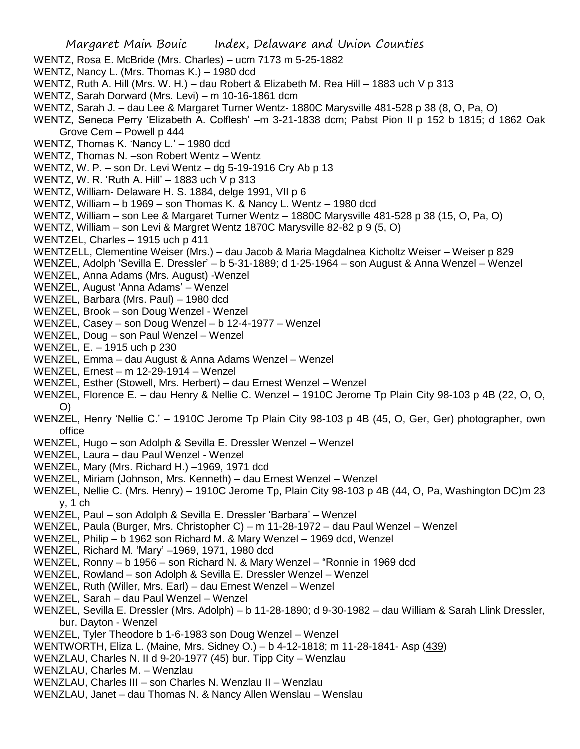- WENTZ, Rosa E. McBride (Mrs. Charles) ucm 7173 m 5-25-1882
- WENTZ, Nancy L. (Mrs. Thomas K.) 1980 dcd
- WENTZ, Ruth A. Hill (Mrs. W. H.) dau Robert & Elizabeth M. Rea Hill 1883 uch V p 313
- WENTZ, Sarah Dorward (Mrs. Levi) m 10-16-1861 dcm
- WENTZ, Sarah J. dau Lee & Margaret Turner Wentz- 1880C Marysville 481-528 p 38 (8, O, Pa, O)
- WENTZ, Seneca Perry 'Elizabeth A. Colflesh' –m 3-21-1838 dcm; Pabst Pion II p 152 b 1815; d 1862 Oak Grove Cem – Powell p 444
- WENTZ, Thomas K. 'Nancy L.' 1980 dcd
- WENTZ, Thomas N. –son Robert Wentz Wentz
- WENTZ, W. P. son Dr. Levi Wentz dg 5-19-1916 Cry Ab p 13
- WENTZ, W. R. 'Ruth A. Hill' 1883 uch V p 313
- WENTZ, William- Delaware H. S. 1884, delge 1991, VII p 6
- WENTZ, William b 1969 son Thomas K. & Nancy L. Wentz 1980 dcd
- WENTZ, William son Lee & Margaret Turner Wentz 1880C Marysville 481-528 p 38 (15, O, Pa, O)
- WENTZ, William son Levi & Margret Wentz 1870C Marysville 82-82 p 9 (5, O)
- WENTZEL, Charles 1915 uch p 411
- WENTZELL, Clementine Weiser (Mrs.) dau Jacob & Maria Magdalnea Kicholtz Weiser Weiser p 829
- WENZEL, Adolph 'Sevilla E. Dressler' b 5-31-1889; d 1-25-1964 son August & Anna Wenzel Wenzel
- WENZEL, Anna Adams (Mrs. August) -Wenzel
- WENZEL, August 'Anna Adams' Wenzel
- WENZEL, Barbara (Mrs. Paul) 1980 dcd
- WENZEL, Brook son Doug Wenzel Wenzel
- WENZEL, Casey son Doug Wenzel b 12-4-1977 Wenzel
- WENZEL, Doug son Paul Wenzel Wenzel
- WENZEL, E. 1915 uch p 230
- WENZEL, Emma dau August & Anna Adams Wenzel Wenzel
- WENZEL, Ernest m 12-29-1914 Wenzel
- WENZEL, Esther (Stowell, Mrs. Herbert) dau Ernest Wenzel Wenzel
- WENZEL, Florence E. dau Henry & Nellie C. Wenzel 1910C Jerome Tp Plain City 98-103 p 4B (22, O, O, O)
- WENZEL, Henry 'Nellie C.' 1910C Jerome Tp Plain City 98-103 p 4B (45, O, Ger, Ger) photographer, own office
- WENZEL, Hugo son Adolph & Sevilla E. Dressler Wenzel Wenzel
- WENZEL, Laura dau Paul Wenzel Wenzel
- WENZEL, Mary (Mrs. Richard H.) –1969, 1971 dcd
- WENZEL, Miriam (Johnson, Mrs. Kenneth) dau Ernest Wenzel Wenzel
- WENZEL, Nellie C. (Mrs. Henry) 1910C Jerome Tp, Plain City 98-103 p 4B (44, O, Pa, Washington DC)m 23 y, 1 ch
- WENZEL, Paul son Adolph & Sevilla E. Dressler 'Barbara' Wenzel
- WENZEL, Paula (Burger, Mrs. Christopher C) m 11-28-1972 dau Paul Wenzel Wenzel
- WENZEL, Philip b 1962 son Richard M. & Mary Wenzel 1969 dcd, Wenzel
- WENZEL, Richard M. 'Mary' –1969, 1971, 1980 dcd
- WENZEL, Ronny b 1956 son Richard N. & Mary Wenzel "Ronnie in 1969 dcd
- WENZEL, Rowland son Adolph & Sevilla E. Dressler Wenzel Wenzel
- WENZEL, Ruth (Willer, Mrs. Earl) dau Ernest Wenzel Wenzel
- WENZEL, Sarah dau Paul Wenzel Wenzel
- WENZEL, Sevilla E. Dressler (Mrs. Adolph) b 11-28-1890; d 9-30-1982 dau William & Sarah Llink Dressler, bur. Dayton - Wenzel
- WENZEL, Tyler Theodore b 1-6-1983 son Doug Wenzel Wenzel
- WENTWORTH, Eliza L. (Maine, Mrs. Sidney O.) b 4-12-1818; m 11-28-1841- Asp (439)
- WENZLAU, Charles N. II d 9-20-1977 (45) bur. Tipp City Wenzlau
- WENZLAU, Charles M. Wenzlau
- WENZLAU, Charles III son Charles N. Wenzlau II Wenzlau
- WENZLAU, Janet dau Thomas N. & Nancy Allen Wenslau Wenslau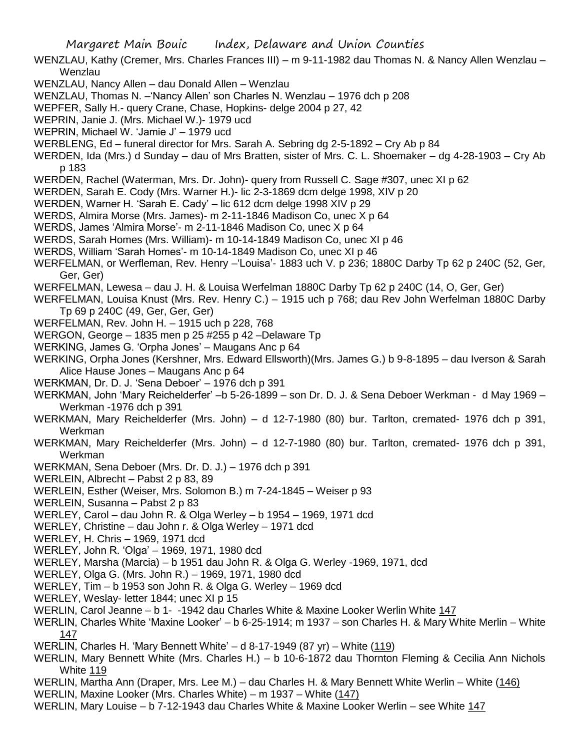WENZLAU, Kathy (Cremer, Mrs. Charles Frances III) – m 9-11-1982 dau Thomas N. & Nancy Allen Wenzlau – **Wenzlau** 

- WENZLAU, Nancy Allen dau Donald Allen Wenzlau
- WENZLAU, Thomas N. –'Nancy Allen' son Charles N. Wenzlau 1976 dch p 208
- WEPFER, Sally H.- query Crane, Chase, Hopkins- delge 2004 p 27, 42
- WEPRIN, Janie J. (Mrs. Michael W.)- 1979 ucd
- WEPRIN, Michael W. 'Jamie J' 1979 ucd
- WERBLENG, Ed funeral director for Mrs. Sarah A. Sebring dg 2-5-1892 Cry Ab p 84
- WERDEN, Ida (Mrs.) d Sunday dau of Mrs Bratten, sister of Mrs. C. L. Shoemaker dg 4-28-1903 Cry Ab p 183
- WERDEN, Rachel (Waterman, Mrs. Dr. John)- query from Russell C. Sage #307, unec XI p 62
- WERDEN, Sarah E. Cody (Mrs. Warner H.)- lic 2-3-1869 dcm delge 1998, XIV p 20
- WERDEN, Warner H. 'Sarah E. Cady' lic 612 dcm delge 1998 XIV p 29
- WERDS, Almira Morse (Mrs. James)- m 2-11-1846 Madison Co, unec X p 64
- WERDS, James 'Almira Morse'- m 2-11-1846 Madison Co, unec X p 64
- WERDS, Sarah Homes (Mrs. William)- m 10-14-1849 Madison Co, unec XI p 46
- WERDS, William 'Sarah Homes'- m 10-14-1849 Madison Co, unec XI p 46
- WERFELMAN, or Werfleman, Rev. Henry –'Louisa'- 1883 uch V. p 236; 1880C Darby Tp 62 p 240C (52, Ger, Ger, Ger)
- WERFELMAN, Lewesa dau J. H. & Louisa Werfelman 1880C Darby Tp 62 p 240C (14, O, Ger, Ger)
- WERFELMAN, Louisa Knust (Mrs. Rev. Henry C.) 1915 uch p 768; dau Rev John Werfelman 1880C Darby Tp 69 p 240C (49, Ger, Ger, Ger)
- WERFELMAN, Rev. John H. 1915 uch p 228, 768
- WERGON, George 1835 men p 25 #255 p 42 –Delaware Tp
- WERKING, James G. 'Orpha Jones' Maugans Anc p 64
- WERKING, Orpha Jones (Kershner, Mrs. Edward Ellsworth)(Mrs. James G.) b 9-8-1895 dau Iverson & Sarah Alice Hause Jones – Maugans Anc p 64
- WERKMAN, Dr. D. J. 'Sena Deboer' 1976 dch p 391
- WERKMAN, John 'Mary Reichelderfer' –b 5-26-1899 son Dr. D. J. & Sena Deboer Werkman d May 1969 Werkman -1976 dch p 391
- WERKMAN, Mary Reichelderfer (Mrs. John) d 12-7-1980 (80) bur. Tarlton, cremated- 1976 dch p 391, Werkman
- WERKMAN, Mary Reichelderfer (Mrs. John) d 12-7-1980 (80) bur. Tarlton, cremated- 1976 dch p 391, Werkman
- WERKMAN, Sena Deboer (Mrs. Dr. D. J.) 1976 dch p 391
- WERLEIN, Albrecht Pabst 2 p 83, 89
- WERLEIN, Esther (Weiser, Mrs. Solomon B.) m 7-24-1845 Weiser p 93
- WERLEIN, Susanna Pabst 2 p 83
- WERLEY, Carol dau John R. & Olga Werley b 1954 1969, 1971 dcd
- WERLEY, Christine dau John r. & Olga Werley 1971 dcd
- WERLEY, H. Chris 1969, 1971 dcd
- WERLEY, John R. 'Olga' 1969, 1971, 1980 dcd
- WERLEY, Marsha (Marcia) b 1951 dau John R. & Olga G. Werley -1969, 1971, dcd
- WERLEY, Olga G. (Mrs. John R.) 1969, 1971, 1980 dcd
- WERLEY, Tim b 1953 son John R. & Olga G. Werley 1969 dcd
- WERLEY, Weslay- letter 1844; unec XI p 15
- WERLIN, Carol Jeanne b 1- -1942 dau Charles White & Maxine Looker Werlin White 147
- WERLIN, Charles White 'Maxine Looker' b 6-25-1914; m 1937 son Charles H. & Mary White Merlin White 147
- WERLIN, Charles H. 'Mary Bennett White' d 8-17-1949 (87 yr) White (119)
- WERLIN, Mary Bennett White (Mrs. Charles H.) b 10-6-1872 dau Thornton Fleming & Cecilia Ann Nichols White 119
- WERLIN, Martha Ann (Draper, Mrs. Lee M.) dau Charles H. & Mary Bennett White Werlin White (146)
- WERLIN, Maxine Looker (Mrs. Charles White) m 1937 White (147)
- WERLIN, Mary Louise b 7-12-1943 dau Charles White & Maxine Looker Werlin see White 147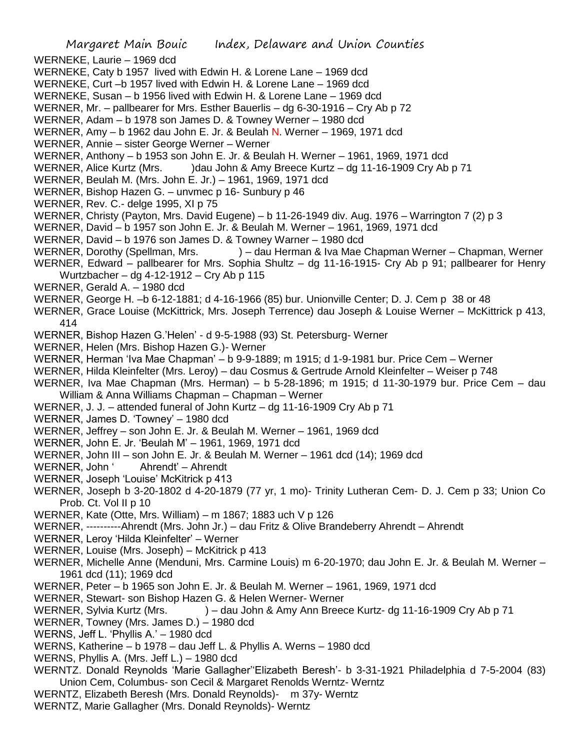Margaret Main Bouic Index, Delaware and Union Counties WERNEKE, Laurie – 1969 dcd WERNEKE, Caty b 1957 lived with Edwin H. & Lorene Lane – 1969 dcd WERNEKE, Curt –b 1957 lived with Edwin H. & Lorene Lane – 1969 dcd WERNEKE, Susan – b 1956 lived with Edwin H. & Lorene Lane – 1969 dcd WERNER, Mr. – pallbearer for Mrs. Esther Bauerlis – dg 6-30-1916 – Cry Ab p 72 WERNER, Adam – b 1978 son James D. & Towney Werner – 1980 dcd WERNER, Amy – b 1962 dau John E. Jr. & Beulah N. Werner – 1969, 1971 dcd WERNER, Annie – sister George Werner – Werner WERNER, Anthony – b 1953 son John E. Jr. & Beulah H. Werner – 1961, 1969, 1971 dcd WERNER, Alice Kurtz (Mrs. )dau John & Amy Breece Kurtz – dg 11-16-1909 Cry Ab p 71 WERNER, Beulah M. (Mrs. John E. Jr.) – 1961, 1969, 1971 dcd WERNER, Bishop Hazen G. – unvmec p 16- Sunbury p 46 WERNER, Rev. C.- delge 1995, XI p 75 WERNER, Christy (Payton, Mrs. David Eugene) – b 11-26-1949 div. Aug. 1976 – Warrington 7 (2) p 3 WERNER, David – b 1957 son John E. Jr. & Beulah M. Werner – 1961, 1969, 1971 dcd WERNER, David – b 1976 son James D. & Towney Warner – 1980 dcd WERNER, Dorothy (Spellman, Mrs. ) – dau Herman & Iva Mae Chapman Werner – Chapman, Werner WERNER, Edward – pallbearer for Mrs. Sophia Shultz – dg 11-16-1915- Cry Ab p 91; pallbearer for Henry Wurtzbacher – dg 4-12-1912 – Cry Ab p 115 WERNER, Gerald A. – 1980 dcd WERNER, George H. –b 6-12-1881; d 4-16-1966 (85) bur. Unionville Center; D. J. Cem p 38 or 48 WERNER, Grace Louise (McKittrick, Mrs. Joseph Terrence) dau Joseph & Louise Werner – McKittrick p 413, 414 WERNER, Bishop Hazen G.'Helen' - d 9-5-1988 (93) St. Petersburg- Werner WERNER, Helen (Mrs. Bishop Hazen G.)- Werner WERNER, Herman 'Iva Mae Chapman' – b 9-9-1889; m 1915; d 1-9-1981 bur. Price Cem – Werner WERNER, Hilda Kleinfelter (Mrs. Leroy) – dau Cosmus & Gertrude Arnold Kleinfelter – Weiser p 748 WERNER, Iva Mae Chapman (Mrs. Herman) – b 5-28-1896; m 1915; d 11-30-1979 bur. Price Cem – dau William & Anna Williams Chapman – Chapman – Werner WERNER, J. J. – attended funeral of John Kurtz – dg 11-16-1909 Cry Ab p 71 WERNER, James D. 'Towney' – 1980 dcd WERNER, Jeffrey – son John E. Jr. & Beulah M. Werner – 1961, 1969 dcd WERNER, John E. Jr. 'Beulah M' – 1961, 1969, 1971 dcd WERNER, John III – son John E. Jr. & Beulah M. Werner – 1961 dcd (14); 1969 dcd WERNER, John ' Ahrendt' – Ahrendt WERNER, Joseph 'Louise' McKitrick p 413 WERNER, Joseph b 3-20-1802 d 4-20-1879 (77 yr, 1 mo)- Trinity Lutheran Cem- D. J. Cem p 33; Union Co Prob. Ct. Vol II p 10 WERNER, Kate (Otte, Mrs. William) – m 1867; 1883 uch V p 126 WERNER, ----------Ahrendt (Mrs. John Jr.) – dau Fritz & Olive Brandeberry Ahrendt – Ahrendt WERNER, Leroy 'Hilda Kleinfelter' – Werner WERNER, Louise (Mrs. Joseph) – McKitrick p 413 WERNER, Michelle Anne (Menduni, Mrs. Carmine Louis) m 6-20-1970; dau John E. Jr. & Beulah M. Werner – 1961 dcd (11); 1969 dcd WERNER, Peter – b 1965 son John E. Jr. & Beulah M. Werner – 1961, 1969, 1971 dcd WERNER, Stewart- son Bishop Hazen G. & Helen Werner- Werner WERNER, Sylvia Kurtz (Mrs. ) – dau John & Amy Ann Breece Kurtz- dg 11-16-1909 Cry Ab p 71 WERNER, Towney (Mrs. James D.) – 1980 dcd WERNS, Jeff L. 'Phyllis A.' – 1980 dcd WERNS, Katherine – b 1978 – dau Jeff L. & Phyllis A. Werns – 1980 dcd WERNS, Phyllis A. (Mrs. Jeff L.) – 1980 dcd WERNTZ. Donald Reynolds 'Marie Gallagher''Elizabeth Beresh'- b 3-31-1921 Philadelphia d 7-5-2004 (83) Union Cem, Columbus- son Cecil & Margaret Renolds Werntz- Werntz WERNTZ, Elizabeth Beresh (Mrs. Donald Reynolds)- m 37y- Werntz WERNTZ, Marie Gallagher (Mrs. Donald Reynolds)- Werntz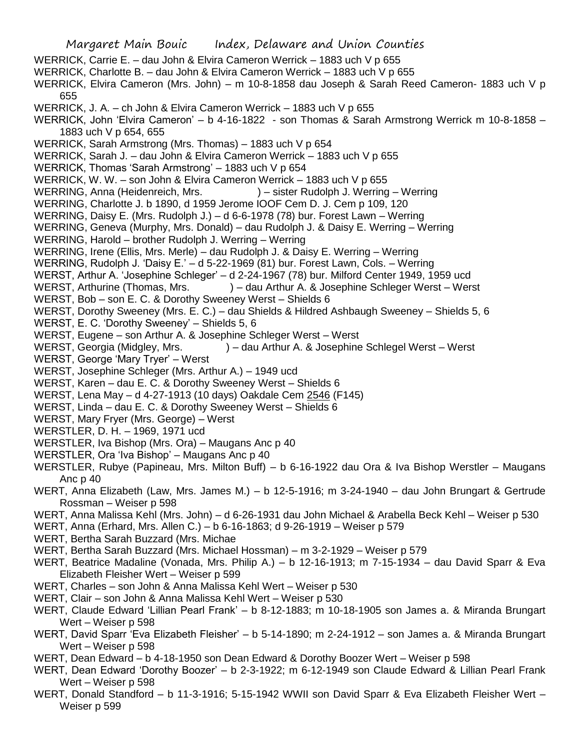Margaret Main Bouic Index, Delaware and Union Counties WERRICK, Carrie E. – dau John & Elvira Cameron Werrick – 1883 uch V p 655 WERRICK, Charlotte B. – dau John & Elvira Cameron Werrick – 1883 uch V p 655 WERRICK, Elvira Cameron (Mrs. John) – m 10-8-1858 dau Joseph & Sarah Reed Cameron- 1883 uch V p 655 WERRICK, J. A. – ch John & Elvira Cameron Werrick – 1883 uch V p 655 WERRICK, John 'Elvira Cameron' – b 4-16-1822 - son Thomas & Sarah Armstrong Werrick m 10-8-1858 – 1883 uch V p 654, 655 WERRICK, Sarah Armstrong (Mrs. Thomas) – 1883 uch V p 654 WERRICK, Sarah J. – dau John & Elvira Cameron Werrick – 1883 uch V p 655 WERRICK, Thomas 'Sarah Armstrong' – 1883 uch V p 654 WERRICK, W. W. – son John & Elvira Cameron Werrick – 1883 uch V p 655 WERRING, Anna (Heidenreich, Mrs. ) – sister Rudolph J. Werring – Werring WERRING, Charlotte J. b 1890, d 1959 Jerome IOOF Cem D. J. Cem p 109, 120 WERRING, Daisy E. (Mrs. Rudolph J.) – d 6-6-1978 (78) bur. Forest Lawn – Werring WERRING, Geneva (Murphy, Mrs. Donald) – dau Rudolph J. & Daisy E. Werring – Werring WERRING, Harold – brother Rudolph J. Werring – Werring WERRING, Irene (Ellis, Mrs. Merle) – dau Rudolph J. & Daisy E. Werring – Werring WERRING, Rudolph J. 'Daisy E.' – d 5-22-1969 (81) bur. Forest Lawn, Cols. – Werring WERST, Arthur A. 'Josephine Schleger' – d 2-24-1967 (78) bur. Milford Center 1949, 1959 ucd WERST, Arthurine (Thomas, Mrs. ) – dau Arthur A. & Josephine Schleger Werst – Werst WERST, Bob – son E. C. & Dorothy Sweeney Werst – Shields 6 WERST, Dorothy Sweeney (Mrs. E. C.) – dau Shields & Hildred Ashbaugh Sweeney – Shields 5, 6 WERST, E. C. 'Dorothy Sweeney' – Shields 5, 6 WERST, Eugene – son Arthur A. & Josephine Schleger Werst – Werst WERST, Georgia (Midgley, Mrs. ) – dau Arthur A. & Josephine Schlegel Werst – Werst WERST, George 'Mary Tryer' – Werst WERST, Josephine Schleger (Mrs. Arthur A.) – 1949 ucd WERST, Karen – dau E. C. & Dorothy Sweeney Werst – Shields 6 WERST, Lena May – d 4-27-1913 (10 days) Oakdale Cem 2546 (F145) WERST, Linda – dau E. C. & Dorothy Sweeney Werst – Shields 6 WERST, Mary Fryer (Mrs. George) – Werst WERSTLER, D. H. – 1969, 1971 ucd WERSTLER, Iva Bishop (Mrs. Ora) – Maugans Anc p 40 WERSTLER, Ora 'Iva Bishop' – Maugans Anc p 40 WERSTLER, Rubye (Papineau, Mrs. Milton Buff) – b 6-16-1922 dau Ora & Iva Bishop Werstler – Maugans Anc p 40 WERT, Anna Elizabeth (Law, Mrs. James M.) – b 12-5-1916; m 3-24-1940 – dau John Brungart & Gertrude Rossman – Weiser p 598 WERT, Anna Malissa Kehl (Mrs. John) – d 6-26-1931 dau John Michael & Arabella Beck Kehl – Weiser p 530 WERT, Anna (Erhard, Mrs. Allen C.) – b 6-16-1863; d 9-26-1919 – Weiser p 579 WERT, Bertha Sarah Buzzard (Mrs. Michae WERT, Bertha Sarah Buzzard (Mrs. Michael Hossman) – m 3-2-1929 – Weiser p 579 WERT, Beatrice Madaline (Vonada, Mrs. Philip A.) – b 12-16-1913; m 7-15-1934 – dau David Sparr & Eva Elizabeth Fleisher Wert – Weiser p 599 WERT, Charles – son John & Anna Malissa Kehl Wert – Weiser p 530 WERT, Clair – son John & Anna Malissa Kehl Wert – Weiser p 530 WERT, Claude Edward 'Lillian Pearl Frank' – b 8-12-1883; m 10-18-1905 son James a. & Miranda Brungart Wert – Weiser p 598 WERT, David Sparr 'Eva Elizabeth Fleisher' – b 5-14-1890; m 2-24-1912 – son James a. & Miranda Brungart Wert – Weiser p 598 WERT, Dean Edward – b 4-18-1950 son Dean Edward & Dorothy Boozer Wert – Weiser p 598

- WERT, Dean Edward 'Dorothy Boozer' b 2-3-1922; m 6-12-1949 son Claude Edward & Lillian Pearl Frank Wert – Weiser p 598
- WERT, Donald Standford b 11-3-1916; 5-15-1942 WWII son David Sparr & Eva Elizabeth Fleisher Wert Weiser p 599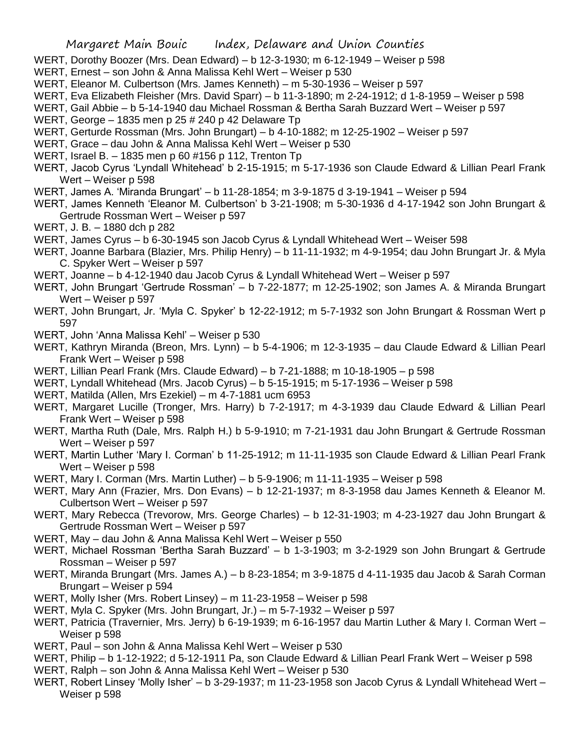- WERT, Dorothy Boozer (Mrs. Dean Edward) b 12-3-1930; m 6-12-1949 Weiser p 598
- WERT, Ernest son John & Anna Malissa Kehl Wert Weiser p 530
- WERT, Eleanor M. Culbertson (Mrs. James Kenneth) m 5-30-1936 Weiser p 597
- WERT, Eva Elizabeth Fleisher (Mrs. David Sparr) b 11-3-1890; m 2-24-1912; d 1-8-1959 Weiser p 598
- WERT, Gail Abbie b 5-14-1940 dau Michael Rossman & Bertha Sarah Buzzard Wert Weiser p 597
- WERT, George 1835 men p 25 # 240 p 42 Delaware Tp
- WERT, Gerturde Rossman (Mrs. John Brungart) b 4-10-1882; m 12-25-1902 Weiser p 597
- WERT, Grace dau John & Anna Malissa Kehl Wert Weiser p 530
- WERT, Israel B. 1835 men p 60 #156 p 112, Trenton Tp
- WERT, Jacob Cyrus 'Lyndall Whitehead' b 2-15-1915; m 5-17-1936 son Claude Edward & Lillian Pearl Frank Wert – Weiser p 598
- WERT, James A. 'Miranda Brungart' b 11-28-1854; m 3-9-1875 d 3-19-1941 Weiser p 594
- WERT, James Kenneth 'Eleanor M. Culbertson' b 3-21-1908; m 5-30-1936 d 4-17-1942 son John Brungart & Gertrude Rossman Wert – Weiser p 597
- WERT, J. B. 1880 dch p 282
- WERT, James Cyrus b 6-30-1945 son Jacob Cyrus & Lyndall Whitehead Wert Weiser 598
- WERT, Joanne Barbara (Blazier, Mrs. Philip Henry) b 11-11-1932; m 4-9-1954; dau John Brungart Jr. & Myla C. Spyker Wert – Weiser p 597
- WERT, Joanne b 4-12-1940 dau Jacob Cyrus & Lyndall Whitehead Wert Weiser p 597
- WERT, John Brungart 'Gertrude Rossman' b 7-22-1877; m 12-25-1902; son James A. & Miranda Brungart Wert – Weiser p 597
- WERT, John Brungart, Jr. 'Myla C. Spyker' b 12-22-1912; m 5-7-1932 son John Brungart & Rossman Wert p 597
- WERT, John 'Anna Malissa Kehl' Weiser p 530
- WERT, Kathryn Miranda (Breon, Mrs. Lynn) b 5-4-1906; m 12-3-1935 dau Claude Edward & Lillian Pearl Frank Wert – Weiser p 598
- WERT, Lillian Pearl Frank (Mrs. Claude Edward) b 7-21-1888; m 10-18-1905 p 598
- WERT, Lyndall Whitehead (Mrs. Jacob Cyrus) b 5-15-1915; m 5-17-1936 Weiser p 598
- WERT, Matilda (Allen, Mrs Ezekiel) m 4-7-1881 ucm 6953
- WERT, Margaret Lucille (Tronger, Mrs. Harry) b 7-2-1917; m 4-3-1939 dau Claude Edward & Lillian Pearl Frank Wert – Weiser p 598
- WERT, Martha Ruth (Dale, Mrs. Ralph H.) b 5-9-1910; m 7-21-1931 dau John Brungart & Gertrude Rossman Wert – Weiser p 597
- WERT, Martin Luther 'Mary I. Corman' b 11-25-1912; m 11-11-1935 son Claude Edward & Lillian Pearl Frank Wert – Weiser p 598
- WERT, Mary I. Corman (Mrs. Martin Luther) b 5-9-1906; m 11-11-1935 Weiser p 598
- WERT, Mary Ann (Frazier, Mrs. Don Evans) b 12-21-1937; m 8-3-1958 dau James Kenneth & Eleanor M. Culbertson Wert – Weiser p 597
- WERT, Mary Rebecca (Trevorow, Mrs. George Charles) b 12-31-1903; m 4-23-1927 dau John Brungart & Gertrude Rossman Wert – Weiser p 597
- WERT, May dau John & Anna Malissa Kehl Wert Weiser p 550
- WERT, Michael Rossman 'Bertha Sarah Buzzard' b 1-3-1903; m 3-2-1929 son John Brungart & Gertrude Rossman – Weiser p 597
- WERT, Miranda Brungart (Mrs. James A.) b 8-23-1854; m 3-9-1875 d 4-11-1935 dau Jacob & Sarah Corman Brungart – Weiser p 594
- WERT, Molly Isher (Mrs. Robert Linsey) m 11-23-1958 Weiser p 598
- WERT, Myla C. Spyker (Mrs. John Brungart, Jr.) m 5-7-1932 Weiser p 597
- WERT, Patricia (Travernier, Mrs. Jerry) b 6-19-1939; m 6-16-1957 dau Martin Luther & Mary I. Corman Wert Weiser p 598
- WERT, Paul son John & Anna Malissa Kehl Wert Weiser p 530
- WERT, Philip b 1-12-1922; d 5-12-1911 Pa, son Claude Edward & Lillian Pearl Frank Wert Weiser p 598
- WERT, Ralph son John & Anna Malissa Kehl Wert Weiser p 530
- WERT, Robert Linsey 'Molly Isher' b 3-29-1937; m 11-23-1958 son Jacob Cyrus & Lyndall Whitehead Wert Weiser p 598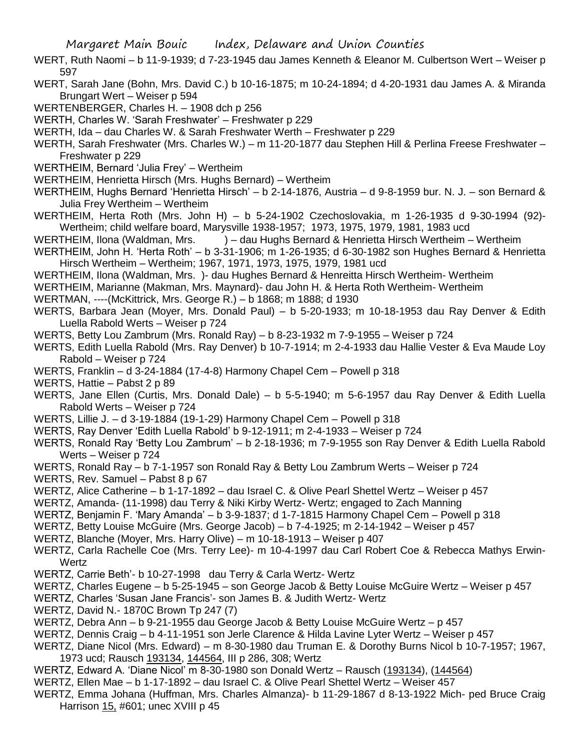- WERT, Ruth Naomi b 11-9-1939; d 7-23-1945 dau James Kenneth & Eleanor M. Culbertson Wert Weiser p 597
- WERT, Sarah Jane (Bohn, Mrs. David C.) b 10-16-1875; m 10-24-1894; d 4-20-1931 dau James A. & Miranda Brungart Wert – Weiser p 594
- WERTENBERGER, Charles H. 1908 dch p 256
- WERTH, Charles W. 'Sarah Freshwater' Freshwater p 229
- WERTH, Ida dau Charles W. & Sarah Freshwater Werth Freshwater p 229
- WERTH, Sarah Freshwater (Mrs. Charles W.) m 11-20-1877 dau Stephen Hill & Perlina Freese Freshwater Freshwater p 229
- WERTHEIM, Bernard 'Julia Frey' Wertheim
- WERTHEIM, Henrietta Hirsch (Mrs. Hughs Bernard) Wertheim
- WERTHEIM, Hughs Bernard 'Henrietta Hirsch' b 2-14-1876, Austria d 9-8-1959 bur. N. J. son Bernard & Julia Frey Wertheim – Wertheim
- WERTHEIM, Herta Roth (Mrs. John H) b 5-24-1902 Czechoslovakia, m 1-26-1935 d 9-30-1994 (92)- Wertheim; child welfare board, Marysville 1938-1957; 1973, 1975, 1979, 1981, 1983 ucd
- WERTHEIM, Ilona (Waldman, Mrs. ) dau Hughs Bernard & Henrietta Hirsch Wertheim Wertheim
- WERTHEIM, John H. 'Herta Roth' b 3-31-1906; m 1-26-1935; d 6-30-1982 son Hughes Bernard & Henrietta Hirsch Wertheim – Wertheim; 1967, 1971, 1973, 1975, 1979, 1981 ucd
- WERTHEIM, Ilona (Waldman, Mrs. )- dau Hughes Bernard & Henreitta Hirsch Wertheim- Wertheim
- WERTHEIM, Marianne (Makman, Mrs. Maynard)- dau John H. & Herta Roth Wertheim- Wertheim
- WERTMAN, ----(McKittrick, Mrs. George R.) b 1868; m 1888; d 1930
- WERTS, Barbara Jean (Moyer, Mrs. Donald Paul) b 5-20-1933; m 10-18-1953 dau Ray Denver & Edith Luella Rabold Werts – Weiser p 724
- WERTS, Betty Lou Zambrum (Mrs. Ronald Ray) b 8-23-1932 m 7-9-1955 Weiser p 724
- WERTS, Edith Luella Rabold (Mrs. Ray Denver) b 10-7-1914; m 2-4-1933 dau Hallie Vester & Eva Maude Loy Rabold – Weiser p 724
- WERTS, Franklin d 3-24-1884 (17-4-8) Harmony Chapel Cem Powell p 318
- WERTS, Hattie Pabst 2 p 89
- WERTS, Jane Ellen (Curtis, Mrs. Donald Dale) b 5-5-1940; m 5-6-1957 dau Ray Denver & Edith Luella Rabold Werts – Weiser p 724
- WERTS, Lillie J. d 3-19-1884 (19-1-29) Harmony Chapel Cem Powell p 318
- WERTS, Ray Denver 'Edith Luella Rabold' b 9-12-1911; m 2-4-1933 Weiser p 724
- WERTS, Ronald Ray 'Betty Lou Zambrum' b 2-18-1936; m 7-9-1955 son Ray Denver & Edith Luella Rabold Werts – Weiser p 724
- WERTS, Ronald Ray b 7-1-1957 son Ronald Ray & Betty Lou Zambrum Werts Weiser p 724
- WERTS, Rev. Samuel Pabst 8 p 67
- WERTZ, Alice Catherine b 1-17-1892 dau Israel C. & Olive Pearl Shettel Wertz Weiser p 457
- WERTZ, Amanda- (11-1998) dau Terry & Niki Kirby Wertz- Wertz; engaged to Zach Manning
- WERTZ, Benjamin F. 'Mary Amanda' b 3-9-1837; d 1-7-1815 Harmony Chapel Cem Powell p 318
- WERTZ, Betty Louise McGuire (Mrs. George Jacob) b 7-4-1925; m 2-14-1942 Weiser p 457
- WERTZ, Blanche (Moyer, Mrs. Harry Olive) m 10-18-1913 Weiser p 407
- WERTZ, Carla Rachelle Coe (Mrs. Terry Lee)- m 10-4-1997 dau Carl Robert Coe & Rebecca Mathys Erwin-**Wertz**
- WERTZ, Carrie Beth'- b 10-27-1998 dau Terry & Carla Wertz- Wertz
- WERTZ, Charles Eugene b 5-25-1945 son George Jacob & Betty Louise McGuire Wertz Weiser p 457
- WERTZ, Charles 'Susan Jane Francis'- son James B. & Judith Wertz- Wertz
- WERTZ, David N.- 1870C Brown Tp 247 (7)
- WERTZ, Debra Ann b 9-21-1955 dau George Jacob & Betty Louise McGuire Wertz p 457
- WERTZ, Dennis Craig b 4-11-1951 son Jerle Clarence & Hilda Lavine Lyter Wertz Weiser p 457
- WERTZ, Diane Nicol (Mrs. Edward) m 8-30-1980 dau Truman E. & Dorothy Burns Nicol b 10-7-1957; 1967, 1973 ucd; Rausch 193134, 144564, III p 286, 308; Wertz
- WERTZ, Edward A. 'Diane Nicol' m 8-30-1980 son Donald Wertz Rausch (193134), (144564)
- WERTZ, Ellen Mae b 1-17-1892 dau Israel C. & Olive Pearl Shettel Wertz Weiser 457
- WERTZ, Emma Johana (Huffman, Mrs. Charles Almanza)- b 11-29-1867 d 8-13-1922 Mich- ped Bruce Craig Harrison 15, #601; unec XVIII p 45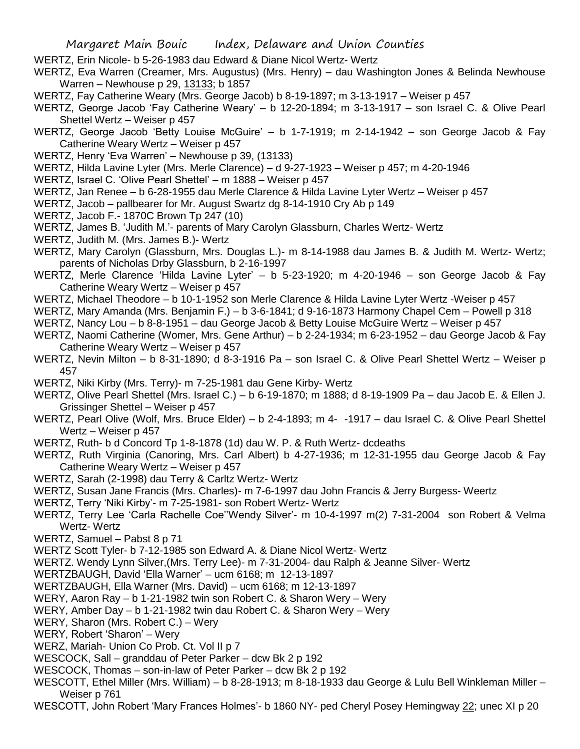- WERTZ, Erin Nicole- b 5-26-1983 dau Edward & Diane Nicol Wertz- Wertz
- WERTZ, Eva Warren (Creamer, Mrs. Augustus) (Mrs. Henry) dau Washington Jones & Belinda Newhouse Warren – Newhouse p 29, 13133; b 1857
- WERTZ, Fay Catherine Weary (Mrs. George Jacob) b 8-19-1897; m 3-13-1917 Weiser p 457
- WERTZ, George Jacob 'Fay Catherine Weary' b 12-20-1894; m 3-13-1917 son Israel C. & Olive Pearl Shettel Wertz – Weiser p 457
- WERTZ, George Jacob 'Betty Louise McGuire' b 1-7-1919; m 2-14-1942 son George Jacob & Fay Catherine Weary Wertz – Weiser p 457
- WERTZ, Henry 'Eva Warren' Newhouse p 39, (13133)
- WERTZ, Hilda Lavine Lyter (Mrs. Merle Clarence) d 9-27-1923 Weiser p 457; m 4-20-1946
- WERTZ, Israel C. 'Olive Pearl Shettel' m 1888 Weiser p 457
- WERTZ, Jan Renee b 6-28-1955 dau Merle Clarence & Hilda Lavine Lyter Wertz Weiser p 457
- WERTZ, Jacob pallbearer for Mr. August Swartz dg 8-14-1910 Cry Ab p 149
- WERTZ, Jacob F.- 1870C Brown Tp 247 (10)
- WERTZ, James B. 'Judith M.'- parents of Mary Carolyn Glassburn, Charles Wertz- Wertz
- WERTZ, Judith M. (Mrs. James B.)- Wertz
- WERTZ, Mary Carolyn (Glassburn, Mrs. Douglas L.)- m 8-14-1988 dau James B. & Judith M. Wertz- Wertz; parents of Nicholas Drby Glassburn, b 2-16-1997
- WERTZ, Merle Clarence 'Hilda Lavine Lyter' b 5-23-1920; m 4-20-1946 son George Jacob & Fay Catherine Weary Wertz – Weiser p 457
- WERTZ, Michael Theodore b 10-1-1952 son Merle Clarence & Hilda Lavine Lyter Wertz -Weiser p 457
- WERTZ, Mary Amanda (Mrs. Benjamin F.) b 3-6-1841; d 9-16-1873 Harmony Chapel Cem Powell p 318
- WERTZ, Nancy Lou b 8-8-1951 dau George Jacob & Betty Louise McGuire Wertz Weiser p 457
- WERTZ, Naomi Catherine (Womer, Mrs. Gene Arthur) b 2-24-1934; m 6-23-1952 dau George Jacob & Fay Catherine Weary Wertz – Weiser p 457
- WERTZ, Nevin Milton b 8-31-1890; d 8-3-1916 Pa son Israel C. & Olive Pearl Shettel Wertz Weiser p 457
- WERTZ, Niki Kirby (Mrs. Terry)- m 7-25-1981 dau Gene Kirby- Wertz
- WERTZ, Olive Pearl Shettel (Mrs. Israel C.) b 6-19-1870; m 1888; d 8-19-1909 Pa dau Jacob E. & Ellen J. Grissinger Shettel – Weiser p 457
- WERTZ, Pearl Olive (Wolf, Mrs. Bruce Elder) b 2-4-1893; m 4- -1917 dau Israel C. & Olive Pearl Shettel Wertz – Weiser p 457
- WERTZ, Ruth- b d Concord Tp 1-8-1878 (1d) dau W. P. & Ruth Wertz- dcdeaths
- WERTZ, Ruth Virginia (Canoring, Mrs. Carl Albert) b 4-27-1936; m 12-31-1955 dau George Jacob & Fay Catherine Weary Wertz – Weiser p 457
- WERTZ, Sarah (2-1998) dau Terry & Carltz Wertz- Wertz
- WERTZ, Susan Jane Francis (Mrs. Charles)- m 7-6-1997 dau John Francis & Jerry Burgess- Weertz
- WERTZ, Terry 'Niki Kirby'- m 7-25-1981- son Robert Wertz- Wertz
- WERTZ, Terry Lee 'Carla Rachelle Coe''Wendy Silver'- m 10-4-1997 m(2) 7-31-2004 son Robert & Velma Wertz- Wertz
- WERTZ, Samuel Pabst 8 p 71
- WERTZ Scott Tyler- b 7-12-1985 son Edward A. & Diane Nicol Wertz- Wertz
- WERTZ. Wendy Lynn Silver,(Mrs. Terry Lee)- m 7-31-2004- dau Ralph & Jeanne Silver- Wertz
- WERTZBAUGH, David 'Ella Warner' ucm 6168; m 12-13-1897
- WERTZBAUGH, Ella Warner (Mrs. David) ucm 6168; m 12-13-1897
- WERY, Aaron Ray b 1-21-1982 twin son Robert C. & Sharon Wery Wery
- WERY, Amber Day b 1-21-1982 twin dau Robert C. & Sharon Wery Wery
- WERY, Sharon (Mrs. Robert C.) Wery
- WERY, Robert 'Sharon' Wery
- WERZ, Mariah- Union Co Prob. Ct. Vol II p 7
- WESCOCK, Sall granddau of Peter Parker dcw Bk 2 p 192
- WESCOCK, Thomas son-in-law of Peter Parker dcw Bk 2 p 192
- WESCOTT, Ethel Miller (Mrs. William) b 8-28-1913; m 8-18-1933 dau George & Lulu Bell Winkleman Miller Weiser p 761
- WESCOTT, John Robert 'Mary Frances Holmes'- b 1860 NY- ped Cheryl Posey Hemingway 22; unec XI p 20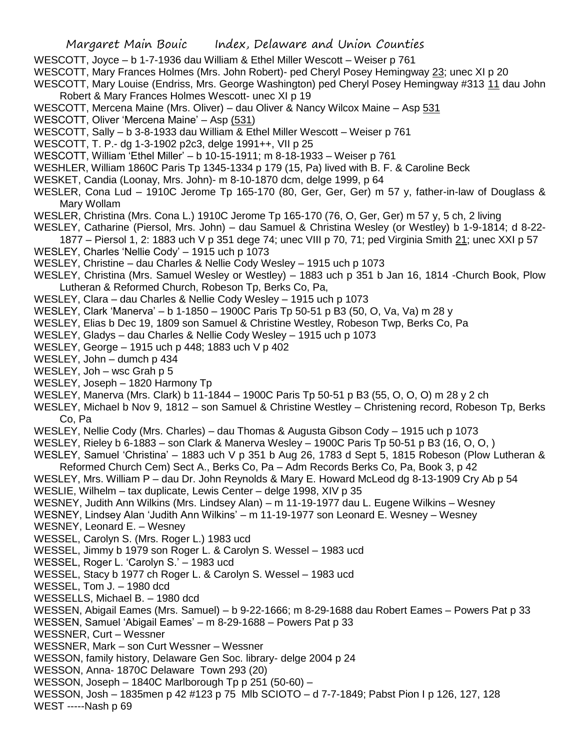WESCOTT, Joyce – b 1-7-1936 dau William & Ethel Miller Wescott – Weiser p 761

WESCOTT, Mary Frances Holmes (Mrs. John Robert)- ped Cheryl Posey Hemingway 23; unec XI p 20

WESCOTT, Mary Louise (Endriss, Mrs. George Washington) ped Cheryl Posey Hemingway #313 11 dau John Robert & Mary Frances Holmes Wescott- unec XI p 19

- WESCOTT, Mercena Maine (Mrs. Oliver) dau Oliver & Nancy Wilcox Maine Asp 531
- WESCOTT, Oliver 'Mercena Maine' Asp (531)
- WESCOTT, Sally b 3-8-1933 dau William & Ethel Miller Wescott Weiser p 761
- WESCOTT, T. P.- dg 1-3-1902 p2c3, delge 1991++, VII p 25
- WESCOTT, William 'Ethel Miller' b 10-15-1911; m 8-18-1933 Weiser p 761
- WESHLER, William 1860C Paris Tp 1345-1334 p 179 (15, Pa) lived with B. F. & Caroline Beck
- WESKET, Candia (Loonay, Mrs. John)- m 8-10-1870 dcm, delge 1999, p 64
- WESLER, Cona Lud 1910C Jerome Tp 165-170 (80, Ger, Ger, Ger) m 57 y, father-in-law of Douglass & Mary Wollam
- WESLER, Christina (Mrs. Cona L.) 1910C Jerome Tp 165-170 (76, O, Ger, Ger) m 57 y, 5 ch, 2 living
- WESLEY, Catharine (Piersol, Mrs. John) dau Samuel & Christina Wesley (or Westley) b 1-9-1814; d 8-22-
	- 1877 Piersol 1, 2: 1883 uch V p 351 dege 74; unec VIII p 70, 71; ped Virginia Smith 21; unec XXI p 57
- WESLEY, Charles 'Nellie Cody' 1915 uch p 1073
- WESLEY, Christine dau Charles & Nellie Cody Wesley 1915 uch p 1073
- WESLEY, Christina (Mrs. Samuel Wesley or Westley) 1883 uch p 351 b Jan 16, 1814 -Church Book, Plow Lutheran & Reformed Church, Robeson Tp, Berks Co, Pa,
- WESLEY, Clara dau Charles & Nellie Cody Wesley 1915 uch p 1073
- WESLEY, Clark 'Manerva' b 1-1850 1900C Paris Tp 50-51 p B3 (50, O, Va, Va) m 28 y
- WESLEY, Elias b Dec 19, 1809 son Samuel & Christine Westley, Robeson Twp, Berks Co, Pa
- WESLEY, Gladys dau Charles & Nellie Cody Wesley 1915 uch p 1073
- WESLEY, George 1915 uch p 448; 1883 uch V p 402
- WESLEY, John dumch p 434
- WESLEY, Joh wsc Grah p 5
- WESLEY, Joseph 1820 Harmony Tp
- WESLEY, Manerva (Mrs. Clark) b 11-1844 1900C Paris Tp 50-51 p B3 (55, O, O, O) m 28 y 2 ch
- WESLEY, Michael b Nov 9, 1812 son Samuel & Christine Westley Christening record, Robeson Tp, Berks Co, Pa
- WESLEY, Nellie Cody (Mrs. Charles) dau Thomas & Augusta Gibson Cody 1915 uch p 1073
- WESLEY, Rieley b 6-1883 son Clark & Manerva Wesley 1900C Paris Tp 50-51 p B3 (16, O, O, )
- WESLEY, Samuel 'Christina' 1883 uch V p 351 b Aug 26, 1783 d Sept 5, 1815 Robeson (Plow Lutheran & Reformed Church Cem) Sect A., Berks Co, Pa – Adm Records Berks Co, Pa, Book 3, p 42
- WESLEY, Mrs. William P dau Dr. John Reynolds & Mary E. Howard McLeod dg 8-13-1909 Cry Ab p 54 WESLIE, Wilhelm – tax duplicate, Lewis Center – delge 1998, XIV p 35
- WESNEY, Judith Ann Wilkins (Mrs. Lindsey Alan) m 11-19-1977 dau L. Eugene Wilkins Wesney
- WESNEY, Lindsey Alan 'Judith Ann Wilkins' m 11-19-1977 son Leonard E. Wesney Wesney
- WESNEY, Leonard E. Wesney
- WESSEL, Carolyn S. (Mrs. Roger L.) 1983 ucd
- WESSEL, Jimmy b 1979 son Roger L. & Carolyn S. Wessel 1983 ucd
- WESSEL, Roger L. 'Carolyn S.' 1983 ucd
- WESSEL, Stacy b 1977 ch Roger L. & Carolyn S. Wessel 1983 ucd
- WESSEL, Tom J. 1980 dcd
- WESSELLS, Michael B. 1980 dcd
- WESSEN, Abigail Eames (Mrs. Samuel) b 9-22-1666; m 8-29-1688 dau Robert Eames Powers Pat p 33
- WESSEN, Samuel 'Abigail Eames' m 8-29-1688 Powers Pat p 33
- WESSNER, Curt Wessner
- WESSNER, Mark son Curt Wessner Wessner
- WESSON, family history, Delaware Gen Soc. library- delge 2004 p 24
- WESSON, Anna- 1870C Delaware Town 293 (20)
- WESSON, Joseph 1840C Marlborough Tp p 251 (50-60) –
- WESSON, Josh 1835men p 42 #123 p 75 Mlb SCIOTO d 7-7-1849; Pabst Pion I p 126, 127, 128
- WEST -----Nash p 69